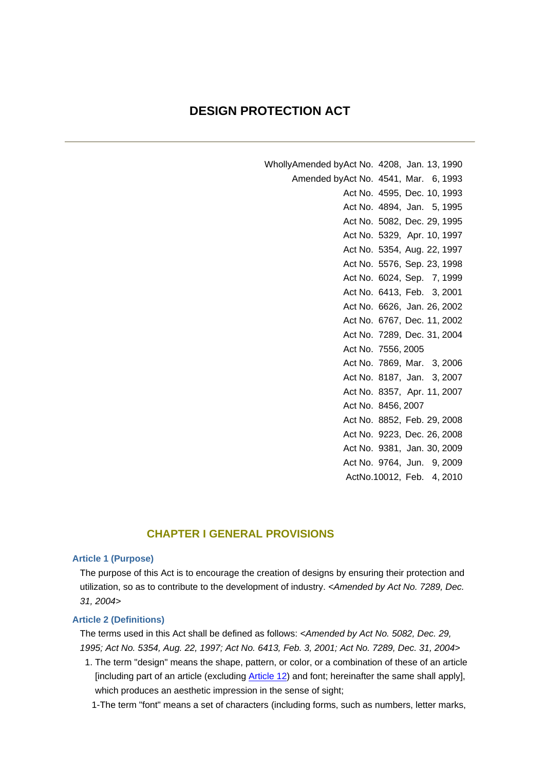# **DESIGN PROTECTION ACT**

WhollyAmended byAct No. 4208, Jan. 13, 1990 Amended byAct No. 4541, Mar. 6, 1993 Act No. 4595, Dec. 10, 1993 Act No. 4894, Jan. 5, 1995 Act No. 5082, Dec. 29, 1995 Act No. 5329, Apr. 10, 1997 Act No. 5354, Aug. 22, 1997 Act No. 5576, Sep. 23, 1998 Act No. 6024, Sep. 7, 1999 Act No. 6413, Feb. 3, 2001 Act No. 6626, Jan. 26, 2002 Act No. 6767, Dec. 11, 2002 Act No. 7289, Dec. 31, 2004 Act No. 7556, 2005 Act No. 7869, Mar. 3, 2006 Act No. 8187, Jan. 3, 2007 Act No. 8357, Apr. 11, 2007 Act No. 8456, 2007 Act No. 8852, Feb. 29, 2008 Act No. 9223, Dec. 26, 2008 Act No. 9381, Jan. 30, 2009 Act No. 9764, Jun. 9, 2009 ActNo.10012, Feb. 4, 2010

## **CHAPTER I GENERAL PROVISIONS**

## **Article 1 (Purpose)**

The purpose of this Act is to encourage the creation of designs by ensuring their protection and utilization, so as to contribute to the development of industry. *<Amended by Act No. 7289, Dec. 31, 2004>*

## **Article 2 (Definitions)**

The terms used in this Act shall be defined as follows: *<Amended by Act No. 5082, Dec. 29, 1995; Act No. 5354, Aug. 22, 1997; Act No. 6413, Feb. 3, 2001; Act No. 7289, Dec. 31, 2004>*

- 1. The term "design" means the shape, pattern, or color, or a combination of these of an article [including part of an article (excluding Article 12) and font; hereinafter the same shall apply], which produces an aesthetic impression in the sense of sight;
	- 1-The term "font" means a set of characters (including forms, such as numbers, letter marks,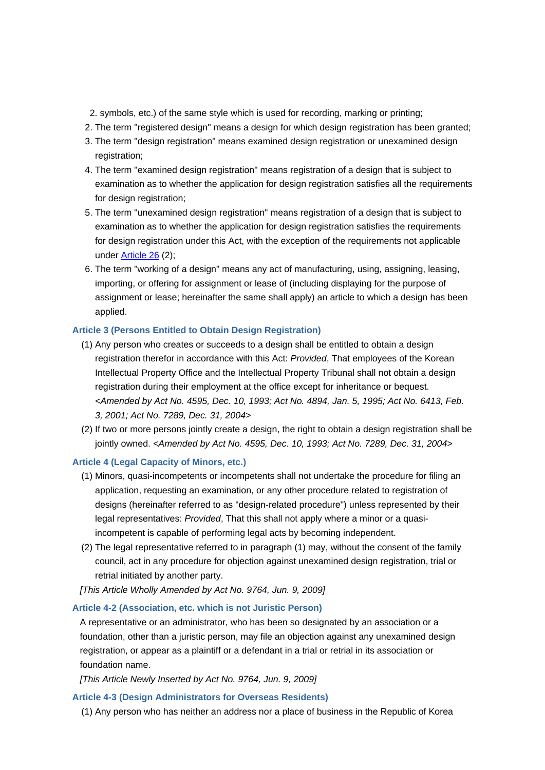- 2. symbols, etc.) of the same style which is used for recording, marking or printing;
- 2. The term "registered design" means a design for which design registration has been granted;
- 3. The term "design registration" means examined design registration or unexamined design registration;
- 4. The term "examined design registration" means registration of a design that is subject to examination as to whether the application for design registration satisfies all the requirements for design registration;
- 5. The term "unexamined design registration" means registration of a design that is subject to examination as to whether the application for design registration satisfies the requirements for design registration under this Act, with the exception of the requirements not applicable under Article 26 (2);
- 6. The term "working of a design" means any act of manufacturing, using, assigning, leasing, importing, or offering for assignment or lease of (including displaying for the purpose of assignment or lease; hereinafter the same shall apply) an article to which a design has been applied.

## **Article 3 (Persons Entitled to Obtain Design Registration)**

- (1) Any person who creates or succeeds to a design shall be entitled to obtain a design registration therefor in accordance with this Act: *Provided*, That employees of the Korean Intellectual Property Office and the Intellectual Property Tribunal shall not obtain a design registration during their employment at the office except for inheritance or bequest. *<Amended by Act No. 4595, Dec. 10, 1993; Act No. 4894, Jan. 5, 1995; Act No. 6413, Feb. 3, 2001; Act No. 7289, Dec. 31, 2004>*
- (2) If two or more persons jointly create a design, the right to obtain a design registration shall be jointly owned. *<Amended by Act No. 4595, Dec. 10, 1993; Act No. 7289, Dec. 31, 2004>*

## **Article 4 (Legal Capacity of Minors, etc.)**

- (1) Minors, quasi-incompetents or incompetents shall not undertake the procedure for filing an application, requesting an examination, or any other procedure related to registration of designs (hereinafter referred to as "design-related procedure") unless represented by their legal representatives: *Provided*, That this shall not apply where a minor or a quasiincompetent is capable of performing legal acts by becoming independent.
- (2) The legal representative referred to in paragraph (1) may, without the consent of the family council, act in any procedure for objection against unexamined design registration, trial or retrial initiated by another party.

*[This Article Wholly Amended by Act No. 9764, Jun. 9, 2009]*

## **Article 4-2 (Association, etc. which is not Juristic Person)**

A representative or an administrator, who has been so designated by an association or a foundation, other than a juristic person, may file an objection against any unexamined design registration, or appear as a plaintiff or a defendant in a trial or retrial in its association or foundation name.

*[This Article Newly Inserted by Act No. 9764, Jun. 9, 2009]*

## **Article 4-3 (Design Administrators for Overseas Residents)**

(1) Any person who has neither an address nor a place of business in the Republic of Korea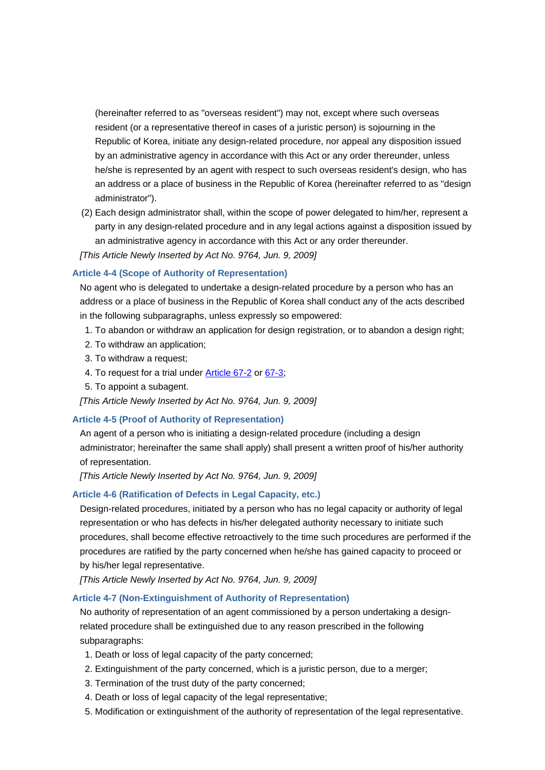(hereinafter referred to as "overseas resident") may not, except where such overseas resident (or a representative thereof in cases of a juristic person) is sojourning in the Republic of Korea, initiate any design-related procedure, nor appeal any disposition issued by an administrative agency in accordance with this Act or any order thereunder, unless he/she is represented by an agent with respect to such overseas resident's design, who has an address or a place of business in the Republic of Korea (hereinafter referred to as "design administrator").

(2) Each design administrator shall, within the scope of power delegated to him/her, represent a party in any design-related procedure and in any legal actions against a disposition issued by an administrative agency in accordance with this Act or any order thereunder.

*[This Article Newly Inserted by Act No. 9764, Jun. 9, 2009]*

## **Article 4-4 (Scope of Authority of Representation)**

No agent who is delegated to undertake a design-related procedure by a person who has an address or a place of business in the Republic of Korea shall conduct any of the acts described in the following subparagraphs, unless expressly so empowered:

- 1. To abandon or withdraw an application for design registration, or to abandon a design right;
- 2. To withdraw an application;
- 3. To withdraw a request;
- 4. To request for a trial under Article 67-2 or 67-3;
- 5. To appoint a subagent.

*[This Article Newly Inserted by Act No. 9764, Jun. 9, 2009]*

## **Article 4-5 (Proof of Authority of Representation)**

An agent of a person who is initiating a design-related procedure (including a design administrator; hereinafter the same shall apply) shall present a written proof of his/her authority of representation.

*[This Article Newly Inserted by Act No. 9764, Jun. 9, 2009]*

## **Article 4-6 (Ratification of Defects in Legal Capacity, etc.)**

Design-related procedures, initiated by a person who has no legal capacity or authority of legal representation or who has defects in his/her delegated authority necessary to initiate such procedures, shall become effective retroactively to the time such procedures are performed if the procedures are ratified by the party concerned when he/she has gained capacity to proceed or by his/her legal representative.

*[This Article Newly Inserted by Act No. 9764, Jun. 9, 2009]*

#### **Article 4-7 (Non-Extinguishment of Authority of Representation)**

No authority of representation of an agent commissioned by a person undertaking a designrelated procedure shall be extinguished due to any reason prescribed in the following subparagraphs:

- 1. Death or loss of legal capacity of the party concerned;
- 2. Extinguishment of the party concerned, which is a juristic person, due to a merger;
- 3. Termination of the trust duty of the party concerned;
- 4. Death or loss of legal capacity of the legal representative;
- 5. Modification or extinguishment of the authority of representation of the legal representative.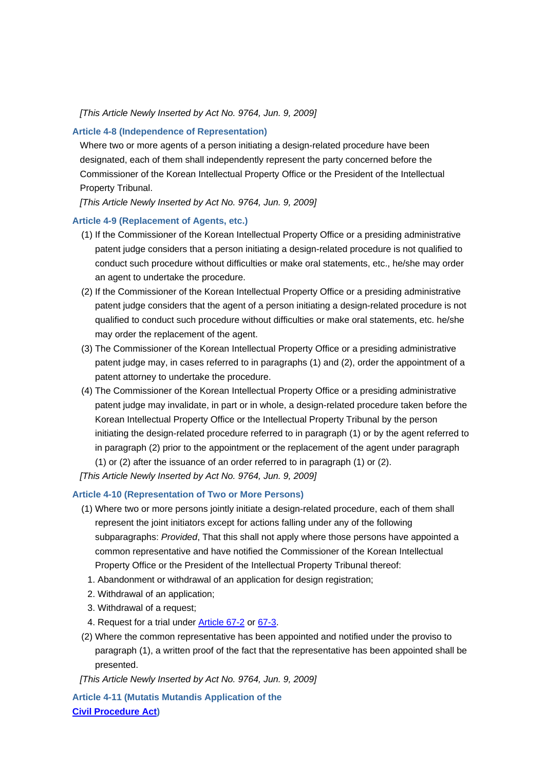*[This Article Newly Inserted by Act No. 9764, Jun. 9, 2009]*

## **Article 4-8 (Independence of Representation)**

Where two or more agents of a person initiating a design-related procedure have been designated, each of them shall independently represent the party concerned before the Commissioner of the Korean Intellectual Property Office or the President of the Intellectual Property Tribunal.

*[This Article Newly Inserted by Act No. 9764, Jun. 9, 2009]*

#### **Article 4-9 (Replacement of Agents, etc.)**

- (1) If the Commissioner of the Korean Intellectual Property Office or a presiding administrative patent judge considers that a person initiating a design-related procedure is not qualified to conduct such procedure without difficulties or make oral statements, etc., he/she may order an agent to undertake the procedure.
- (2) If the Commissioner of the Korean Intellectual Property Office or a presiding administrative patent judge considers that the agent of a person initiating a design-related procedure is not qualified to conduct such procedure without difficulties or make oral statements, etc. he/she may order the replacement of the agent.
- (3) The Commissioner of the Korean Intellectual Property Office or a presiding administrative patent judge may, in cases referred to in paragraphs (1) and (2), order the appointment of a patent attorney to undertake the procedure.
- (4) The Commissioner of the Korean Intellectual Property Office or a presiding administrative patent judge may invalidate, in part or in whole, a design-related procedure taken before the Korean Intellectual Property Office or the Intellectual Property Tribunal by the person initiating the design-related procedure referred to in paragraph (1) or by the agent referred to in paragraph (2) prior to the appointment or the replacement of the agent under paragraph (1) or (2) after the issuance of an order referred to in paragraph (1) or (2).

*[This Article Newly Inserted by Act No. 9764, Jun. 9, 2009]*

## **Article 4-10 (Representation of Two or More Persons)**

- (1) Where two or more persons jointly initiate a design-related procedure, each of them shall represent the joint initiators except for actions falling under any of the following subparagraphs: *Provided*, That this shall not apply where those persons have appointed a common representative and have notified the Commissioner of the Korean Intellectual Property Office or the President of the Intellectual Property Tribunal thereof:
- 1. Abandonment or withdrawal of an application for design registration;
- 2. Withdrawal of an application;
- 3. Withdrawal of a request;
- 4. Request for a trial under Article 67-2 or 67-3.
- (2) Where the common representative has been appointed and notified under the proviso to paragraph (1), a written proof of the fact that the representative has been appointed shall be presented.

*[This Article Newly Inserted by Act No. 9764, Jun. 9, 2009]*

**Article 4-11 (Mutatis Mutandis Application of the Civil Procedure Act)**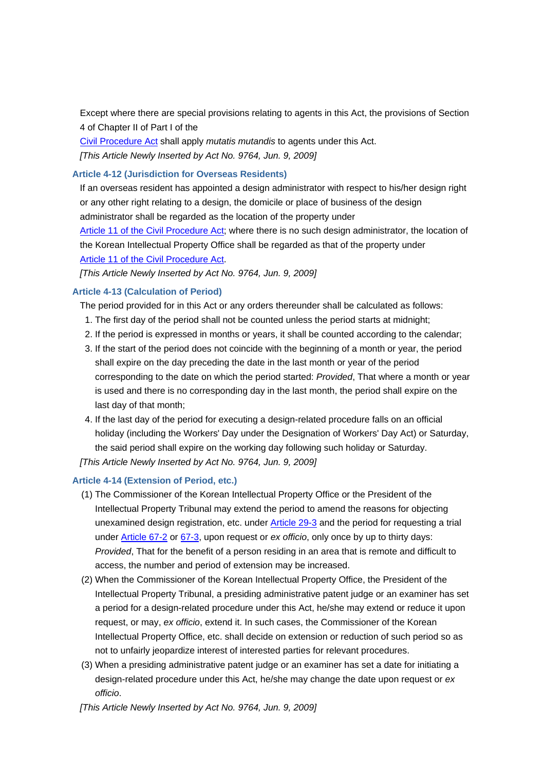Except where there are special provisions relating to agents in this Act, the provisions of Section 4 of Chapter II of Part I of the

Civil Procedure Act shall apply *mutatis mutandis* to agents under this Act. *[This Article Newly Inserted by Act No. 9764, Jun. 9, 2009]*

## **Article 4-12 (Jurisdiction for Overseas Residents)**

If an overseas resident has appointed a design administrator with respect to his/her design right or any other right relating to a design, the domicile or place of business of the design administrator shall be regarded as the location of the property under

Article 11 of the Civil Procedure Act; where there is no such design administrator, the location of the Korean Intellectual Property Office shall be regarded as that of the property under Article 11 of the Civil Procedure Act.

*[This Article Newly Inserted by Act No. 9764, Jun. 9, 2009]*

## **Article 4-13 (Calculation of Period)**

The period provided for in this Act or any orders thereunder shall be calculated as follows:

- 1. The first day of the period shall not be counted unless the period starts at midnight;
- 2. If the period is expressed in months or years, it shall be counted according to the calendar;
- 3. If the start of the period does not coincide with the beginning of a month or year, the period shall expire on the day preceding the date in the last month or year of the period corresponding to the date on which the period started: *Provided*, That where a month or year is used and there is no corresponding day in the last month, the period shall expire on the last day of that month;
- 4. If the last day of the period for executing a design-related procedure falls on an official holiday (including the Workers' Day under the Designation of Workers' Day Act) or Saturday, the said period shall expire on the working day following such holiday or Saturday.

*[This Article Newly Inserted by Act No. 9764, Jun. 9, 2009]*

## **Article 4-14 (Extension of Period, etc.)**

- (1) The Commissioner of the Korean Intellectual Property Office or the President of the Intellectual Property Tribunal may extend the period to amend the reasons for objecting unexamined design registration, etc. under Article 29-3 and the period for requesting a trial under Article 67-2 or 67-3, upon request or *ex officio*, only once by up to thirty days: *Provided*, That for the benefit of a person residing in an area that is remote and difficult to access, the number and period of extension may be increased.
- (2) When the Commissioner of the Korean Intellectual Property Office, the President of the Intellectual Property Tribunal, a presiding administrative patent judge or an examiner has set a period for a design-related procedure under this Act, he/she may extend or reduce it upon request, or may, *ex officio*, extend it. In such cases, the Commissioner of the Korean Intellectual Property Office, etc. shall decide on extension or reduction of such period so as not to unfairly jeopardize interest of interested parties for relevant procedures.
- (3) When a presiding administrative patent judge or an examiner has set a date for initiating a design-related procedure under this Act, he/she may change the date upon request or *ex officio*.

*[This Article Newly Inserted by Act No. 9764, Jun. 9, 2009]*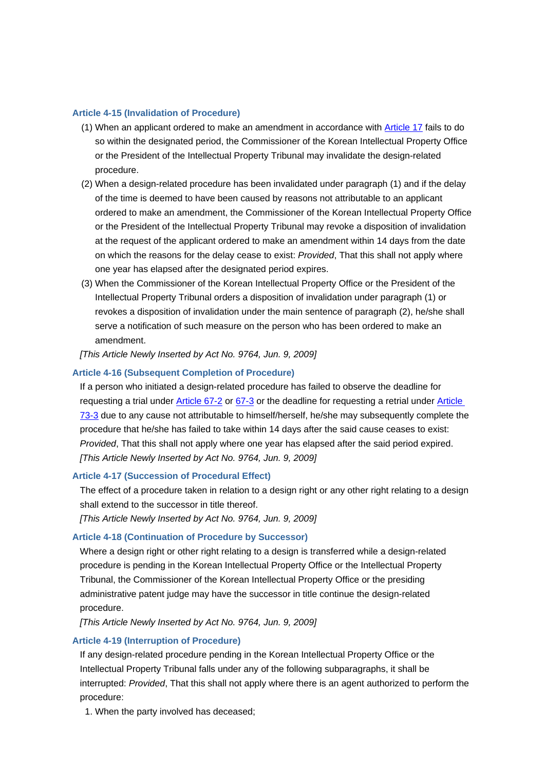## **Article 4-15 (Invalidation of Procedure)**

- (1) When an applicant ordered to make an amendment in accordance with Article 17 fails to do so within the designated period, the Commissioner of the Korean Intellectual Property Office or the President of the Intellectual Property Tribunal may invalidate the design-related procedure.
- (2) When a design-related procedure has been invalidated under paragraph (1) and if the delay of the time is deemed to have been caused by reasons not attributable to an applicant ordered to make an amendment, the Commissioner of the Korean Intellectual Property Office or the President of the Intellectual Property Tribunal may revoke a disposition of invalidation at the request of the applicant ordered to make an amendment within 14 days from the date on which the reasons for the delay cease to exist: *Provided*, That this shall not apply where one year has elapsed after the designated period expires.
- (3) When the Commissioner of the Korean Intellectual Property Office or the President of the Intellectual Property Tribunal orders a disposition of invalidation under paragraph (1) or revokes a disposition of invalidation under the main sentence of paragraph (2), he/she shall serve a notification of such measure on the person who has been ordered to make an amendment.

#### *[This Article Newly Inserted by Act No. 9764, Jun. 9, 2009]*

#### **Article 4-16 (Subsequent Completion of Procedure)**

If a person who initiated a design-related procedure has failed to observe the deadline for requesting a trial under Article 67-2 or 67-3 or the deadline for requesting a retrial under Article 73-3 due to any cause not attributable to himself/herself, he/she may subsequently complete the procedure that he/she has failed to take within 14 days after the said cause ceases to exist: *Provided*, That this shall not apply where one year has elapsed after the said period expired. *[This Article Newly Inserted by Act No. 9764, Jun. 9, 2009]*

#### **Article 4-17 (Succession of Procedural Effect)**

The effect of a procedure taken in relation to a design right or any other right relating to a design shall extend to the successor in title thereof.

*[This Article Newly Inserted by Act No. 9764, Jun. 9, 2009]*

## **Article 4-18 (Continuation of Procedure by Successor)**

Where a design right or other right relating to a design is transferred while a design-related procedure is pending in the Korean Intellectual Property Office or the Intellectual Property Tribunal, the Commissioner of the Korean Intellectual Property Office or the presiding administrative patent judge may have the successor in title continue the design-related procedure.

*[This Article Newly Inserted by Act No. 9764, Jun. 9, 2009]*

#### **Article 4-19 (Interruption of Procedure)**

If any design-related procedure pending in the Korean Intellectual Property Office or the Intellectual Property Tribunal falls under any of the following subparagraphs, it shall be interrupted: *Provided*, That this shall not apply where there is an agent authorized to perform the procedure:

1. When the party involved has deceased;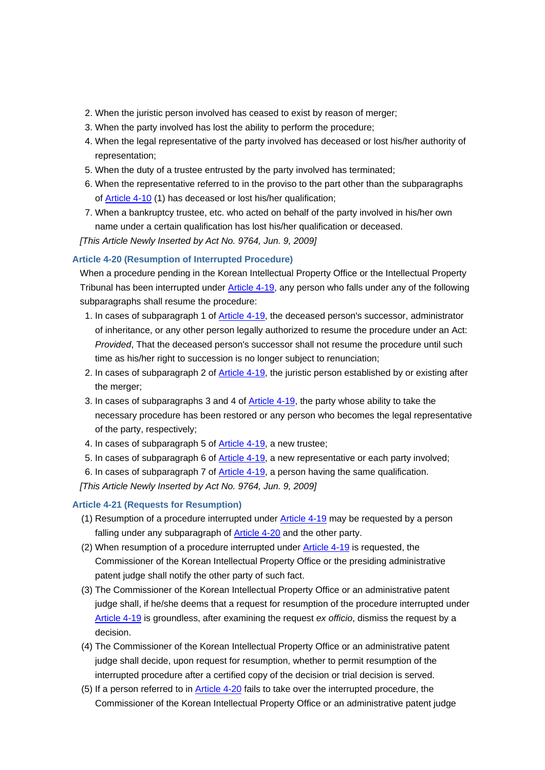- 2. When the juristic person involved has ceased to exist by reason of merger;
- 3. When the party involved has lost the ability to perform the procedure;
- 4. When the legal representative of the party involved has deceased or lost his/her authority of representation;
- 5. When the duty of a trustee entrusted by the party involved has terminated;
- 6. When the representative referred to in the proviso to the part other than the subparagraphs of Article 4-10 (1) has deceased or lost his/her qualification;
- 7. When a bankruptcy trustee, etc. who acted on behalf of the party involved in his/her own name under a certain qualification has lost his/her qualification or deceased.

*[This Article Newly Inserted by Act No. 9764, Jun. 9, 2009]*

## **Article 4-20 (Resumption of Interrupted Procedure)**

When a procedure pending in the Korean Intellectual Property Office or the Intellectual Property Tribunal has been interrupted under Article 4-19, any person who falls under any of the following subparagraphs shall resume the procedure:

- 1. In cases of subparagraph 1 of Article 4-19, the deceased person's successor, administrator of inheritance, or any other person legally authorized to resume the procedure under an Act: *Provided*, That the deceased person's successor shall not resume the procedure until such time as his/her right to succession is no longer subject to renunciation;
- 2. In cases of subparagraph 2 of Article 4-19, the juristic person established by or existing after the merger;
- 3. In cases of subparagraphs 3 and 4 of Article 4-19, the party whose ability to take the necessary procedure has been restored or any person who becomes the legal representative of the party, respectively;
- 4. In cases of subparagraph 5 of **Article 4-19**, a new trustee;
- 5. In cases of subparagraph 6 of Article 4-19, a new representative or each party involved;
- 6. In cases of subparagraph 7 of Article 4-19, a person having the same qualification.

*[This Article Newly Inserted by Act No. 9764, Jun. 9, 2009]*

## **Article 4-21 (Requests for Resumption)**

- (1) Resumption of a procedure interrupted under  $\frac{\text{Article 4-19}}{\text{mag}}$  may be requested by a person falling under any subparagraph of **Article 4-20** and the other party.
- (2) When resumption of a procedure interrupted under Article 4-19 is requested, the Commissioner of the Korean Intellectual Property Office or the presiding administrative patent judge shall notify the other party of such fact.
- (3) The Commissioner of the Korean Intellectual Property Office or an administrative patent judge shall, if he/she deems that a request for resumption of the procedure interrupted under Article 4-19 is groundless, after examining the request *ex officio*, dismiss the request by a decision.
- (4) The Commissioner of the Korean Intellectual Property Office or an administrative patent judge shall decide, upon request for resumption, whether to permit resumption of the interrupted procedure after a certified copy of the decision or trial decision is served.
- (5) If a person referred to in Article 4-20 fails to take over the interrupted procedure, the Commissioner of the Korean Intellectual Property Office or an administrative patent judge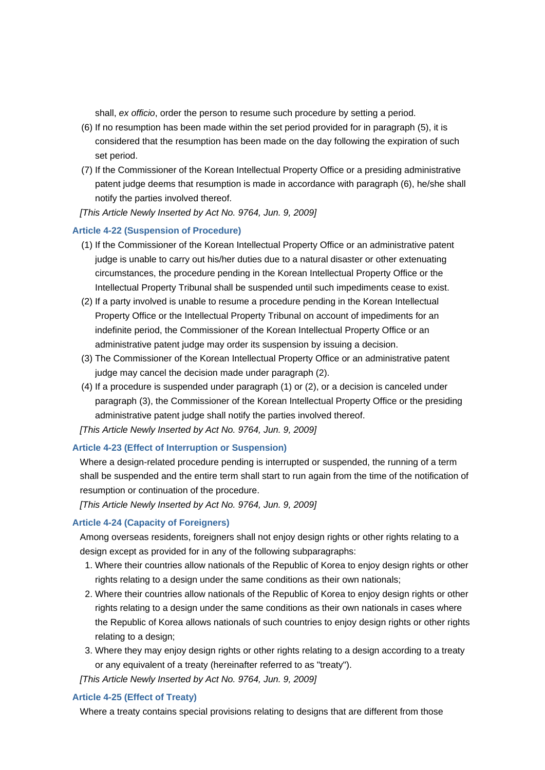shall, *ex officio*, order the person to resume such procedure by setting a period.

- (6) If no resumption has been made within the set period provided for in paragraph (5), it is considered that the resumption has been made on the day following the expiration of such set period.
- (7) If the Commissioner of the Korean Intellectual Property Office or a presiding administrative patent judge deems that resumption is made in accordance with paragraph (6), he/she shall notify the parties involved thereof.
- *[This Article Newly Inserted by Act No. 9764, Jun. 9, 2009]*

## **Article 4-22 (Suspension of Procedure)**

- (1) If the Commissioner of the Korean Intellectual Property Office or an administrative patent judge is unable to carry out his/her duties due to a natural disaster or other extenuating circumstances, the procedure pending in the Korean Intellectual Property Office or the Intellectual Property Tribunal shall be suspended until such impediments cease to exist.
- (2) If a party involved is unable to resume a procedure pending in the Korean Intellectual Property Office or the Intellectual Property Tribunal on account of impediments for an indefinite period, the Commissioner of the Korean Intellectual Property Office or an administrative patent judge may order its suspension by issuing a decision.
- (3) The Commissioner of the Korean Intellectual Property Office or an administrative patent judge may cancel the decision made under paragraph (2).
- (4) If a procedure is suspended under paragraph (1) or (2), or a decision is canceled under paragraph (3), the Commissioner of the Korean Intellectual Property Office or the presiding administrative patent judge shall notify the parties involved thereof.

*[This Article Newly Inserted by Act No. 9764, Jun. 9, 2009]*

## **Article 4-23 (Effect of Interruption or Suspension)**

Where a design-related procedure pending is interrupted or suspended, the running of a term shall be suspended and the entire term shall start to run again from the time of the notification of resumption or continuation of the procedure.

*[This Article Newly Inserted by Act No. 9764, Jun. 9, 2009]*

## **Article 4-24 (Capacity of Foreigners)**

Among overseas residents, foreigners shall not enjoy design rights or other rights relating to a design except as provided for in any of the following subparagraphs:

- 1. Where their countries allow nationals of the Republic of Korea to enjoy design rights or other rights relating to a design under the same conditions as their own nationals;
- 2. Where their countries allow nationals of the Republic of Korea to enjoy design rights or other rights relating to a design under the same conditions as their own nationals in cases where the Republic of Korea allows nationals of such countries to enjoy design rights or other rights relating to a design;
- 3. Where they may enjoy design rights or other rights relating to a design according to a treaty or any equivalent of a treaty (hereinafter referred to as "treaty").

*[This Article Newly Inserted by Act No. 9764, Jun. 9, 2009]*

## **Article 4-25 (Effect of Treaty)**

Where a treaty contains special provisions relating to designs that are different from those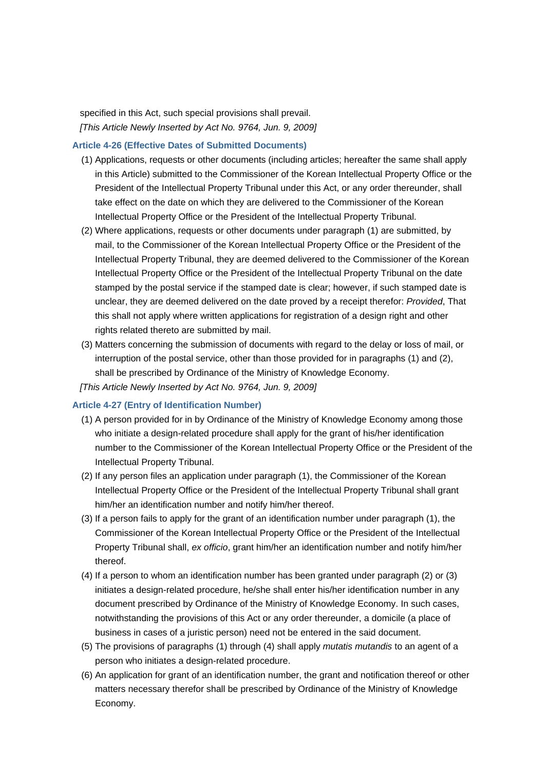specified in this Act, such special provisions shall prevail. *[This Article Newly Inserted by Act No. 9764, Jun. 9, 2009]*

#### **Article 4-26 (Effective Dates of Submitted Documents)**

- (1) Applications, requests or other documents (including articles; hereafter the same shall apply in this Article) submitted to the Commissioner of the Korean Intellectual Property Office or the President of the Intellectual Property Tribunal under this Act, or any order thereunder, shall take effect on the date on which they are delivered to the Commissioner of the Korean Intellectual Property Office or the President of the Intellectual Property Tribunal.
- (2) Where applications, requests or other documents under paragraph (1) are submitted, by mail, to the Commissioner of the Korean Intellectual Property Office or the President of the Intellectual Property Tribunal, they are deemed delivered to the Commissioner of the Korean Intellectual Property Office or the President of the Intellectual Property Tribunal on the date stamped by the postal service if the stamped date is clear; however, if such stamped date is unclear, they are deemed delivered on the date proved by a receipt therefor: *Provided*, That this shall not apply where written applications for registration of a design right and other rights related thereto are submitted by mail.
- (3) Matters concerning the submission of documents with regard to the delay or loss of mail, or interruption of the postal service, other than those provided for in paragraphs (1) and (2), shall be prescribed by Ordinance of the Ministry of Knowledge Economy.
- *[This Article Newly Inserted by Act No. 9764, Jun. 9, 2009]*

## **Article 4-27 (Entry of Identification Number)**

- (1) A person provided for in by Ordinance of the Ministry of Knowledge Economy among those who initiate a design-related procedure shall apply for the grant of his/her identification number to the Commissioner of the Korean Intellectual Property Office or the President of the Intellectual Property Tribunal.
- (2) If any person files an application under paragraph (1), the Commissioner of the Korean Intellectual Property Office or the President of the Intellectual Property Tribunal shall grant him/her an identification number and notify him/her thereof.
- (3) If a person fails to apply for the grant of an identification number under paragraph (1), the Commissioner of the Korean Intellectual Property Office or the President of the Intellectual Property Tribunal shall, *ex officio*, grant him/her an identification number and notify him/her thereof.
- (4) If a person to whom an identification number has been granted under paragraph (2) or (3) initiates a design-related procedure, he/she shall enter his/her identification number in any document prescribed by Ordinance of the Ministry of Knowledge Economy. In such cases, notwithstanding the provisions of this Act or any order thereunder, a domicile (a place of business in cases of a juristic person) need not be entered in the said document.
- (5) The provisions of paragraphs (1) through (4) shall apply *mutatis mutandis* to an agent of a person who initiates a design-related procedure.
- (6) An application for grant of an identification number, the grant and notification thereof or other matters necessary therefor shall be prescribed by Ordinance of the Ministry of Knowledge Economy.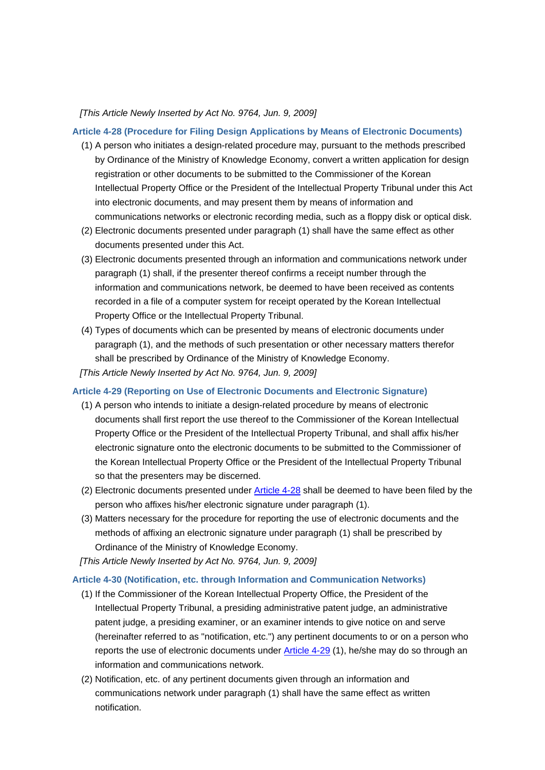#### *[This Article Newly Inserted by Act No. 9764, Jun. 9, 2009]*

#### **Article 4-28 (Procedure for Filing Design Applications by Means of Electronic Documents)**

- (1) A person who initiates a design-related procedure may, pursuant to the methods prescribed by Ordinance of the Ministry of Knowledge Economy, convert a written application for design registration or other documents to be submitted to the Commissioner of the Korean Intellectual Property Office or the President of the Intellectual Property Tribunal under this Act into electronic documents, and may present them by means of information and communications networks or electronic recording media, such as a floppy disk or optical disk.
- (2) Electronic documents presented under paragraph (1) shall have the same effect as other documents presented under this Act.
- (3) Electronic documents presented through an information and communications network under paragraph (1) shall, if the presenter thereof confirms a receipt number through the information and communications network, be deemed to have been received as contents recorded in a file of a computer system for receipt operated by the Korean Intellectual Property Office or the Intellectual Property Tribunal.
- (4) Types of documents which can be presented by means of electronic documents under paragraph (1), and the methods of such presentation or other necessary matters therefor shall be prescribed by Ordinance of the Ministry of Knowledge Economy. *[This Article Newly Inserted by Act No. 9764, Jun. 9, 2009]*

## **Article 4-29 (Reporting on Use of Electronic Documents and Electronic Signature)**

- (1) A person who intends to initiate a design-related procedure by means of electronic documents shall first report the use thereof to the Commissioner of the Korean Intellectual Property Office or the President of the Intellectual Property Tribunal, and shall affix his/her electronic signature onto the electronic documents to be submitted to the Commissioner of the Korean Intellectual Property Office or the President of the Intellectual Property Tribunal so that the presenters may be discerned.
- (2) Electronic documents presented under Article 4-28 shall be deemed to have been filed by the person who affixes his/her electronic signature under paragraph (1).
- (3) Matters necessary for the procedure for reporting the use of electronic documents and the methods of affixing an electronic signature under paragraph (1) shall be prescribed by Ordinance of the Ministry of Knowledge Economy.
- *[This Article Newly Inserted by Act No. 9764, Jun. 9, 2009]*

#### **Article 4-30 (Notification, etc. through Information and Communication Networks)**

- (1) If the Commissioner of the Korean Intellectual Property Office, the President of the Intellectual Property Tribunal, a presiding administrative patent judge, an administrative patent judge, a presiding examiner, or an examiner intends to give notice on and serve (hereinafter referred to as "notification, etc.") any pertinent documents to or on a person who reports the use of electronic documents under Article 4-29 (1), he/she may do so through an information and communications network.
- (2) Notification, etc. of any pertinent documents given through an information and communications network under paragraph (1) shall have the same effect as written notification.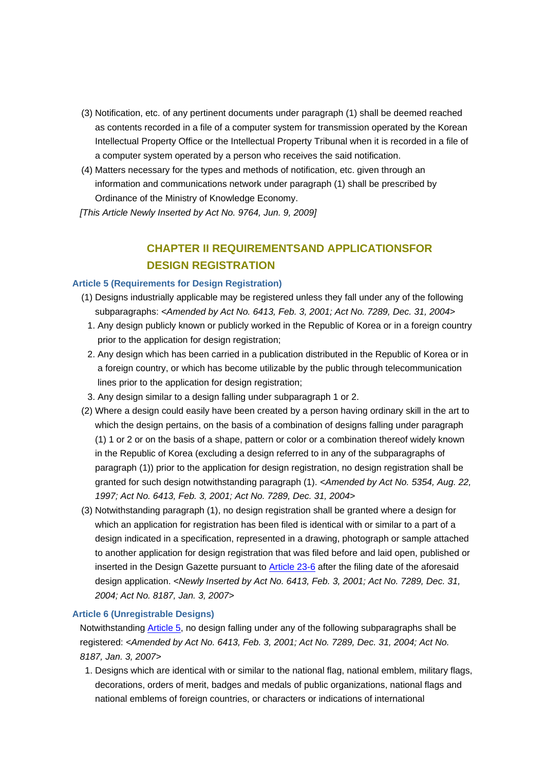- (3) Notification, etc. of any pertinent documents under paragraph (1) shall be deemed reached as contents recorded in a file of a computer system for transmission operated by the Korean Intellectual Property Office or the Intellectual Property Tribunal when it is recorded in a file of a computer system operated by a person who receives the said notification.
- (4) Matters necessary for the types and methods of notification, etc. given through an information and communications network under paragraph (1) shall be prescribed by Ordinance of the Ministry of Knowledge Economy.

*[This Article Newly Inserted by Act No. 9764, Jun. 9, 2009]*

# **CHAPTER II REQUIREMENTSAND APPLICATIONSFOR DESIGN REGISTRATION**

## **Article 5 (Requirements for Design Registration)**

- (1) Designs industrially applicable may be registered unless they fall under any of the following subparagraphs: *<Amended by Act No. 6413, Feb. 3, 2001; Act No. 7289, Dec. 31, 2004>*
- 1. Any design publicly known or publicly worked in the Republic of Korea or in a foreign country prior to the application for design registration;
- 2. Any design which has been carried in a publication distributed in the Republic of Korea or in a foreign country, or which has become utilizable by the public through telecommunication lines prior to the application for design registration;
- 3. Any design similar to a design falling under subparagraph 1 or 2.
- (2) Where a design could easily have been created by a person having ordinary skill in the art to which the design pertains, on the basis of a combination of designs falling under paragraph (1) 1 or 2 or on the basis of a shape, pattern or color or a combination thereof widely known in the Republic of Korea (excluding a design referred to in any of the subparagraphs of paragraph (1)) prior to the application for design registration, no design registration shall be granted for such design notwithstanding paragraph (1). *<Amended by Act No. 5354, Aug. 22, 1997; Act No. 6413, Feb. 3, 2001; Act No. 7289, Dec. 31, 2004>*
- (3) Notwithstanding paragraph (1), no design registration shall be granted where a design for which an application for registration has been filed is identical with or similar to a part of a design indicated in a specification, represented in a drawing, photograph or sample attached to another application for design registration that was filed before and laid open, published or inserted in the Design Gazette pursuant to Article 23-6 after the filing date of the aforesaid design application. *<Newly Inserted by Act No. 6413, Feb. 3, 2001; Act No. 7289, Dec. 31, 2004; Act No. 8187, Jan. 3, 2007>*

## **Article 6 (Unregistrable Designs)**

Notwithstanding Article 5, no design falling under any of the following subparagraphs shall be registered: *<Amended by Act No. 6413, Feb. 3, 2001; Act No. 7289, Dec. 31, 2004; Act No. 8187, Jan. 3, 2007>*

1. Designs which are identical with or similar to the national flag, national emblem, military flags, decorations, orders of merit, badges and medals of public organizations, national flags and national emblems of foreign countries, or characters or indications of international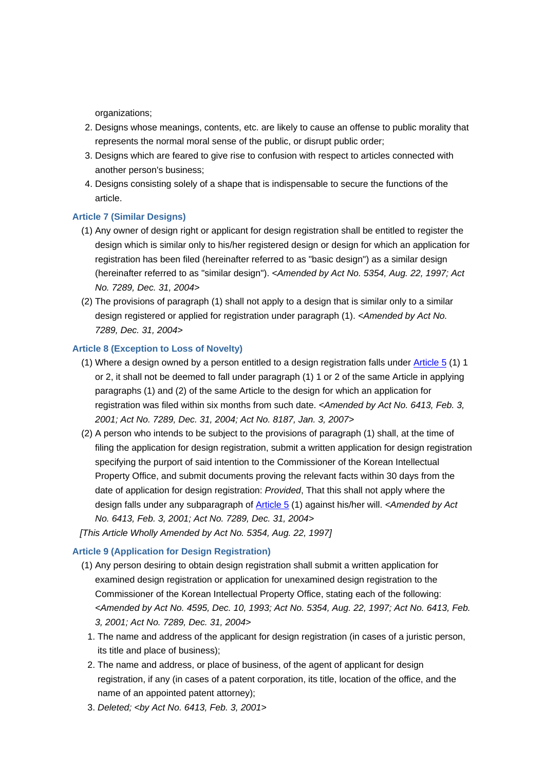organizations;

- 2. Designs whose meanings, contents, etc. are likely to cause an offense to public morality that represents the normal moral sense of the public, or disrupt public order;
- 3. Designs which are feared to give rise to confusion with respect to articles connected with another person's business;
- 4. Designs consisting solely of a shape that is indispensable to secure the functions of the article.

## **Article 7 (Similar Designs)**

- (1) Any owner of design right or applicant for design registration shall be entitled to register the design which is similar only to his/her registered design or design for which an application for registration has been filed (hereinafter referred to as "basic design") as a similar design (hereinafter referred to as "similar design"). *<Amended by Act No. 5354, Aug. 22, 1997; Act No. 7289, Dec. 31, 2004>*
- (2) The provisions of paragraph (1) shall not apply to a design that is similar only to a similar design registered or applied for registration under paragraph (1). *<Amended by Act No. 7289, Dec. 31, 2004>*

## **Article 8 (Exception to Loss of Novelty)**

- (1) Where a design owned by a person entitled to a design registration falls under  $\overline{\text{Article 5}}$  (1) 1 or 2, it shall not be deemed to fall under paragraph (1) 1 or 2 of the same Article in applying paragraphs (1) and (2) of the same Article to the design for which an application for registration was filed within six months from such date. *<Amended by Act No. 6413, Feb. 3, 2001; Act No. 7289, Dec. 31, 2004; Act No. 8187, Jan. 3, 2007>*
- (2) A person who intends to be subject to the provisions of paragraph (1) shall, at the time of filing the application for design registration, submit a written application for design registration specifying the purport of said intention to the Commissioner of the Korean Intellectual Property Office, and submit documents proving the relevant facts within 30 days from the date of application for design registration: *Provided*, That this shall not apply where the design falls under any subparagraph of Article 5 (1) against his/her will. *<Amended by Act No. 6413, Feb. 3, 2001; Act No. 7289, Dec. 31, 2004>*

*[This Article Wholly Amended by Act No. 5354, Aug. 22, 1997]*

## **Article 9 (Application for Design Registration)**

- (1) Any person desiring to obtain design registration shall submit a written application for examined design registration or application for unexamined design registration to the Commissioner of the Korean Intellectual Property Office, stating each of the following: *<Amended by Act No. 4595, Dec. 10, 1993; Act No. 5354, Aug. 22, 1997; Act No. 6413, Feb. 3, 2001; Act No. 7289, Dec. 31, 2004>*
	- 1. The name and address of the applicant for design registration (in cases of a juristic person, its title and place of business);
	- 2. The name and address, or place of business, of the agent of applicant for design registration, if any (in cases of a patent corporation, its title, location of the office, and the name of an appointed patent attorney);
	- 3. *Deleted; <by Act No. 6413, Feb. 3, 2001>*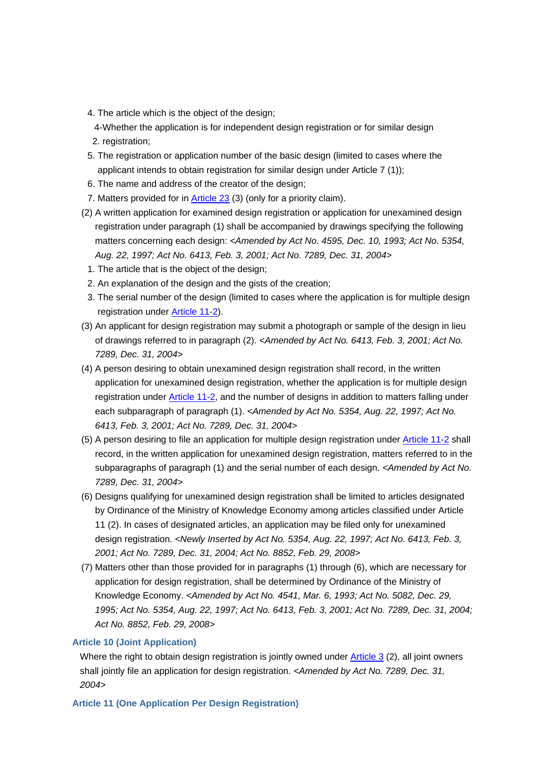- 4. The article which is the object of the design;
- 4- Whether the application is for independent design registration or for similar design
	- 2. registration;
- 5. The registration or application number of the basic design (limited to cases where the applicant intends to obtain registration for similar design under Article 7 (1));
- 6. The name and address of the creator of the design;
- 7. Matters provided for in Article 23 (3) (only for a priority claim).
- (2) A written application for examined design registration or application for unexamined design registration under paragraph (1) shall be accompanied by drawings specifying the following matters concerning each design: *<Amended by Act No. 4595, Dec. 10, 1993; Act No. 5354, Aug. 22, 1997; Act No. 6413, Feb. 3, 2001; Act No. 7289, Dec. 31, 2004>*
	- 1. The article that is the object of the design;
	- 2. An explanation of the design and the gists of the creation;
- 3. The serial number of the design (limited to cases where the application is for multiple design registration under Article 11-2).
- (3) An applicant for design registration may submit a photograph or sample of the design in lieu of drawings referred to in paragraph (2). *<Amended by Act No. 6413, Feb. 3, 2001; Act No. 7289, Dec. 31, 2004>*
- (4) A person desiring to obtain unexamined design registration shall record, in the written application for unexamined design registration, whether the application is for multiple design registration under Article 11-2, and the number of designs in addition to matters falling under each subparagraph of paragraph (1). *<Amended by Act No. 5354, Aug. 22, 1997; Act No. 6413, Feb. 3, 2001; Act No. 7289, Dec. 31, 2004>*
- (5) A person desiring to file an application for multiple design registration under Article 11-2 shall record, in the written application for unexamined design registration, matters referred to in the subparagraphs of paragraph (1) and the serial number of each design. *<Amended by Act No. 7289, Dec. 31, 2004>*
- (6) Designs qualifying for unexamined design registration shall be limited to articles designated by Ordinance of the Ministry of Knowledge Economy among articles classified under Article 11 (2). In cases of designated articles, an application may be filed only for unexamined design registration. *<Newly Inserted by Act No. 5354, Aug. 22, 1997; Act No. 6413, Feb. 3, 2001; Act No. 7289, Dec. 31, 2004; Act No. 8852, Feb. 29, 2008>*
- (7) Matters other than those provided for in paragraphs (1) through (6), which are necessary for application for design registration, shall be determined by Ordinance of the Ministry of Knowledge Economy. *<Amended by Act No. 4541, Mar. 6, 1993; Act No. 5082, Dec. 29, 1995; Act No. 5354, Aug. 22, 1997; Act No. 6413, Feb. 3, 2001; Act No. 7289, Dec. 31, 2004; Act No. 8852, Feb. 29, 2008>*

## **Article 10 (Joint Application)**

Where the right to obtain design registration is jointly owned under Article 3 (2), all joint owners shall jointly file an application for design registration. *<Amended by Act No. 7289, Dec. 31, 2004>*

## **Article 11 (One Application Per Design Registration)**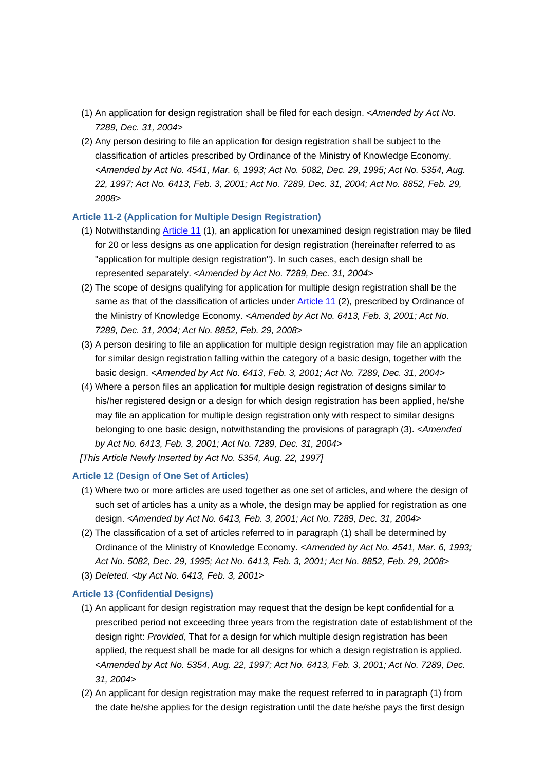- (1) An application for design registration shall be filed for each design. *<Amended by Act No. 7289, Dec. 31, 2004>*
- (2) Any person desiring to file an application for design registration shall be subject to the classification of articles prescribed by Ordinance of the Ministry of Knowledge Economy. *<Amended by Act No. 4541, Mar. 6, 1993; Act No. 5082, Dec. 29, 1995; Act No. 5354, Aug. 22, 1997; Act No. 6413, Feb. 3, 2001; Act No. 7289, Dec. 31, 2004; Act No. 8852, Feb. 29, 2008>*

## **Article 11-2 (Application for Multiple Design Registration)**

- (1) Notwithstanding Article 11 (1), an application for unexamined design registration may be filed for 20 or less designs as one application for design registration (hereinafter referred to as "application for multiple design registration"). In such cases, each design shall be represented separately. *<Amended by Act No. 7289, Dec. 31, 2004>*
- (2) The scope of designs qualifying for application for multiple design registration shall be the same as that of the classification of articles under Article 11 (2), prescribed by Ordinance of the Ministry of Knowledge Economy. *<Amended by Act No. 6413, Feb. 3, 2001; Act No. 7289, Dec. 31, 2004; Act No. 8852, Feb. 29, 2008>*
- (3) A person desiring to file an application for multiple design registration may file an application for similar design registration falling within the category of a basic design, together with the basic design. *<Amended by Act No. 6413, Feb. 3, 2001; Act No. 7289, Dec. 31, 2004>*
- (4) Where a person files an application for multiple design registration of designs similar to his/her registered design or a design for which design registration has been applied, he/she may file an application for multiple design registration only with respect to similar designs belonging to one basic design, notwithstanding the provisions of paragraph (3). *<Amended by Act No. 6413, Feb. 3, 2001; Act No. 7289, Dec. 31, 2004>*
- *[This Article Newly Inserted by Act No. 5354, Aug. 22, 1997]*

## **Article 12 (Design of One Set of Articles)**

- (1) Where two or more articles are used together as one set of articles, and where the design of such set of articles has a unity as a whole, the design may be applied for registration as one design. *<Amended by Act No. 6413, Feb. 3, 2001; Act No. 7289, Dec. 31, 2004>*
- (2) The classification of a set of articles referred to in paragraph (1) shall be determined by Ordinance of the Ministry of Knowledge Economy. *<Amended by Act No. 4541, Mar. 6, 1993; Act No. 5082, Dec. 29, 1995; Act No. 6413, Feb. 3, 2001; Act No. 8852, Feb. 29, 2008>*
- (3) *Deleted. <by Act No. 6413, Feb. 3, 2001>*

## **Article 13 (Confidential Designs)**

- (1) An applicant for design registration may request that the design be kept confidential for a prescribed period not exceeding three years from the registration date of establishment of the design right: *Provided*, That for a design for which multiple design registration has been applied, the request shall be made for all designs for which a design registration is applied. *<Amended by Act No. 5354, Aug. 22, 1997; Act No. 6413, Feb. 3, 2001; Act No. 7289, Dec. 31, 2004>*
- (2) An applicant for design registration may make the request referred to in paragraph (1) from the date he/she applies for the design registration until the date he/she pays the first design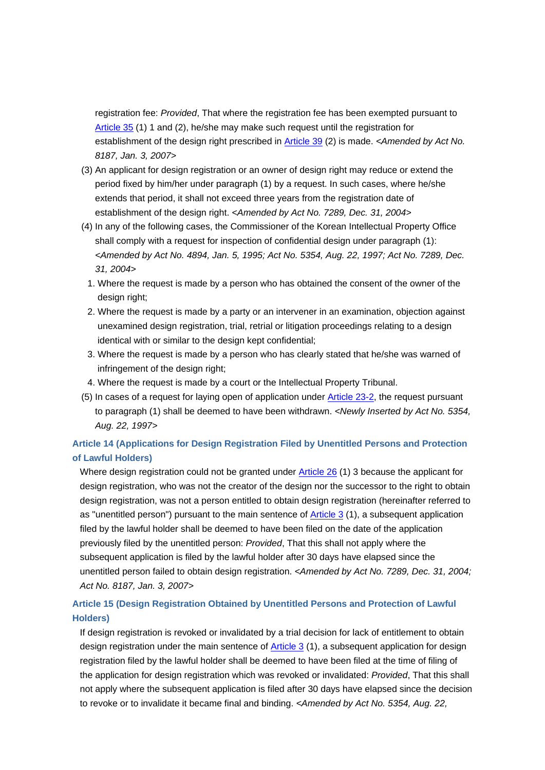registration fee: *Provided*, That where the registration fee has been exempted pursuant to Article 35 (1) 1 and (2), he/she may make such request until the registration for establishment of the design right prescribed in Article 39 (2) is made. *<Amended by Act No. 8187, Jan. 3, 2007>*

- (3) An applicant for design registration or an owner of design right may reduce or extend the period fixed by him/her under paragraph (1) by a request. In such cases, where he/she extends that period, it shall not exceed three years from the registration date of establishment of the design right. *<Amended by Act No. 7289, Dec. 31, 2004>*
- (4) In any of the following cases, the Commissioner of the Korean Intellectual Property Office shall comply with a request for inspection of confidential design under paragraph (1): *<Amended by Act No. 4894, Jan. 5, 1995; Act No. 5354, Aug. 22, 1997; Act No. 7289, Dec. 31, 2004>*
	- 1. Where the request is made by a person who has obtained the consent of the owner of the design right;
	- 2. Where the request is made by a party or an intervener in an examination, objection against unexamined design registration, trial, retrial or litigation proceedings relating to a design identical with or similar to the design kept confidential;
- 3. Where the request is made by a person who has clearly stated that he/she was warned of infringement of the design right;
- 4. Where the request is made by a court or the Intellectual Property Tribunal.
- (5) In cases of a request for laying open of application under Article 23-2, the request pursuant to paragraph (1) shall be deemed to have been withdrawn. *<Newly Inserted by Act No. 5354, Aug. 22, 1997>*

# **Article 14 (Applications for Design Registration Filed by Unentitled Persons and Protection of Lawful Holders)**

Where design registration could not be granted under Article 26 (1) 3 because the applicant for design registration, who was not the creator of the design nor the successor to the right to obtain design registration, was not a person entitled to obtain design registration (hereinafter referred to as "unentitled person") pursuant to the main sentence of Article 3 (1), a subsequent application filed by the lawful holder shall be deemed to have been filed on the date of the application previously filed by the unentitled person: *Provided*, That this shall not apply where the subsequent application is filed by the lawful holder after 30 days have elapsed since the unentitled person failed to obtain design registration. *<Amended by Act No. 7289, Dec. 31, 2004; Act No. 8187, Jan. 3, 2007>*

# **Article 15 (Design Registration Obtained by Unentitled Persons and Protection of Lawful Holders)**

If design registration is revoked or invalidated by a trial decision for lack of entitlement to obtain design registration under the main sentence of Article 3 (1), a subsequent application for design registration filed by the lawful holder shall be deemed to have been filed at the time of filing of the application for design registration which was revoked or invalidated: *Provided*, That this shall not apply where the subsequent application is filed after 30 days have elapsed since the decision to revoke or to invalidate it became final and binding. *<Amended by Act No. 5354, Aug. 22,*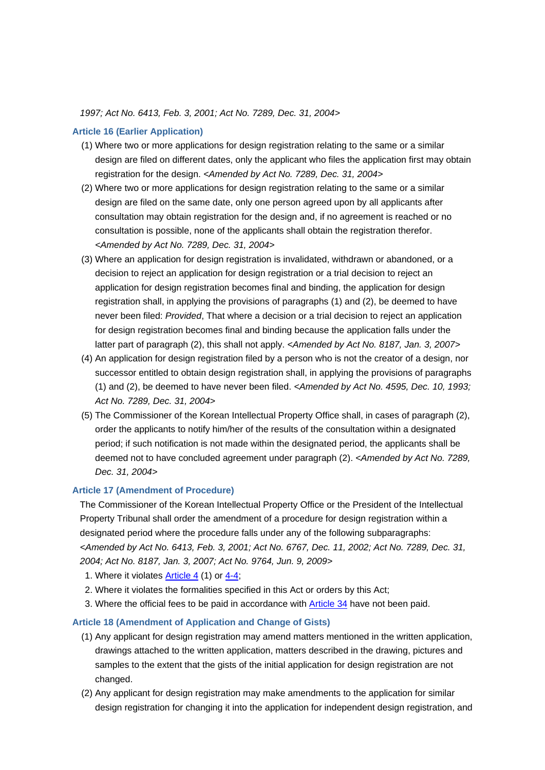*1997; Act No. 6413, Feb. 3, 2001; Act No. 7289, Dec. 31, 2004>*

## **Article 16 (Earlier Application)**

- (1) Where two or more applications for design registration relating to the same or a similar design are filed on different dates, only the applicant who files the application first may obtain registration for the design. *<Amended by Act No. 7289, Dec. 31, 2004>*
- (2) Where two or more applications for design registration relating to the same or a similar design are filed on the same date, only one person agreed upon by all applicants after consultation may obtain registration for the design and, if no agreement is reached or no consultation is possible, none of the applicants shall obtain the registration therefor. *<Amended by Act No. 7289, Dec. 31, 2004>*
- (3) Where an application for design registration is invalidated, withdrawn or abandoned, or a decision to reject an application for design registration or a trial decision to reject an application for design registration becomes final and binding, the application for design registration shall, in applying the provisions of paragraphs (1) and (2), be deemed to have never been filed: *Provided*, That where a decision or a trial decision to reject an application for design registration becomes final and binding because the application falls under the latter part of paragraph (2), this shall not apply. *<Amended by Act No. 8187, Jan. 3, 2007>*
- (4) An application for design registration filed by a person who is not the creator of a design, nor successor entitled to obtain design registration shall, in applying the provisions of paragraphs (1) and (2), be deemed to have never been filed. *<Amended by Act No. 4595, Dec. 10, 1993; Act No. 7289, Dec. 31, 2004>*
- (5) The Commissioner of the Korean Intellectual Property Office shall, in cases of paragraph (2), order the applicants to notify him/her of the results of the consultation within a designated period; if such notification is not made within the designated period, the applicants shall be deemed not to have concluded agreement under paragraph (2). *<Amended by Act No. 7289, Dec. 31, 2004>*

## **Article 17 (Amendment of Procedure)**

The Commissioner of the Korean Intellectual Property Office or the President of the Intellectual Property Tribunal shall order the amendment of a procedure for design registration within a designated period where the procedure falls under any of the following subparagraphs: *<Amended by Act No. 6413, Feb. 3, 2001; Act No. 6767, Dec. 11, 2002; Act No. 7289, Dec. 31, 2004; Act No. 8187, Jan. 3, 2007; Act No. 9764, Jun. 9, 2009>*

- 1. Where it violates Article 4 (1) or 4-4;
- 2. Where it violates the formalities specified in this Act or orders by this Act;
- 3. Where the official fees to be paid in accordance with Article 34 have not been paid.

## **Article 18 (Amendment of Application and Change of Gists)**

- (1) Any applicant for design registration may amend matters mentioned in the written application, drawings attached to the written application, matters described in the drawing, pictures and samples to the extent that the gists of the initial application for design registration are not changed.
- (2) Any applicant for design registration may make amendments to the application for similar design registration for changing it into the application for independent design registration, and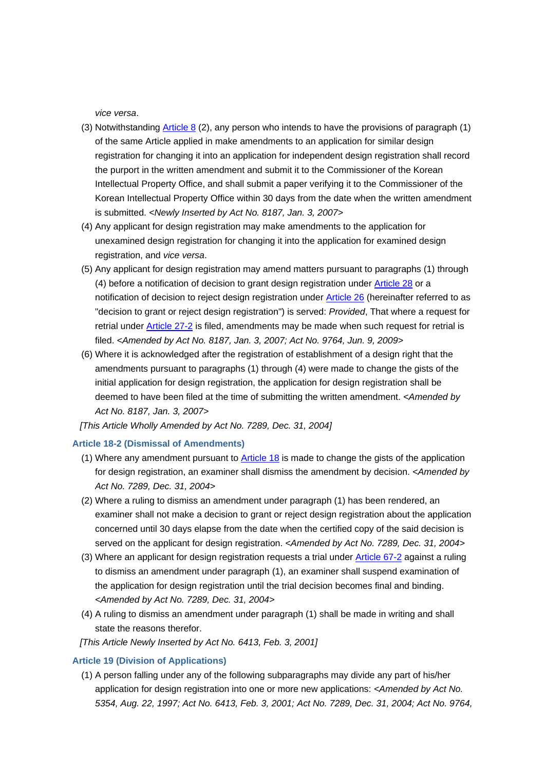*vice versa*.

- (3) Notwithstanding Article 8 (2), any person who intends to have the provisions of paragraph (1) of the same Article applied in make amendments to an application for similar design registration for changing it into an application for independent design registration shall record the purport in the written amendment and submit it to the Commissioner of the Korean Intellectual Property Office, and shall submit a paper verifying it to the Commissioner of the Korean Intellectual Property Office within 30 days from the date when the written amendment is submitted. *<Newly Inserted by Act No. 8187, Jan. 3, 2007>*
- (4) Any applicant for design registration may make amendments to the application for unexamined design registration for changing it into the application for examined design registration, and *vice versa*.
- (5) Any applicant for design registration may amend matters pursuant to paragraphs (1) through (4) before a notification of decision to grant design registration under Article 28 or a notification of decision to reject design registration under Article 26 (hereinafter referred to as "decision to grant or reject design registration") is served: *Provided*, That where a request for retrial under Article 27-2 is filed, amendments may be made when such request for retrial is filed. *<Amended by Act No. 8187, Jan. 3, 2007; Act No. 9764, Jun. 9, 2009>*
- (6) Where it is acknowledged after the registration of establishment of a design right that the amendments pursuant to paragraphs (1) through (4) were made to change the gists of the initial application for design registration, the application for design registration shall be deemed to have been filed at the time of submitting the written amendment. *<Amended by Act No. 8187, Jan. 3, 2007>*

*[This Article Wholly Amended by Act No. 7289, Dec. 31, 2004]*

## **Article 18-2 (Dismissal of Amendments)**

- (1) Where any amendment pursuant to Article 18 is made to change the gists of the application for design registration, an examiner shall dismiss the amendment by decision. *<Amended by Act No. 7289, Dec. 31, 2004>*
- (2) Where a ruling to dismiss an amendment under paragraph (1) has been rendered, an examiner shall not make a decision to grant or reject design registration about the application concerned until 30 days elapse from the date when the certified copy of the said decision is served on the applicant for design registration. *<Amended by Act No. 7289, Dec. 31, 2004>*
- (3) Where an applicant for design registration requests a trial under Article 67-2 against a ruling to dismiss an amendment under paragraph (1), an examiner shall suspend examination of the application for design registration until the trial decision becomes final and binding. *<Amended by Act No. 7289, Dec. 31, 2004>*
- (4) A ruling to dismiss an amendment under paragraph (1) shall be made in writing and shall state the reasons therefor.
- *[This Article Newly Inserted by Act No. 6413, Feb. 3, 2001]*

#### **Article 19 (Division of Applications)**

(1) A person falling under any of the following subparagraphs may divide any part of his/her application for design registration into one or more new applications: *<Amended by Act No. 5354, Aug. 22, 1997; Act No. 6413, Feb. 3, 2001; Act No. 7289, Dec. 31, 2004; Act No. 9764,*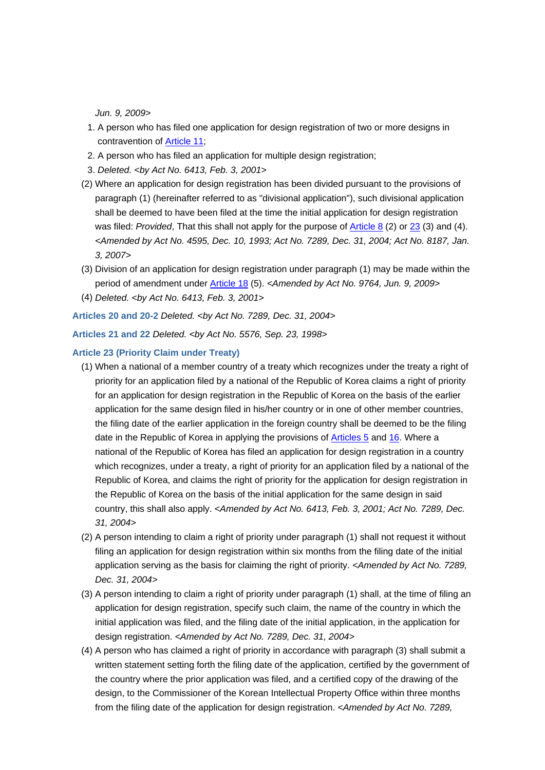*Jun. 9, 2009>*

- 1. A person who has filed one application for design registration of two or more designs in contravention of Article 11;
- 2. A person who has filed an application for multiple design registration;
- 3. *Deleted. <by Act No. 6413, Feb. 3, 2001>*
- (2) Where an application for design registration has been divided pursuant to the provisions of paragraph (1) (hereinafter referred to as "divisional application"), such divisional application shall be deemed to have been filed at the time the initial application for design registration was filed: *Provided*, That this shall not apply for the purpose of **Article 8** (2) or 23 (3) and (4). *<Amended by Act No. 4595, Dec. 10, 1993; Act No. 7289, Dec. 31, 2004; Act No. 8187, Jan. 3, 2007>*
- (3) Division of an application for design registration under paragraph (1) may be made within the period of amendment under Article 18 (5). *<Amended by Act No. 9764, Jun. 9, 2009>*
- (4) *Deleted. <by Act No. 6413, Feb. 3, 2001>*

**Articles 20 and 20-2** *Deleted. <by Act No. 7289, Dec. 31, 2004>*

**Articles 21 and 22** *Deleted. <by Act No. 5576, Sep. 23, 1998>*

## **Article 23 (Priority Claim under Treaty)**

- (1) When a national of a member country of a treaty which recognizes under the treaty a right of priority for an application filed by a national of the Republic of Korea claims a right of priority for an application for design registration in the Republic of Korea on the basis of the earlier application for the same design filed in his/her country or in one of other member countries, the filing date of the earlier application in the foreign country shall be deemed to be the filing date in the Republic of Korea in applying the provisions of **Articles 5** and 16. Where a national of the Republic of Korea has filed an application for design registration in a country which recognizes, under a treaty, a right of priority for an application filed by a national of the Republic of Korea, and claims the right of priority for the application for design registration in the Republic of Korea on the basis of the initial application for the same design in said country, this shall also apply. *<Amended by Act No. 6413, Feb. 3, 2001; Act No. 7289, Dec. 31, 2004>*
- (2) A person intending to claim a right of priority under paragraph (1) shall not request it without filing an application for design registration within six months from the filing date of the initial application serving as the basis for claiming the right of priority. *<Amended by Act No. 7289, Dec. 31, 2004>*
- (3) A person intending to claim a right of priority under paragraph (1) shall, at the time of filing an application for design registration, specify such claim, the name of the country in which the initial application was filed, and the filing date of the initial application, in the application for design registration. *<Amended by Act No. 7289, Dec. 31, 2004>*
- (4) A person who has claimed a right of priority in accordance with paragraph (3) shall submit a written statement setting forth the filing date of the application, certified by the government of the country where the prior application was filed, and a certified copy of the drawing of the design, to the Commissioner of the Korean Intellectual Property Office within three months from the filing date of the application for design registration. *<Amended by Act No. 7289,*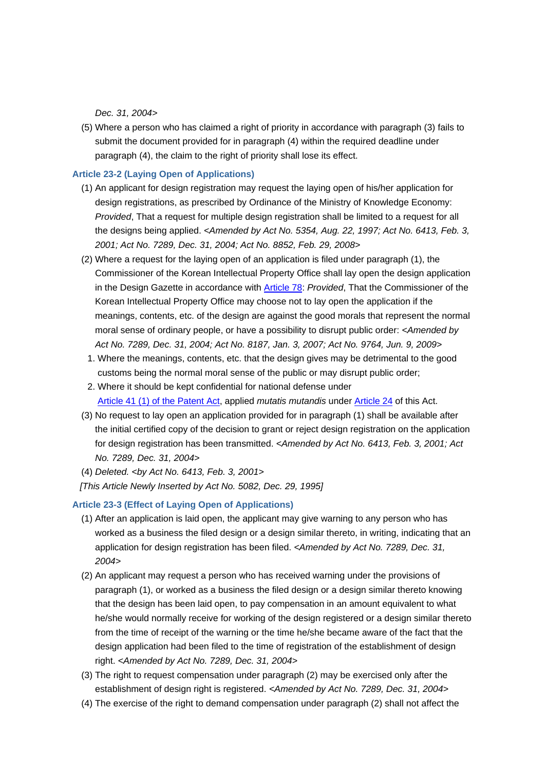*Dec. 31, 2004>*

(5) Where a person who has claimed a right of priority in accordance with paragraph (3) fails to submit the document provided for in paragraph (4) within the required deadline under paragraph (4), the claim to the right of priority shall lose its effect.

## **Article 23-2 (Laying Open of Applications)**

- (1) An applicant for design registration may request the laying open of his/her application for design registrations, as prescribed by Ordinance of the Ministry of Knowledge Economy: *Provided*, That a request for multiple design registration shall be limited to a request for all the designs being applied. *<Amended by Act No. 5354, Aug. 22, 1997; Act No. 6413, Feb. 3, 2001; Act No. 7289, Dec. 31, 2004; Act No. 8852, Feb. 29, 2008>*
- (2) Where a request for the laying open of an application is filed under paragraph (1), the Commissioner of the Korean Intellectual Property Office shall lay open the design application in the Design Gazette in accordance with Article 78: *Provided*, That the Commissioner of the Korean Intellectual Property Office may choose not to lay open the application if the meanings, contents, etc. of the design are against the good morals that represent the normal moral sense of ordinary people, or have a possibility to disrupt public order: *<Amended by Act No. 7289, Dec. 31, 2004; Act No. 8187, Jan. 3, 2007; Act No. 9764, Jun. 9, 2009>*
	- 1. Where the meanings, contents, etc. that the design gives may be detrimental to the good customs being the normal moral sense of the public or may disrupt public order;
- 2. Where it should be kept confidential for national defense under Article 41 (1) of the Patent Act, applied *mutatis mutandis* under Article 24 of this Act.
- (3) No request to lay open an application provided for in paragraph (1) shall be available after the initial certified copy of the decision to grant or reject design registration on the application for design registration has been transmitted. *<Amended by Act No. 6413, Feb. 3, 2001; Act No. 7289, Dec. 31, 2004>*
- (4) *Deleted. <by Act No. 6413, Feb. 3, 2001>*

*[This Article Newly Inserted by Act No. 5082, Dec. 29, 1995]*

#### **Article 23-3 (Effect of Laying Open of Applications)**

- (1) After an application is laid open, the applicant may give warning to any person who has worked as a business the filed design or a design similar thereto, in writing, indicating that an application for design registration has been filed. *<Amended by Act No. 7289, Dec. 31, 2004>*
- (2) An applicant may request a person who has received warning under the provisions of paragraph (1), or worked as a business the filed design or a design similar thereto knowing that the design has been laid open, to pay compensation in an amount equivalent to what he/she would normally receive for working of the design registered or a design similar thereto from the time of receipt of the warning or the time he/she became aware of the fact that the design application had been filed to the time of registration of the establishment of design right. *<Amended by Act No. 7289, Dec. 31, 2004>*
- (3) The right to request compensation under paragraph (2) may be exercised only after the establishment of design right is registered. *<Amended by Act No. 7289, Dec. 31, 2004>*
- (4) The exercise of the right to demand compensation under paragraph (2) shall not affect the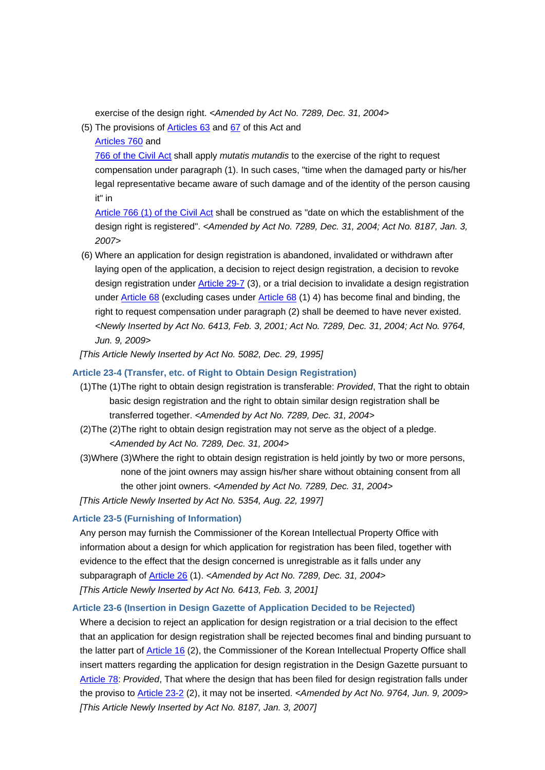exercise of the design right. *<Amended by Act No. 7289, Dec. 31, 2004>*

(5) The provisions of Articles 63 and 67 of this Act and

Articles 760 and

766 of the Civil Act shall apply *mutatis mutandis* to the exercise of the right to request compensation under paragraph (1). In such cases, "time when the damaged party or his/her legal representative became aware of such damage and of the identity of the person causing it" in

Article 766 (1) of the Civil Act shall be construed as "date on which the establishment of the design right is registered". *<Amended by Act No. 7289, Dec. 31, 2004; Act No. 8187, Jan. 3, 2007>*

(6) Where an application for design registration is abandoned, invalidated or withdrawn after laying open of the application, a decision to reject design registration, a decision to revoke design registration under Article 29-7 (3), or a trial decision to invalidate a design registration under Article 68 (excluding cases under Article 68 (1) 4) has become final and binding, the right to request compensation under paragraph (2) shall be deemed to have never existed. *<Newly Inserted by Act No. 6413, Feb. 3, 2001; Act No. 7289, Dec. 31, 2004; Act No. 9764, Jun. 9, 2009>*

*[This Article Newly Inserted by Act No. 5082, Dec. 29, 1995]*

## **Article 23-4 (Transfer, etc. of Right to Obtain Design Registration)**

- (1)The (1)The right to obtain design registration is transferable: *Provided*, That the right to obtain basic design registration and the right to obtain similar design registration shall be transferred together. *<Amended by Act No. 7289, Dec. 31, 2004>*
- (2)The (2)The right to obtain design registration may not serve as the object of a pledge. *<Amended by Act No. 7289, Dec. 31, 2004>*
- (3)Where (3)Where the right to obtain design registration is held jointly by two or more persons, none of the joint owners may assign his/her share without obtaining consent from all the other joint owners. *<Amended by Act No. 7289, Dec. 31, 2004> [This Article Newly Inserted by Act No. 5354, Aug. 22, 1997]*

## **Article 23-5 (Furnishing of Information)**

Any person may furnish the Commissioner of the Korean Intellectual Property Office with information about a design for which application for registration has been filed, together with evidence to the effect that the design concerned is unregistrable as it falls under any subparagraph of Article 26 (1). *<Amended by Act No. 7289, Dec. 31, 2004> [This Article Newly Inserted by Act No. 6413, Feb. 3, 2001]*

## **Article 23-6 (Insertion in Design Gazette of Application Decided to be Rejected)**

Where a decision to reject an application for design registration or a trial decision to the effect that an application for design registration shall be rejected becomes final and binding pursuant to the latter part of Article 16 (2), the Commissioner of the Korean Intellectual Property Office shall insert matters regarding the application for design registration in the Design Gazette pursuant to Article 78: *Provided*, That where the design that has been filed for design registration falls under the proviso to Article 23-2 (2), it may not be inserted. *<Amended by Act No. 9764, Jun. 9, 2009> [This Article Newly Inserted by Act No. 8187, Jan. 3, 2007]*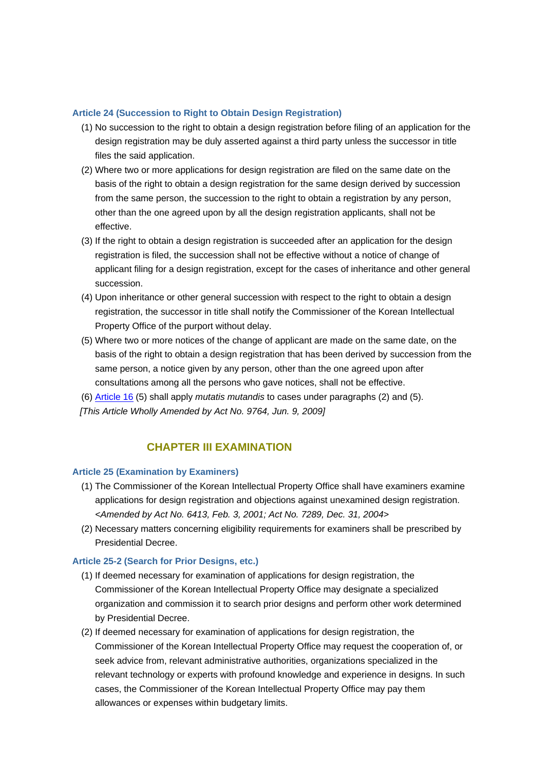## **Article 24 (Succession to Right to Obtain Design Registration)**

- (1) No succession to the right to obtain a design registration before filing of an application for the design registration may be duly asserted against a third party unless the successor in title files the said application.
- (2) Where two or more applications for design registration are filed on the same date on the basis of the right to obtain a design registration for the same design derived by succession from the same person, the succession to the right to obtain a registration by any person, other than the one agreed upon by all the design registration applicants, shall not be effective.
- (3) If the right to obtain a design registration is succeeded after an application for the design registration is filed, the succession shall not be effective without a notice of change of applicant filing for a design registration, except for the cases of inheritance and other general succession.
- (4) Upon inheritance or other general succession with respect to the right to obtain a design registration, the successor in title shall notify the Commissioner of the Korean Intellectual Property Office of the purport without delay.
- (5) Where two or more notices of the change of applicant are made on the same date, on the basis of the right to obtain a design registration that has been derived by succession from the same person, a notice given by any person, other than the one agreed upon after consultations among all the persons who gave notices, shall not be effective.
- (6) Article 16 (5) shall apply *mutatis mutandis* to cases under paragraphs (2) and (5). *[This Article Wholly Amended by Act No. 9764, Jun. 9, 2009]*

# **CHAPTER III EXAMINATION**

## **Article 25 (Examination by Examiners)**

- (1) The Commissioner of the Korean Intellectual Property Office shall have examiners examine applications for design registration and objections against unexamined design registration. *<Amended by Act No. 6413, Feb. 3, 2001; Act No. 7289, Dec. 31, 2004>*
- (2) Necessary matters concerning eligibility requirements for examiners shall be prescribed by Presidential Decree.

## **Article 25-2 (Search for Prior Designs, etc.)**

- (1) If deemed necessary for examination of applications for design registration, the Commissioner of the Korean Intellectual Property Office may designate a specialized organization and commission it to search prior designs and perform other work determined by Presidential Decree.
- (2) If deemed necessary for examination of applications for design registration, the Commissioner of the Korean Intellectual Property Office may request the cooperation of, or seek advice from, relevant administrative authorities, organizations specialized in the relevant technology or experts with profound knowledge and experience in designs. In such cases, the Commissioner of the Korean Intellectual Property Office may pay them allowances or expenses within budgetary limits.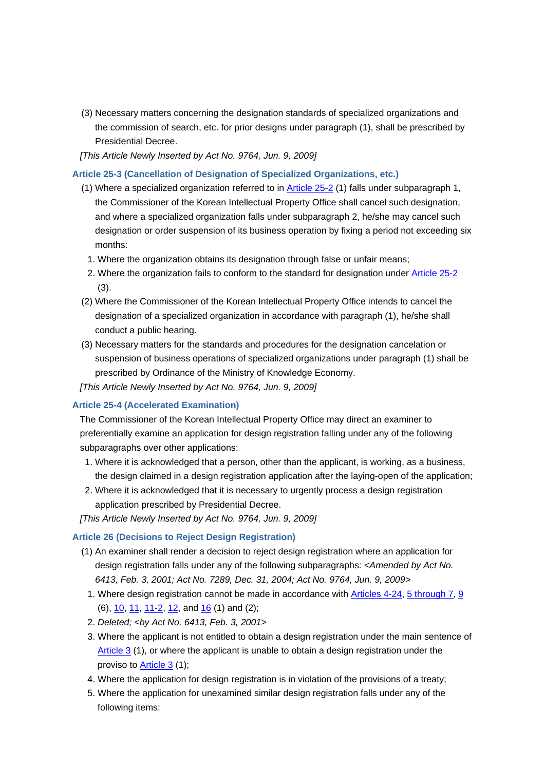(3) Necessary matters concerning the designation standards of specialized organizations and the commission of search, etc. for prior designs under paragraph (1), shall be prescribed by Presidential Decree.

*[This Article Newly Inserted by Act No. 9764, Jun. 9, 2009]*

**Article 25-3 (Cancellation of Designation of Specialized Organizations, etc.)**

- (1) Where a specialized organization referred to in Article 25-2 (1) falls under subparagraph 1, the Commissioner of the Korean Intellectual Property Office shall cancel such designation, and where a specialized organization falls under subparagraph 2, he/she may cancel such designation or order suspension of its business operation by fixing a period not exceeding six months:
	- 1. Where the organization obtains its designation through false or unfair means;
- 2. Where the organization fails to conform to the standard for designation under Article 25-2 (3).
- (2) Where the Commissioner of the Korean Intellectual Property Office intends to cancel the designation of a specialized organization in accordance with paragraph (1), he/she shall conduct a public hearing.
- (3) Necessary matters for the standards and procedures for the designation cancelation or suspension of business operations of specialized organizations under paragraph (1) shall be prescribed by Ordinance of the Ministry of Knowledge Economy.
- *[This Article Newly Inserted by Act No. 9764, Jun. 9, 2009]*

## **Article 25-4 (Accelerated Examination)**

The Commissioner of the Korean Intellectual Property Office may direct an examiner to preferentially examine an application for design registration falling under any of the following subparagraphs over other applications:

- 1. Where it is acknowledged that a person, other than the applicant, is working, as a business, the design claimed in a design registration application after the laying-open of the application;
- 2. Where it is acknowledged that it is necessary to urgently process a design registration application prescribed by Presidential Decree.

*[This Article Newly Inserted by Act No. 9764, Jun. 9, 2009]*

## **Article 26 (Decisions to Reject Design Registration)**

- (1) An examiner shall render a decision to reject design registration where an application for design registration falls under any of the following subparagraphs: *<Amended by Act No. 6413, Feb. 3, 2001; Act No. 7289, Dec. 31, 2004; Act No. 9764, Jun. 9, 2009>*
	- 1. Where design registration cannot be made in accordance with Articles 4-24, 5 through 7, 9 (6), 10, 11, 11-2, 12, and 16 (1) and (2);
	- 2. *Deleted; <by Act No. 6413, Feb. 3, 2001>*
- 3. Where the applicant is not entitled to obtain a design registration under the main sentence of Article 3 (1), or where the applicant is unable to obtain a design registration under the proviso to Article 3 (1);
- 4. Where the application for design registration is in violation of the provisions of a treaty;
- 5. Where the application for unexamined similar design registration falls under any of the following items: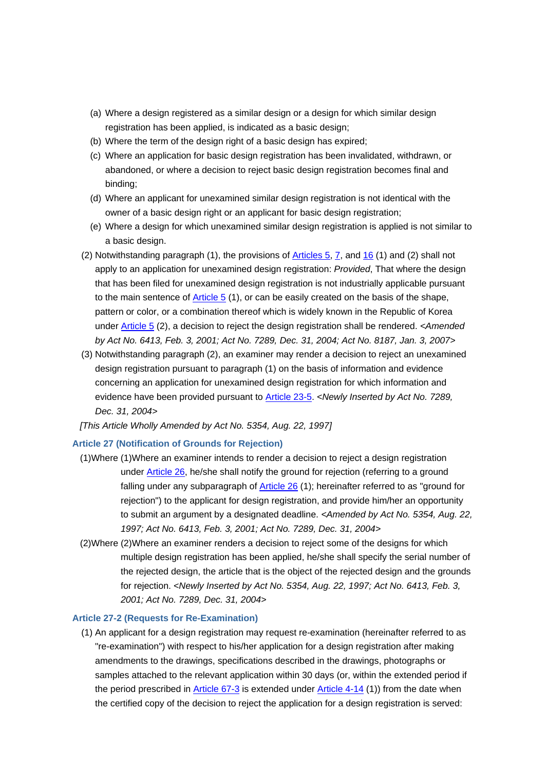- (a) Where a design registered as a similar design or a design for which similar design registration has been applied, is indicated as a basic design;
- (b) Where the term of the design right of a basic design has expired;
- (c) Where an application for basic design registration has been invalidated, withdrawn, or abandoned, or where a decision to reject basic design registration becomes final and binding;
- (d) Where an applicant for unexamined similar design registration is not identical with the owner of a basic design right or an applicant for basic design registration;
- (e) Where a design for which unexamined similar design registration is applied is not similar to a basic design.
- (2) Notwithstanding paragraph (1), the provisions of  $\overline{\text{Articles 5, 7}}$ , and 16 (1) and (2) shall not apply to an application for unexamined design registration: *Provided*, That where the design that has been filed for unexamined design registration is not industrially applicable pursuant to the main sentence of Article 5 (1), or can be easily created on the basis of the shape, pattern or color, or a combination thereof which is widely known in the Republic of Korea under Article 5 (2), a decision to reject the design registration shall be rendered. *<Amended by Act No. 6413, Feb. 3, 2001; Act No. 7289, Dec. 31, 2004; Act No. 8187, Jan. 3, 2007>*
- (3) Notwithstanding paragraph (2), an examiner may render a decision to reject an unexamined design registration pursuant to paragraph (1) on the basis of information and evidence concerning an application for unexamined design registration for which information and evidence have been provided pursuant to Article 23-5. *<Newly Inserted by Act No. 7289, Dec. 31, 2004>*

*[This Article Wholly Amended by Act No. 5354, Aug. 22, 1997]*

#### **Article 27 (Notification of Grounds for Rejection)**

- (1)Where (1)Where an examiner intends to render a decision to reject a design registration under Article 26, he/she shall notify the ground for rejection (referring to a ground falling under any subparagraph of Article 26 (1); hereinafter referred to as "ground for rejection") to the applicant for design registration, and provide him/her an opportunity to submit an argument by a designated deadline. *<Amended by Act No. 5354, Aug. 22, 1997; Act No. 6413, Feb. 3, 2001; Act No. 7289, Dec. 31, 2004>*
- (2)Where (2)Where an examiner renders a decision to reject some of the designs for which multiple design registration has been applied, he/she shall specify the serial number of the rejected design, the article that is the object of the rejected design and the grounds for rejection. *<Newly Inserted by Act No. 5354, Aug. 22, 1997; Act No. 6413, Feb. 3, 2001; Act No. 7289, Dec. 31, 2004>*

#### **Article 27-2 (Requests for Re-Examination)**

(1) An applicant for a design registration may request re-examination (hereinafter referred to as "re-examination") with respect to his/her application for a design registration after making amendments to the drawings, specifications described in the drawings, photographs or samples attached to the relevant application within 30 days (or, within the extended period if the period prescribed in Article 67-3 is extended under Article 4-14 (1)) from the date when the certified copy of the decision to reject the application for a design registration is served: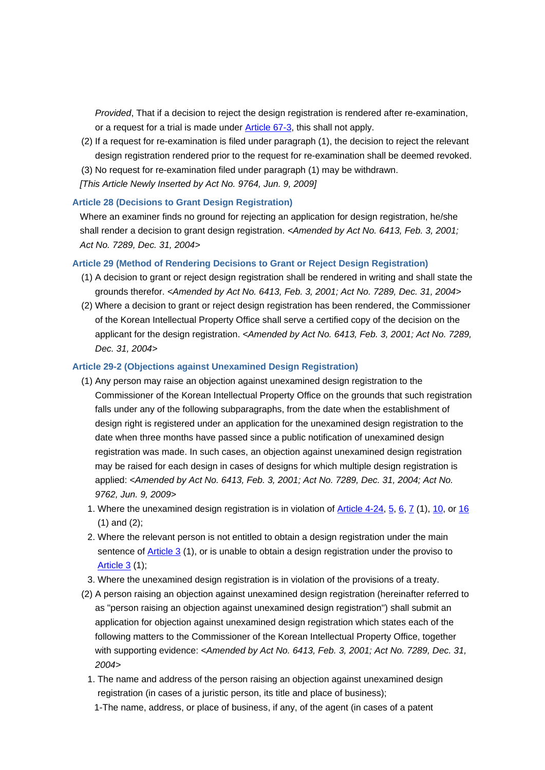*Provided*, That if a decision to reject the design registration is rendered after re-examination, or a request for a trial is made under Article 67-3, this shall not apply.

- (2) If a request for re-examination is filed under paragraph (1), the decision to reject the relevant design registration rendered prior to the request for re-examination shall be deemed revoked.
- (3) No request for re-examination filed under paragraph (1) may be withdrawn.
- *[This Article Newly Inserted by Act No. 9764, Jun. 9, 2009]*

#### **Article 28 (Decisions to Grant Design Registration)**

Where an examiner finds no ground for rejecting an application for design registration, he/she shall render a decision to grant design registration. *<Amended by Act No. 6413, Feb. 3, 2001; Act No. 7289, Dec. 31, 2004>*

#### **Article 29 (Method of Rendering Decisions to Grant or Reject Design Registration)**

- (1) A decision to grant or reject design registration shall be rendered in writing and shall state the grounds therefor. *<Amended by Act No. 6413, Feb. 3, 2001; Act No. 7289, Dec. 31, 2004>*
- (2) Where a decision to grant or reject design registration has been rendered, the Commissioner of the Korean Intellectual Property Office shall serve a certified copy of the decision on the applicant for the design registration. *<Amended by Act No. 6413, Feb. 3, 2001; Act No. 7289, Dec. 31, 2004>*

#### **Article 29-2 (Objections against Unexamined Design Registration)**

- (1) Any person may raise an objection against unexamined design registration to the Commissioner of the Korean Intellectual Property Office on the grounds that such registration falls under any of the following subparagraphs, from the date when the establishment of design right is registered under an application for the unexamined design registration to the date when three months have passed since a public notification of unexamined design registration was made. In such cases, an objection against unexamined design registration may be raised for each design in cases of designs for which multiple design registration is applied: *<Amended by Act No. 6413, Feb. 3, 2001; Act No. 7289, Dec. 31, 2004; Act No. 9762, Jun. 9, 2009>*
	- 1. Where the unexamined design registration is in violation of Article 4-24, 5, 6, 7 (1), 10, or 16 (1) and (2);
- 2. Where the relevant person is not entitled to obtain a design registration under the main sentence of Article 3 (1), or is unable to obtain a design registration under the proviso to Article 3 (1);
- 3. Where the unexamined design registration is in violation of the provisions of a treaty.
- (2) A person raising an objection against unexamined design registration (hereinafter referred to as "person raising an objection against unexamined design registration") shall submit an application for objection against unexamined design registration which states each of the following matters to the Commissioner of the Korean Intellectual Property Office, together with supporting evidence: *<Amended by Act No. 6413, Feb. 3, 2001; Act No. 7289, Dec. 31, 2004>*
	- 1. The name and address of the person raising an objection against unexamined design registration (in cases of a juristic person, its title and place of business);
		- 1-The name, address, or place of business, if any, of the agent (in cases of a patent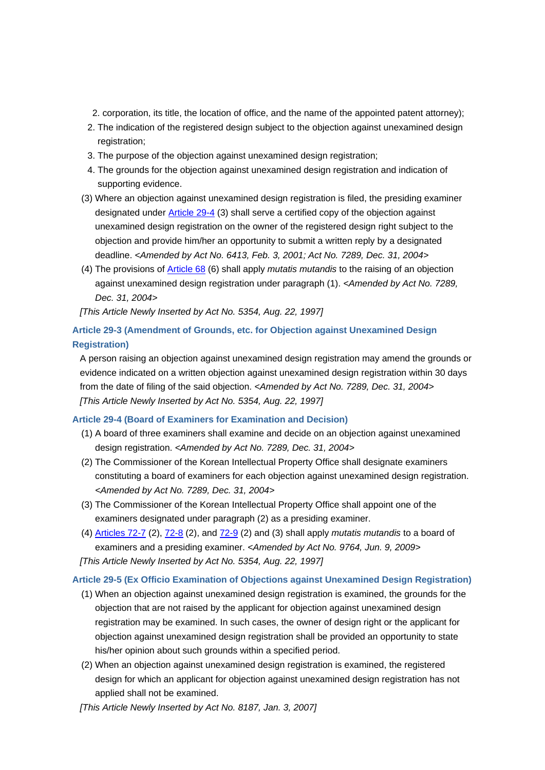- 2. corporation, its title, the location of office, and the name of the appointed patent attorney);
- 2. The indication of the registered design subject to the objection against unexamined design registration;
- 3. The purpose of the objection against unexamined design registration;
- 4. The grounds for the objection against unexamined design registration and indication of supporting evidence.
- (3) Where an objection against unexamined design registration is filed, the presiding examiner designated under Article 29-4 (3) shall serve a certified copy of the objection against unexamined design registration on the owner of the registered design right subject to the objection and provide him/her an opportunity to submit a written reply by a designated deadline. *<Amended by Act No. 6413, Feb. 3, 2001; Act No. 7289, Dec. 31, 2004>*
- (4) The provisions of Article 68 (6) shall apply *mutatis mutandis* to the raising of an objection against unexamined design registration under paragraph (1). *<Amended by Act No. 7289, Dec. 31, 2004>*

*[This Article Newly Inserted by Act No. 5354, Aug. 22, 1997]*

# **Article 29-3 (Amendment of Grounds, etc. for Objection against Unexamined Design Registration)**

A person raising an objection against unexamined design registration may amend the grounds or evidence indicated on a written objection against unexamined design registration within 30 days from the date of filing of the said objection. *<Amended by Act No. 7289, Dec. 31, 2004> [This Article Newly Inserted by Act No. 5354, Aug. 22, 1997]*

# **Article 29-4 (Board of Examiners for Examination and Decision)**

- (1) A board of three examiners shall examine and decide on an objection against unexamined design registration. *<Amended by Act No. 7289, Dec. 31, 2004>*
- (2) The Commissioner of the Korean Intellectual Property Office shall designate examiners constituting a board of examiners for each objection against unexamined design registration. *<Amended by Act No. 7289, Dec. 31, 2004>*
- (3) The Commissioner of the Korean Intellectual Property Office shall appoint one of the examiners designated under paragraph (2) as a presiding examiner.
- (4) Articles 72-7 (2), 72-8 (2), and 72-9 (2) and (3) shall apply *mutatis mutandis* to a board of examiners and a presiding examiner. *<Amended by Act No. 9764, Jun. 9, 2009> [This Article Newly Inserted by Act No. 5354, Aug. 22, 1997]*

# **Article 29-5 (Ex Officio Examination of Objections against Unexamined Design Registration)**

- (1) When an objection against unexamined design registration is examined, the grounds for the objection that are not raised by the applicant for objection against unexamined design registration may be examined. In such cases, the owner of design right or the applicant for objection against unexamined design registration shall be provided an opportunity to state his/her opinion about such grounds within a specified period.
- (2) When an objection against unexamined design registration is examined, the registered design for which an applicant for objection against unexamined design registration has not applied shall not be examined.

*[This Article Newly Inserted by Act No. 8187, Jan. 3, 2007]*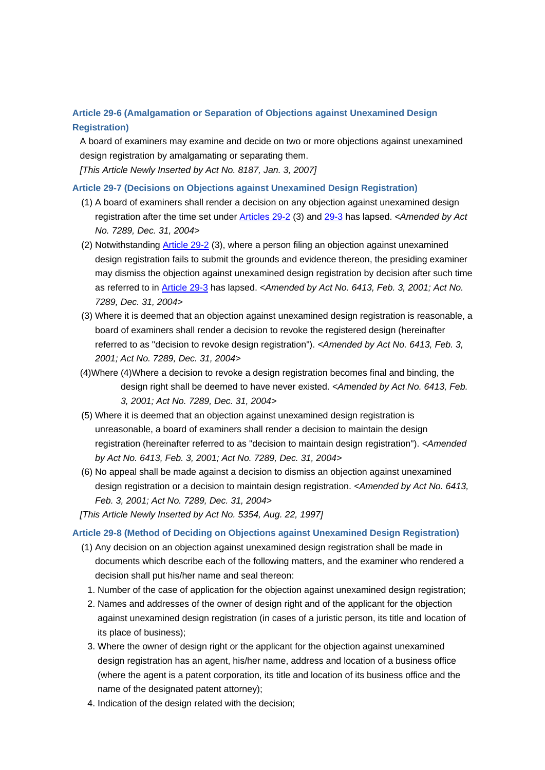# **Article 29-6 (Amalgamation or Separation of Objections against Unexamined Design Registration)**

A board of examiners may examine and decide on two or more objections against unexamined design registration by amalgamating or separating them. *[This Article Newly Inserted by Act No. 8187, Jan. 3, 2007]*

## **Article 29-7 (Decisions on Objections against Unexamined Design Registration)**

- (1) A board of examiners shall render a decision on any objection against unexamined design registration after the time set under Articles 29-2 (3) and 29-3 has lapsed. *<Amended by Act No. 7289, Dec. 31, 2004>*
- (2) Notwithstanding Article 29-2 (3), where a person filing an objection against unexamined design registration fails to submit the grounds and evidence thereon, the presiding examiner may dismiss the objection against unexamined design registration by decision after such time as referred to in Article 29-3 has lapsed. *<Amended by Act No. 6413, Feb. 3, 2001; Act No. 7289, Dec. 31, 2004>*
- (3) Where it is deemed that an objection against unexamined design registration is reasonable, a board of examiners shall render a decision to revoke the registered design (hereinafter referred to as "decision to revoke design registration"). *<Amended by Act No. 6413, Feb. 3, 2001; Act No. 7289, Dec. 31, 2004>*
- (4)Where (4)Where a decision to revoke a design registration becomes final and binding, the design right shall be deemed to have never existed. *<Amended by Act No. 6413, Feb. 3, 2001; Act No. 7289, Dec. 31, 2004>*
- (5) Where it is deemed that an objection against unexamined design registration is unreasonable, a board of examiners shall render a decision to maintain the design registration (hereinafter referred to as "decision to maintain design registration"). *<Amended by Act No. 6413, Feb. 3, 2001; Act No. 7289, Dec. 31, 2004>*
- (6) No appeal shall be made against a decision to dismiss an objection against unexamined design registration or a decision to maintain design registration. *<Amended by Act No. 6413, Feb. 3, 2001; Act No. 7289, Dec. 31, 2004>*
- *[This Article Newly Inserted by Act No. 5354, Aug. 22, 1997]*

## **Article 29-8 (Method of Deciding on Objections against Unexamined Design Registration)**

- (1) Any decision on an objection against unexamined design registration shall be made in documents which describe each of the following matters, and the examiner who rendered a decision shall put his/her name and seal thereon:
	- 1. Number of the case of application for the objection against unexamined design registration;
	- 2. Names and addresses of the owner of design right and of the applicant for the objection against unexamined design registration (in cases of a juristic person, its title and location of its place of business);
	- 3. Where the owner of design right or the applicant for the objection against unexamined design registration has an agent, his/her name, address and location of a business office (where the agent is a patent corporation, its title and location of its business office and the name of the designated patent attorney);
	- 4. Indication of the design related with the decision;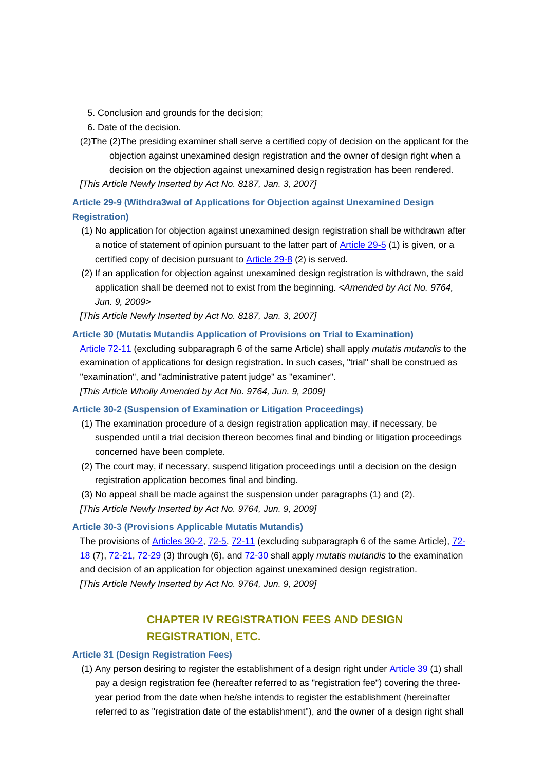- 5. Conclusion and grounds for the decision;
- 6. Date of the decision.
- (2)The (2)The presiding examiner shall serve a certified copy of decision on the applicant for the objection against unexamined design registration and the owner of design right when a decision on the objection against unexamined design registration has been rendered. *[This Article Newly Inserted by Act No. 8187, Jan. 3, 2007]*

**Article 29-9 (Withdra3wal of Applications for Objection against Unexamined Design Registration)**

- (1) No application for objection against unexamined design registration shall be withdrawn after a notice of statement of opinion pursuant to the latter part of Article 29-5 (1) is given, or a certified copy of decision pursuant to Article 29-8 (2) is served.
- (2) If an application for objection against unexamined design registration is withdrawn, the said application shall be deemed not to exist from the beginning. *<Amended by Act No. 9764, Jun. 9, 2009>*

*[This Article Newly Inserted by Act No. 8187, Jan. 3, 2007]*

## **Article 30 (Mutatis Mutandis Application of Provisions on Trial to Examination)**

Article 72-11 (excluding subparagraph 6 of the same Article) shall apply *mutatis mutandis* to the examination of applications for design registration. In such cases, "trial" shall be construed as "examination", and "administrative patent judge" as "examiner".

*[This Article Wholly Amended by Act No. 9764, Jun. 9, 2009]*

## **Article 30-2 (Suspension of Examination or Litigation Proceedings)**

- (1) The examination procedure of a design registration application may, if necessary, be suspended until a trial decision thereon becomes final and binding or litigation proceedings concerned have been complete.
- (2) The court may, if necessary, suspend litigation proceedings until a decision on the design registration application becomes final and binding.
- (3) No appeal shall be made against the suspension under paragraphs (1) and (2).

*[This Article Newly Inserted by Act No. 9764, Jun. 9, 2009]*

## **Article 30-3 (Provisions Applicable Mutatis Mutandis)**

The provisions of Articles 30-2, 72-5, 72-11 (excluding subparagraph 6 of the same Article), 72- 18 (7), 72-21, 72-29 (3) through (6), and 72-30 shall apply *mutatis mutandis* to the examination and decision of an application for objection against unexamined design registration. *[This Article Newly Inserted by Act No. 9764, Jun. 9, 2009]*

# **CHAPTER IV REGISTRATION FEES AND DESIGN REGISTRATION, ETC.**

## **Article 31 (Design Registration Fees)**

(1) Any person desiring to register the establishment of a design right under Article 39 (1) shall pay a design registration fee (hereafter referred to as "registration fee") covering the threeyear period from the date when he/she intends to register the establishment (hereinafter referred to as "registration date of the establishment"), and the owner of a design right shall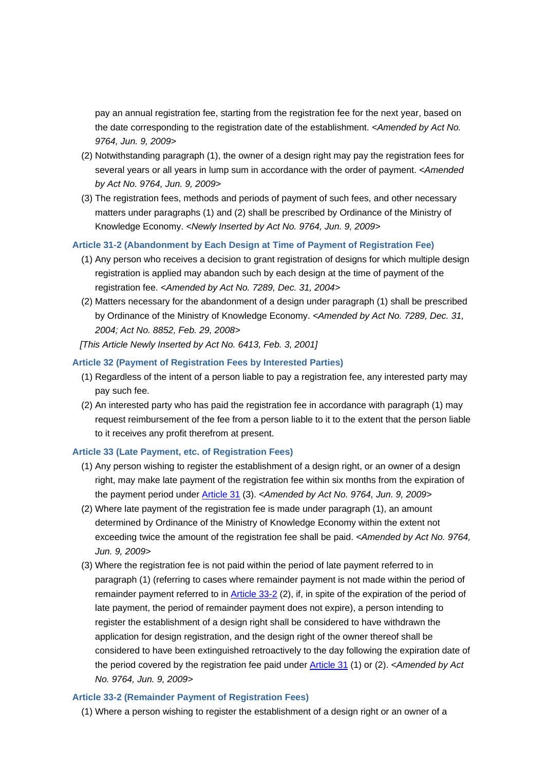pay an annual registration fee, starting from the registration fee for the next year, based on the date corresponding to the registration date of the establishment. *<Amended by Act No. 9764, Jun. 9, 2009>*

- (2) Notwithstanding paragraph (1), the owner of a design right may pay the registration fees for several years or all years in lump sum in accordance with the order of payment. *<Amended by Act No. 9764, Jun. 9, 2009>*
- (3) The registration fees, methods and periods of payment of such fees, and other necessary matters under paragraphs (1) and (2) shall be prescribed by Ordinance of the Ministry of Knowledge Economy. *<Newly Inserted by Act No. 9764, Jun. 9, 2009>*

## **Article 31-2 (Abandonment by Each Design at Time of Payment of Registration Fee)**

- (1) Any person who receives a decision to grant registration of designs for which multiple design registration is applied may abandon such by each design at the time of payment of the registration fee. *<Amended by Act No. 7289, Dec. 31, 2004>*
- (2) Matters necessary for the abandonment of a design under paragraph (1) shall be prescribed by Ordinance of the Ministry of Knowledge Economy. *<Amended by Act No. 7289, Dec. 31, 2004; Act No. 8852, Feb. 29, 2008>*
- *[This Article Newly Inserted by Act No. 6413, Feb. 3, 2001]*

## **Article 32 (Payment of Registration Fees by Interested Parties)**

- (1) Regardless of the intent of a person liable to pay a registration fee, any interested party may pay such fee.
- (2) An interested party who has paid the registration fee in accordance with paragraph (1) may request reimbursement of the fee from a person liable to it to the extent that the person liable to it receives any profit therefrom at present.

## **Article 33 (Late Payment, etc. of Registration Fees)**

- (1) Any person wishing to register the establishment of a design right, or an owner of a design right, may make late payment of the registration fee within six months from the expiration of the payment period under Article 31 (3). *<Amended by Act No. 9764, Jun. 9, 2009>*
- (2) Where late payment of the registration fee is made under paragraph (1), an amount determined by Ordinance of the Ministry of Knowledge Economy within the extent not exceeding twice the amount of the registration fee shall be paid. *<Amended by Act No. 9764, Jun. 9, 2009>*
- (3) Where the registration fee is not paid within the period of late payment referred to in paragraph (1) (referring to cases where remainder payment is not made within the period of remainder payment referred to in Article 33-2 (2), if, in spite of the expiration of the period of late payment, the period of remainder payment does not expire), a person intending to register the establishment of a design right shall be considered to have withdrawn the application for design registration, and the design right of the owner thereof shall be considered to have been extinguished retroactively to the day following the expiration date of the period covered by the registration fee paid under Article 31 (1) or (2). *<Amended by Act No. 9764, Jun. 9, 2009>*

#### **Article 33-2 (Remainder Payment of Registration Fees)**

(1) Where a person wishing to register the establishment of a design right or an owner of a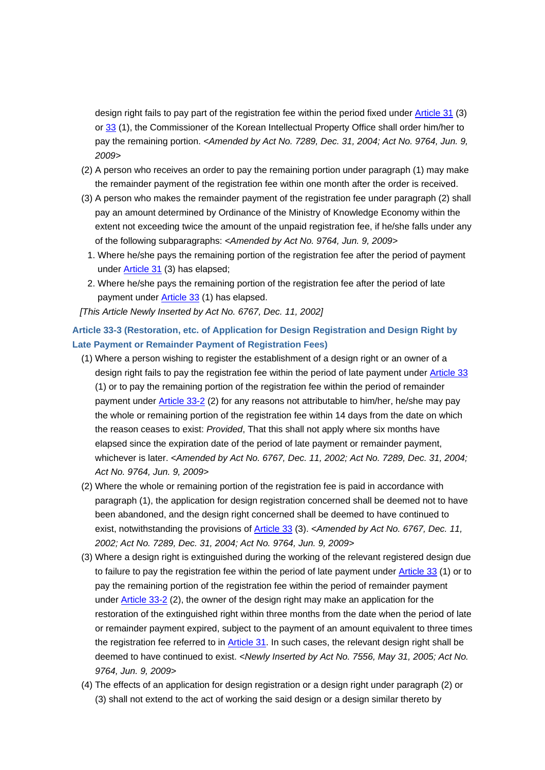design right fails to pay part of the registration fee within the period fixed under Article 31 (3) or 33 (1), the Commissioner of the Korean Intellectual Property Office shall order him/her to pay the remaining portion. *<Amended by Act No. 7289, Dec. 31, 2004; Act No. 9764, Jun. 9, 2009>*

- (2) A person who receives an order to pay the remaining portion under paragraph (1) may make the remainder payment of the registration fee within one month after the order is received.
- (3) A person who makes the remainder payment of the registration fee under paragraph (2) shall pay an amount determined by Ordinance of the Ministry of Knowledge Economy within the extent not exceeding twice the amount of the unpaid registration fee, if he/she falls under any of the following subparagraphs: *<Amended by Act No. 9764, Jun. 9, 2009>*
	- 1. Where he/she pays the remaining portion of the registration fee after the period of payment under Article 31 (3) has elapsed;
- 2. Where he/she pays the remaining portion of the registration fee after the period of late payment under Article 33 (1) has elapsed.
- *[This Article Newly Inserted by Act No. 6767, Dec. 11, 2002]*

# **Article 33-3 (Restoration, etc. of Application for Design Registration and Design Right by Late Payment or Remainder Payment of Registration Fees)**

- (1) Where a person wishing to register the establishment of a design right or an owner of a design right fails to pay the registration fee within the period of late payment under Article 33 (1) or to pay the remaining portion of the registration fee within the period of remainder payment under Article 33-2 (2) for any reasons not attributable to him/her, he/she may pay the whole or remaining portion of the registration fee within 14 days from the date on which the reason ceases to exist: *Provided*, That this shall not apply where six months have elapsed since the expiration date of the period of late payment or remainder payment, whichever is later. *<Amended by Act No. 6767, Dec. 11, 2002; Act No. 7289, Dec. 31, 2004; Act No. 9764, Jun. 9, 2009>*
- (2) Where the whole or remaining portion of the registration fee is paid in accordance with paragraph (1), the application for design registration concerned shall be deemed not to have been abandoned, and the design right concerned shall be deemed to have continued to exist, notwithstanding the provisions of Article 33 (3). *<Amended by Act No. 6767, Dec. 11, 2002; Act No. 7289, Dec. 31, 2004; Act No. 9764, Jun. 9, 2009>*
- (3) Where a design right is extinguished during the working of the relevant registered design due to failure to pay the registration fee within the period of late payment under Article 33 (1) or to pay the remaining portion of the registration fee within the period of remainder payment under Article 33-2 (2), the owner of the design right may make an application for the restoration of the extinguished right within three months from the date when the period of late or remainder payment expired, subject to the payment of an amount equivalent to three times the registration fee referred to in Article 31. In such cases, the relevant design right shall be deemed to have continued to exist. *<Newly Inserted by Act No. 7556, May 31, 2005; Act No. 9764, Jun. 9, 2009>*
- (4) The effects of an application for design registration or a design right under paragraph (2) or (3) shall not extend to the act of working the said design or a design similar thereto by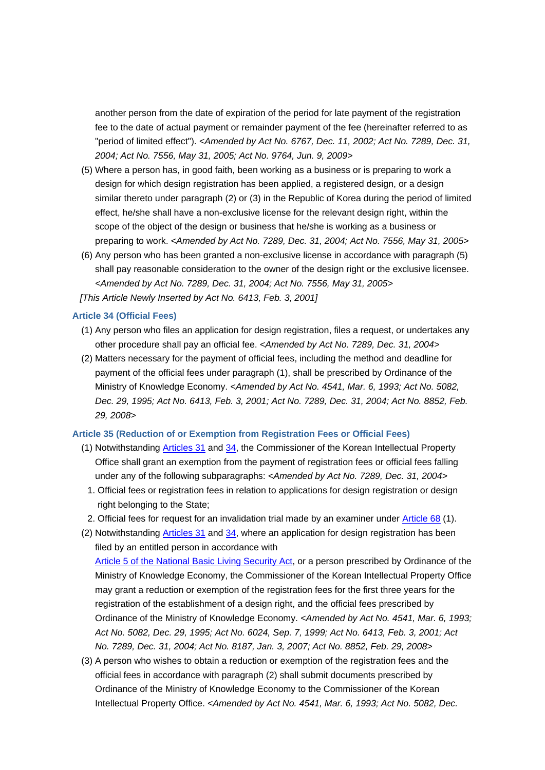another person from the date of expiration of the period for late payment of the registration fee to the date of actual payment or remainder payment of the fee (hereinafter referred to as "period of limited effect"). *<Amended by Act No. 6767, Dec. 11, 2002; Act No. 7289, Dec. 31, 2004; Act No. 7556, May 31, 2005; Act No. 9764, Jun. 9, 2009>*

- (5) Where a person has, in good faith, been working as a business or is preparing to work a design for which design registration has been applied, a registered design, or a design similar thereto under paragraph (2) or (3) in the Republic of Korea during the period of limited effect, he/she shall have a non-exclusive license for the relevant design right, within the scope of the object of the design or business that he/she is working as a business or preparing to work. *<Amended by Act No. 7289, Dec. 31, 2004; Act No. 7556, May 31, 2005>*
- (6) Any person who has been granted a non-exclusive license in accordance with paragraph (5) shall pay reasonable consideration to the owner of the design right or the exclusive licensee. *<Amended by Act No. 7289, Dec. 31, 2004; Act No. 7556, May 31, 2005>*

*[This Article Newly Inserted by Act No. 6413, Feb. 3, 2001]*

## **Article 34 (Official Fees)**

- (1) Any person who files an application for design registration, files a request, or undertakes any other procedure shall pay an official fee. *<Amended by Act No. 7289, Dec. 31, 2004>*
- (2) Matters necessary for the payment of official fees, including the method and deadline for payment of the official fees under paragraph (1), shall be prescribed by Ordinance of the Ministry of Knowledge Economy. *<Amended by Act No. 4541, Mar. 6, 1993; Act No. 5082, Dec. 29, 1995; Act No. 6413, Feb. 3, 2001; Act No. 7289, Dec. 31, 2004; Act No. 8852, Feb. 29, 2008>*

#### **Article 35 (Reduction of or Exemption from Registration Fees or Official Fees)**

- (1) Notwithstanding Articles 31 and 34, the Commissioner of the Korean Intellectual Property Office shall grant an exemption from the payment of registration fees or official fees falling under any of the following subparagraphs: *<Amended by Act No. 7289, Dec. 31, 2004>*
	- 1. Official fees or registration fees in relation to applications for design registration or design right belonging to the State;
- 2. Official fees for request for an invalidation trial made by an examiner under Article 68 (1).
- (2) Notwithstanding **Articles 31** and 34, where an application for design registration has been filed by an entitled person in accordance with Article 5 of the National Basic Living Security Act, or a person prescribed by Ordinance of the Ministry of Knowledge Economy, the Commissioner of the Korean Intellectual Property Office may grant a reduction or exemption of the registration fees for the first three years for the registration of the establishment of a design right, and the official fees prescribed by Ordinance of the Ministry of Knowledge Economy. *<Amended by Act No. 4541, Mar. 6, 1993; Act No. 5082, Dec. 29, 1995; Act No. 6024, Sep. 7, 1999; Act No. 6413, Feb. 3, 2001; Act*
- (3) A person who wishes to obtain a reduction or exemption of the registration fees and the official fees in accordance with paragraph (2) shall submit documents prescribed by Ordinance of the Ministry of Knowledge Economy to the Commissioner of the Korean Intellectual Property Office. *<Amended by Act No. 4541, Mar. 6, 1993; Act No. 5082, Dec.*

*No. 7289, Dec. 31, 2004; Act No. 8187, Jan. 3, 2007; Act No. 8852, Feb. 29, 2008>*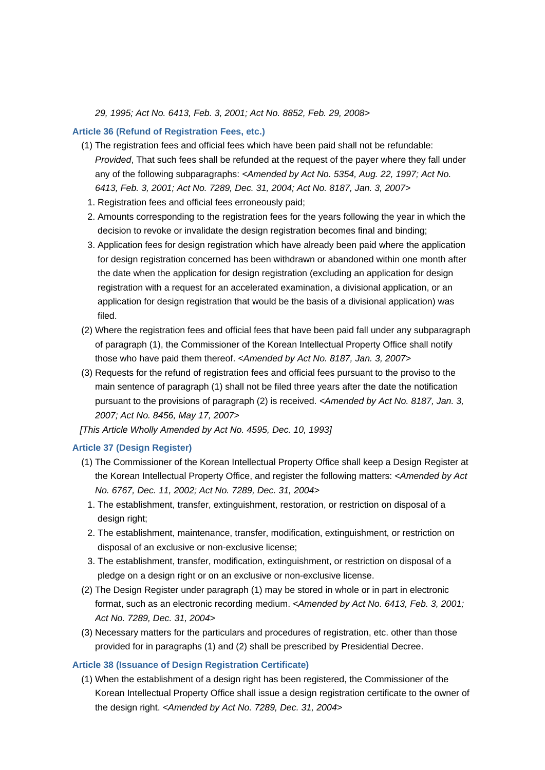*29, 1995; Act No. 6413, Feb. 3, 2001; Act No. 8852, Feb. 29, 2008>*

#### **Article 36 (Refund of Registration Fees, etc.)**

- (1) The registration fees and official fees which have been paid shall not be refundable: *Provided*, That such fees shall be refunded at the request of the payer where they fall under any of the following subparagraphs: *<Amended by Act No. 5354, Aug. 22, 1997; Act No. 6413, Feb. 3, 2001; Act No. 7289, Dec. 31, 2004; Act No. 8187, Jan. 3, 2007>*
	- 1. Registration fees and official fees erroneously paid;
	- 2. Amounts corresponding to the registration fees for the years following the year in which the decision to revoke or invalidate the design registration becomes final and binding;
- 3. Application fees for design registration which have already been paid where the application for design registration concerned has been withdrawn or abandoned within one month after the date when the application for design registration (excluding an application for design registration with a request for an accelerated examination, a divisional application, or an application for design registration that would be the basis of a divisional application) was filed.
- (2) Where the registration fees and official fees that have been paid fall under any subparagraph of paragraph (1), the Commissioner of the Korean Intellectual Property Office shall notify those who have paid them thereof. *<Amended by Act No. 8187, Jan. 3, 2007>*
- (3) Requests for the refund of registration fees and official fees pursuant to the proviso to the main sentence of paragraph (1) shall not be filed three years after the date the notification pursuant to the provisions of paragraph (2) is received. *<Amended by Act No. 8187, Jan. 3, 2007; Act No. 8456, May 17, 2007>*

*[This Article Wholly Amended by Act No. 4595, Dec. 10, 1993]*

## **Article 37 (Design Register)**

- (1) The Commissioner of the Korean Intellectual Property Office shall keep a Design Register at the Korean Intellectual Property Office, and register the following matters: *<Amended by Act No. 6767, Dec. 11, 2002; Act No. 7289, Dec. 31, 2004>*
	- 1. The establishment, transfer, extinguishment, restoration, or restriction on disposal of a design right:
- 2. The establishment, maintenance, transfer, modification, extinguishment, or restriction on disposal of an exclusive or non-exclusive license;
- 3. The establishment, transfer, modification, extinguishment, or restriction on disposal of a pledge on a design right or on an exclusive or non-exclusive license.
- (2) The Design Register under paragraph (1) may be stored in whole or in part in electronic format, such as an electronic recording medium. *<Amended by Act No. 6413, Feb. 3, 2001; Act No. 7289, Dec. 31, 2004>*
- (3) Necessary matters for the particulars and procedures of registration, etc. other than those provided for in paragraphs (1) and (2) shall be prescribed by Presidential Decree.

#### **Article 38 (Issuance of Design Registration Certificate)**

(1) When the establishment of a design right has been registered, the Commissioner of the Korean Intellectual Property Office shall issue a design registration certificate to the owner of the design right. *<Amended by Act No. 7289, Dec. 31, 2004>*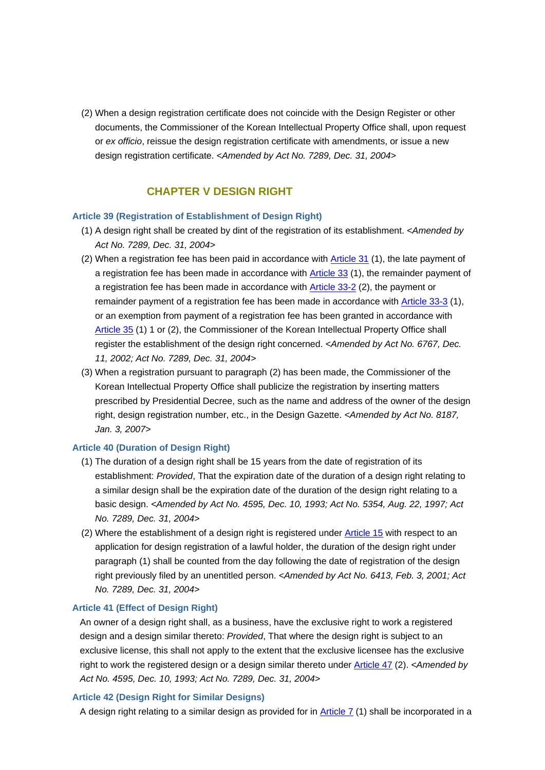(2) When a design registration certificate does not coincide with the Design Register or other documents, the Commissioner of the Korean Intellectual Property Office shall, upon request or *ex officio*, reissue the design registration certificate with amendments, or issue a new design registration certificate. *<Amended by Act No. 7289, Dec. 31, 2004>*

## **CHAPTER V DESIGN RIGHT**

## **Article 39 (Registration of Establishment of Design Right)**

- (1) A design right shall be created by dint of the registration of its establishment. *<Amended by Act No. 7289, Dec. 31, 2004>*
- (2) When a registration fee has been paid in accordance with Article 31 (1), the late payment of a registration fee has been made in accordance with Article 33 (1), the remainder payment of a registration fee has been made in accordance with Article 33-2 (2), the payment or remainder payment of a registration fee has been made in accordance with Article 33-3 (1), or an exemption from payment of a registration fee has been granted in accordance with Article 35 (1) 1 or (2), the Commissioner of the Korean Intellectual Property Office shall register the establishment of the design right concerned. *<Amended by Act No. 6767, Dec. 11, 2002; Act No. 7289, Dec. 31, 2004>*
- (3) When a registration pursuant to paragraph (2) has been made, the Commissioner of the Korean Intellectual Property Office shall publicize the registration by inserting matters prescribed by Presidential Decree, such as the name and address of the owner of the design right, design registration number, etc., in the Design Gazette. *<Amended by Act No. 8187, Jan. 3, 2007>*

## **Article 40 (Duration of Design Right)**

- (1) The duration of a design right shall be 15 years from the date of registration of its establishment: *Provided*, That the expiration date of the duration of a design right relating to a similar design shall be the expiration date of the duration of the design right relating to a basic design. *<Amended by Act No. 4595, Dec. 10, 1993; Act No. 5354, Aug. 22, 1997; Act No. 7289, Dec. 31, 2004>*
- (2) Where the establishment of a design right is registered under Article 15 with respect to an application for design registration of a lawful holder, the duration of the design right under paragraph (1) shall be counted from the day following the date of registration of the design right previously filed by an unentitled person. *<Amended by Act No. 6413, Feb. 3, 2001; Act No. 7289, Dec. 31, 2004>*

## **Article 41 (Effect of Design Right)**

An owner of a design right shall, as a business, have the exclusive right to work a registered design and a design similar thereto: *Provided*, That where the design right is subject to an exclusive license, this shall not apply to the extent that the exclusive licensee has the exclusive right to work the registered design or a design similar thereto under Article 47 (2). *<Amended by Act No. 4595, Dec. 10, 1993; Act No. 7289, Dec. 31, 2004>*

#### **Article 42 (Design Right for Similar Designs)**

A design right relating to a similar design as provided for in  $Article 7$  (1) shall be incorporated in a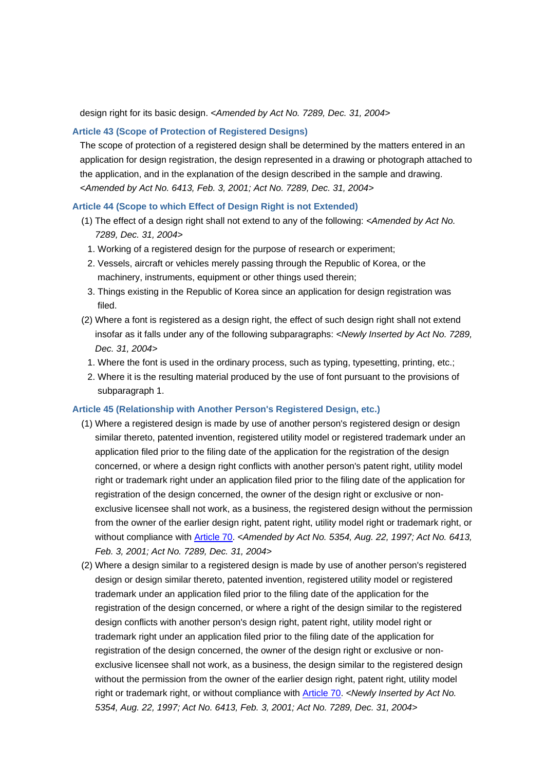design right for its basic design. *<Amended by Act No. 7289, Dec. 31, 2004>*

## **Article 43 (Scope of Protection of Registered Designs)**

The scope of protection of a registered design shall be determined by the matters entered in an application for design registration, the design represented in a drawing or photograph attached to the application, and in the explanation of the design described in the sample and drawing. *<Amended by Act No. 6413, Feb. 3, 2001; Act No. 7289, Dec. 31, 2004>*

## **Article 44 (Scope to which Effect of Design Right is not Extended)**

- (1) The effect of a design right shall not extend to any of the following: *<Amended by Act No. 7289, Dec. 31, 2004>*
	- 1. Working of a registered design for the purpose of research or experiment;
	- 2. Vessels, aircraft or vehicles merely passing through the Republic of Korea, or the machinery, instruments, equipment or other things used therein;
	- 3. Things existing in the Republic of Korea since an application for design registration was filed.
- (2) Where a font is registered as a design right, the effect of such design right shall not extend insofar as it falls under any of the following subparagraphs: *<Newly Inserted by Act No. 7289, Dec. 31, 2004>*
	- 1. Where the font is used in the ordinary process, such as typing, typesetting, printing, etc.;
- 2. Where it is the resulting material produced by the use of font pursuant to the provisions of subparagraph 1.

## **Article 45 (Relationship with Another Person's Registered Design, etc.)**

- (1) Where a registered design is made by use of another person's registered design or design similar thereto, patented invention, registered utility model or registered trademark under an application filed prior to the filing date of the application for the registration of the design concerned, or where a design right conflicts with another person's patent right, utility model right or trademark right under an application filed prior to the filing date of the application for registration of the design concerned, the owner of the design right or exclusive or nonexclusive licensee shall not work, as a business, the registered design without the permission from the owner of the earlier design right, patent right, utility model right or trademark right, or without compliance with Article 70. *<Amended by Act No. 5354, Aug. 22, 1997; Act No. 6413, Feb. 3, 2001; Act No. 7289, Dec. 31, 2004>*
- (2) Where a design similar to a registered design is made by use of another person's registered design or design similar thereto, patented invention, registered utility model or registered trademark under an application filed prior to the filing date of the application for the registration of the design concerned, or where a right of the design similar to the registered design conflicts with another person's design right, patent right, utility model right or trademark right under an application filed prior to the filing date of the application for registration of the design concerned, the owner of the design right or exclusive or nonexclusive licensee shall not work, as a business, the design similar to the registered design without the permission from the owner of the earlier design right, patent right, utility model right or trademark right, or without compliance with Article 70. *<Newly Inserted by Act No. 5354, Aug. 22, 1997; Act No. 6413, Feb. 3, 2001; Act No. 7289, Dec. 31, 2004>*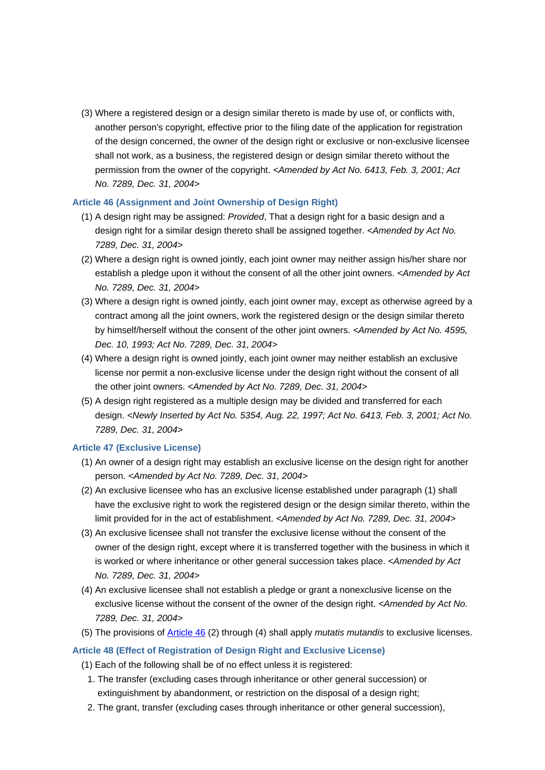(3) Where a registered design or a design similar thereto is made by use of, or conflicts with, another person's copyright, effective prior to the filing date of the application for registration of the design concerned, the owner of the design right or exclusive or non-exclusive licensee shall not work, as a business, the registered design or design similar thereto without the permission from the owner of the copyright. *<Amended by Act No. 6413, Feb. 3, 2001; Act No. 7289, Dec. 31, 2004>*

## **Article 46 (Assignment and Joint Ownership of Design Right)**

- (1) A design right may be assigned: *Provided*, That a design right for a basic design and a design right for a similar design thereto shall be assigned together. *<Amended by Act No. 7289, Dec. 31, 2004>*
- (2) Where a design right is owned jointly, each joint owner may neither assign his/her share nor establish a pledge upon it without the consent of all the other joint owners. *<Amended by Act No. 7289, Dec. 31, 2004>*
- (3) Where a design right is owned jointly, each joint owner may, except as otherwise agreed by a contract among all the joint owners, work the registered design or the design similar thereto by himself/herself without the consent of the other joint owners. *<Amended by Act No. 4595, Dec. 10, 1993; Act No. 7289, Dec. 31, 2004>*
- (4) Where a design right is owned jointly, each joint owner may neither establish an exclusive license nor permit a non-exclusive license under the design right without the consent of all the other joint owners. *<Amended by Act No. 7289, Dec. 31, 2004>*
- (5) A design right registered as a multiple design may be divided and transferred for each design. *<Newly Inserted by Act No. 5354, Aug. 22, 1997; Act No. 6413, Feb. 3, 2001; Act No. 7289, Dec. 31, 2004>*

## **Article 47 (Exclusive License)**

- (1) An owner of a design right may establish an exclusive license on the design right for another person. *<Amended by Act No. 7289, Dec. 31, 2004>*
- (2) An exclusive licensee who has an exclusive license established under paragraph (1) shall have the exclusive right to work the registered design or the design similar thereto, within the limit provided for in the act of establishment. *<Amended by Act No. 7289, Dec. 31, 2004>*
- (3) An exclusive licensee shall not transfer the exclusive license without the consent of the owner of the design right, except where it is transferred together with the business in which it is worked or where inheritance or other general succession takes place. *<Amended by Act No. 7289, Dec. 31, 2004>*
- (4) An exclusive licensee shall not establish a pledge or grant a nonexclusive license on the exclusive license without the consent of the owner of the design right. *<Amended by Act No. 7289, Dec. 31, 2004>*
- (5) The provisions of Article 46 (2) through (4) shall apply *mutatis mutandis* to exclusive licenses.

## **Article 48 (Effect of Registration of Design Right and Exclusive License)**

- (1) Each of the following shall be of no effect unless it is registered:
	- 1. The transfer (excluding cases through inheritance or other general succession) or extinguishment by abandonment, or restriction on the disposal of a design right;
	- 2. The grant, transfer (excluding cases through inheritance or other general succession),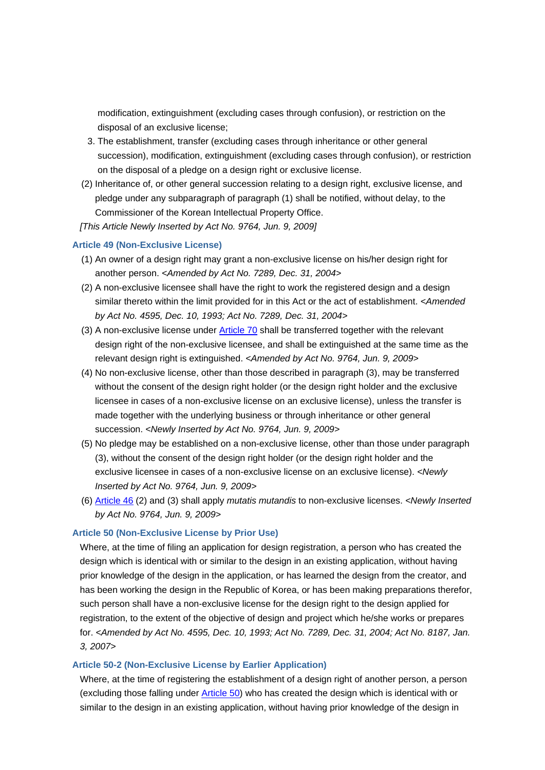modification, extinguishment (excluding cases through confusion), or restriction on the disposal of an exclusive license;

- 3. The establishment, transfer (excluding cases through inheritance or other general succession), modification, extinguishment (excluding cases through confusion), or restriction on the disposal of a pledge on a design right or exclusive license.
- (2) Inheritance of, or other general succession relating to a design right, exclusive license, and pledge under any subparagraph of paragraph (1) shall be notified, without delay, to the Commissioner of the Korean Intellectual Property Office.
- *[This Article Newly Inserted by Act No. 9764, Jun. 9, 2009]*

#### **Article 49 (Non-Exclusive License)**

- (1) An owner of a design right may grant a non-exclusive license on his/her design right for another person. *<Amended by Act No. 7289, Dec. 31, 2004>*
- (2) A non-exclusive licensee shall have the right to work the registered design and a design similar thereto within the limit provided for in this Act or the act of establishment. *<Amended by Act No. 4595, Dec. 10, 1993; Act No. 7289, Dec. 31, 2004>*
- (3) A non-exclusive license under **Article 70** shall be transferred together with the relevant design right of the non-exclusive licensee, and shall be extinguished at the same time as the relevant design right is extinguished. *<Amended by Act No. 9764, Jun. 9, 2009>*
- (4) No non-exclusive license, other than those described in paragraph (3), may be transferred without the consent of the design right holder (or the design right holder and the exclusive licensee in cases of a non-exclusive license on an exclusive license), unless the transfer is made together with the underlying business or through inheritance or other general succession. *<Newly Inserted by Act No. 9764, Jun. 9, 2009>*
- (5) No pledge may be established on a non-exclusive license, other than those under paragraph (3), without the consent of the design right holder (or the design right holder and the exclusive licensee in cases of a non-exclusive license on an exclusive license). *<Newly Inserted by Act No. 9764, Jun. 9, 2009>*
- (6) Article 46 (2) and (3) shall apply *mutatis mutandis* to non-exclusive licenses. *<Newly Inserted by Act No. 9764, Jun. 9, 2009>*

#### **Article 50 (Non-Exclusive License by Prior Use)**

Where, at the time of filing an application for design registration, a person who has created the design which is identical with or similar to the design in an existing application, without having prior knowledge of the design in the application, or has learned the design from the creator, and has been working the design in the Republic of Korea, or has been making preparations therefor, such person shall have a non-exclusive license for the design right to the design applied for registration, to the extent of the objective of design and project which he/she works or prepares for. *<Amended by Act No. 4595, Dec. 10, 1993; Act No. 7289, Dec. 31, 2004; Act No. 8187, Jan. 3, 2007>*

#### **Article 50-2 (Non-Exclusive License by Earlier Application)**

Where, at the time of registering the establishment of a design right of another person, a person (excluding those falling under **Article 50**) who has created the design which is identical with or similar to the design in an existing application, without having prior knowledge of the design in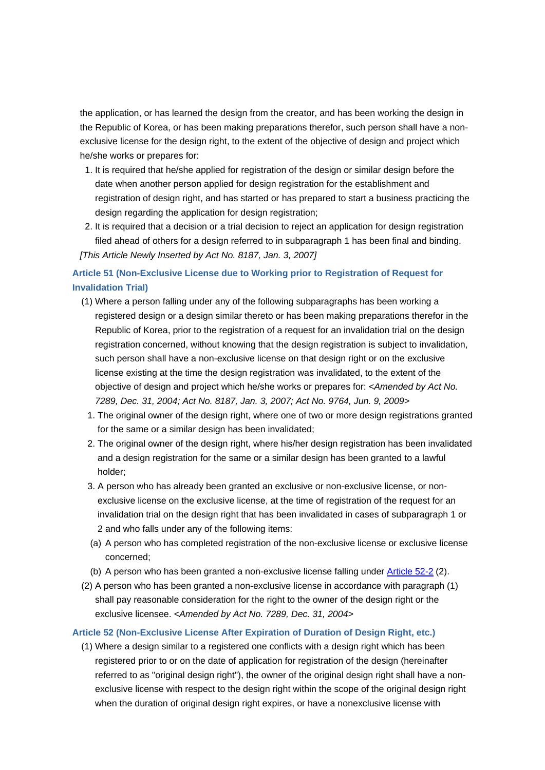the application, or has learned the design from the creator, and has been working the design in the Republic of Korea, or has been making preparations therefor, such person shall have a nonexclusive license for the design right, to the extent of the objective of design and project which he/she works or prepares for:

- 1. It is required that he/she applied for registration of the design or similar design before the date when another person applied for design registration for the establishment and registration of design right, and has started or has prepared to start a business practicing the design regarding the application for design registration;
- 2. It is required that a decision or a trial decision to reject an application for design registration filed ahead of others for a design referred to in subparagraph 1 has been final and binding. *[This Article Newly Inserted by Act No. 8187, Jan. 3, 2007]*

# **Article 51 (Non-Exclusive License due to Working prior to Registration of Request for Invalidation Trial)**

- (1) Where a person falling under any of the following subparagraphs has been working a registered design or a design similar thereto or has been making preparations therefor in the Republic of Korea, prior to the registration of a request for an invalidation trial on the design registration concerned, without knowing that the design registration is subject to invalidation, such person shall have a non-exclusive license on that design right or on the exclusive license existing at the time the design registration was invalidated, to the extent of the objective of design and project which he/she works or prepares for: *<Amended by Act No. 7289, Dec. 31, 2004; Act No. 8187, Jan. 3, 2007; Act No. 9764, Jun. 9, 2009>*
	- 1. The original owner of the design right, where one of two or more design registrations granted for the same or a similar design has been invalidated;
	- 2. The original owner of the design right, where his/her design registration has been invalidated and a design registration for the same or a similar design has been granted to a lawful holder;
	- 3. A person who has already been granted an exclusive or non-exclusive license, or nonexclusive license on the exclusive license, at the time of registration of the request for an invalidation trial on the design right that has been invalidated in cases of subparagraph 1 or 2 and who falls under any of the following items:
	- (a) A person who has completed registration of the non-exclusive license or exclusive license concerned;
	- (b) A person who has been granted a non-exclusive license falling under Article 52-2 (2).
- (2) A person who has been granted a non-exclusive license in accordance with paragraph (1) shall pay reasonable consideration for the right to the owner of the design right or the exclusive licensee. *<Amended by Act No. 7289, Dec. 31, 2004>*

## **Article 52 (Non-Exclusive License After Expiration of Duration of Design Right, etc.)**

(1) Where a design similar to a registered one conflicts with a design right which has been registered prior to or on the date of application for registration of the design (hereinafter referred to as "original design right"), the owner of the original design right shall have a nonexclusive license with respect to the design right within the scope of the original design right when the duration of original design right expires, or have a nonexclusive license with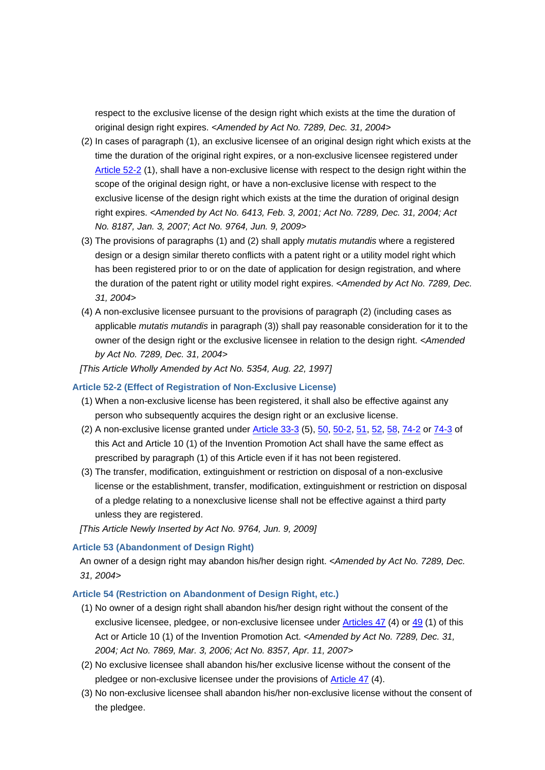respect to the exclusive license of the design right which exists at the time the duration of original design right expires. *<Amended by Act No. 7289, Dec. 31, 2004>*

- (2) In cases of paragraph (1), an exclusive licensee of an original design right which exists at the time the duration of the original right expires, or a non-exclusive licensee registered under Article 52-2 (1), shall have a non-exclusive license with respect to the design right within the scope of the original design right, or have a non-exclusive license with respect to the exclusive license of the design right which exists at the time the duration of original design right expires. *<Amended by Act No. 6413, Feb. 3, 2001; Act No. 7289, Dec. 31, 2004; Act No. 8187, Jan. 3, 2007; Act No. 9764, Jun. 9, 2009>*
- (3) The provisions of paragraphs (1) and (2) shall apply *mutatis mutandis* where a registered design or a design similar thereto conflicts with a patent right or a utility model right which has been registered prior to or on the date of application for design registration, and where the duration of the patent right or utility model right expires. *<Amended by Act No. 7289, Dec. 31, 2004>*
- (4) A non-exclusive licensee pursuant to the provisions of paragraph (2) (including cases as applicable *mutatis mutandis* in paragraph (3)) shall pay reasonable consideration for it to the owner of the design right or the exclusive licensee in relation to the design right. *<Amended by Act No. 7289, Dec. 31, 2004>*

*[This Article Wholly Amended by Act No. 5354, Aug. 22, 1997]*

#### **Article 52-2 (Effect of Registration of Non-Exclusive License)**

- (1) When a non-exclusive license has been registered, it shall also be effective against any person who subsequently acquires the design right or an exclusive license.
- (2) A non-exclusive license granted under Article 33-3 (5), 50, 50-2, 51, 52, 58, 74-2 or 74-3 of this Act and Article 10 (1) of the Invention Promotion Act shall have the same effect as prescribed by paragraph (1) of this Article even if it has not been registered.
- (3) The transfer, modification, extinguishment or restriction on disposal of a non-exclusive license or the establishment, transfer, modification, extinguishment or restriction on disposal of a pledge relating to a nonexclusive license shall not be effective against a third party unless they are registered.

*[This Article Newly Inserted by Act No. 9764, Jun. 9, 2009]*

#### **Article 53 (Abandonment of Design Right)**

An owner of a design right may abandon his/her design right. *<Amended by Act No. 7289, Dec. 31, 2004>*

#### **Article 54 (Restriction on Abandonment of Design Right, etc.)**

- (1) No owner of a design right shall abandon his/her design right without the consent of the exclusive licensee, pledgee, or non-exclusive licensee under Articles 47 (4) or 49 (1) of this Act or Article 10 (1) of the Invention Promotion Act. *<Amended by Act No. 7289, Dec. 31, 2004; Act No. 7869, Mar. 3, 2006; Act No. 8357, Apr. 11, 2007>*
- (2) No exclusive licensee shall abandon his/her exclusive license without the consent of the pledgee or non-exclusive licensee under the provisions of **Article 47** (4).
- (3) No non-exclusive licensee shall abandon his/her non-exclusive license without the consent of the pledgee.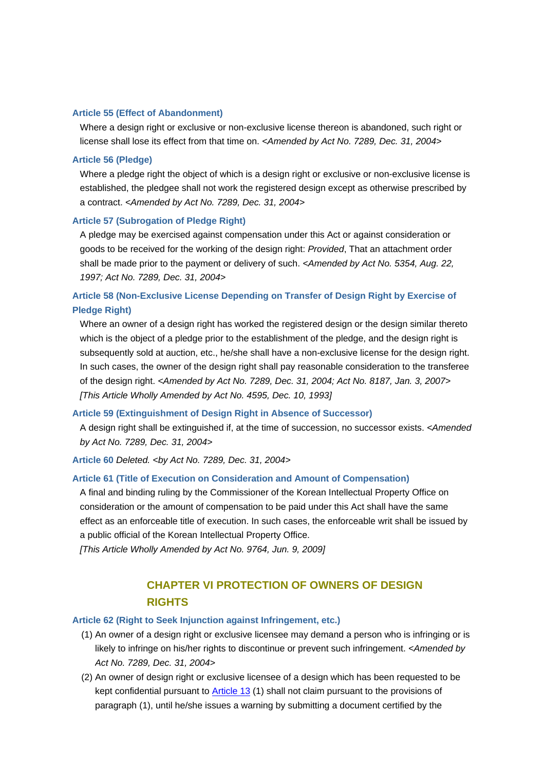#### **Article 55 (Effect of Abandonment)**

Where a design right or exclusive or non-exclusive license thereon is abandoned, such right or license shall lose its effect from that time on. *<Amended by Act No. 7289, Dec. 31, 2004>*

## **Article 56 (Pledge)**

Where a pledge right the object of which is a design right or exclusive or non-exclusive license is established, the pledgee shall not work the registered design except as otherwise prescribed by a contract. *<Amended by Act No. 7289, Dec. 31, 2004>*

## **Article 57 (Subrogation of Pledge Right)**

A pledge may be exercised against compensation under this Act or against consideration or goods to be received for the working of the design right: *Provided*, That an attachment order shall be made prior to the payment or delivery of such. *<Amended by Act No. 5354, Aug. 22, 1997; Act No. 7289, Dec. 31, 2004>*

# **Article 58 (Non-Exclusive License Depending on Transfer of Design Right by Exercise of Pledge Right)**

Where an owner of a design right has worked the registered design or the design similar thereto which is the object of a pledge prior to the establishment of the pledge, and the design right is subsequently sold at auction, etc., he/she shall have a non-exclusive license for the design right. In such cases, the owner of the design right shall pay reasonable consideration to the transferee of the design right. *<Amended by Act No. 7289, Dec. 31, 2004; Act No. 8187, Jan. 3, 2007> [This Article Wholly Amended by Act No. 4595, Dec. 10, 1993]*

## **Article 59 (Extinguishment of Design Right in Absence of Successor)**

A design right shall be extinguished if, at the time of succession, no successor exists. *<Amended by Act No. 7289, Dec. 31, 2004>*

**Article 60** *Deleted. <by Act No. 7289, Dec. 31, 2004>*

## **Article 61 (Title of Execution on Consideration and Amount of Compensation)**

A final and binding ruling by the Commissioner of the Korean Intellectual Property Office on consideration or the amount of compensation to be paid under this Act shall have the same effect as an enforceable title of execution. In such cases, the enforceable writ shall be issued by a public official of the Korean Intellectual Property Office.

*[This Article Wholly Amended by Act No. 9764, Jun. 9, 2009]*

# **CHAPTER VI PROTECTION OF OWNERS OF DESIGN RIGHTS**

## **Article 62 (Right to Seek Injunction against Infringement, etc.)**

- (1) An owner of a design right or exclusive licensee may demand a person who is infringing or is likely to infringe on his/her rights to discontinue or prevent such infringement. *<Amended by Act No. 7289, Dec. 31, 2004>*
- (2) An owner of design right or exclusive licensee of a design which has been requested to be kept confidential pursuant to Article 13 (1) shall not claim pursuant to the provisions of paragraph (1), until he/she issues a warning by submitting a document certified by the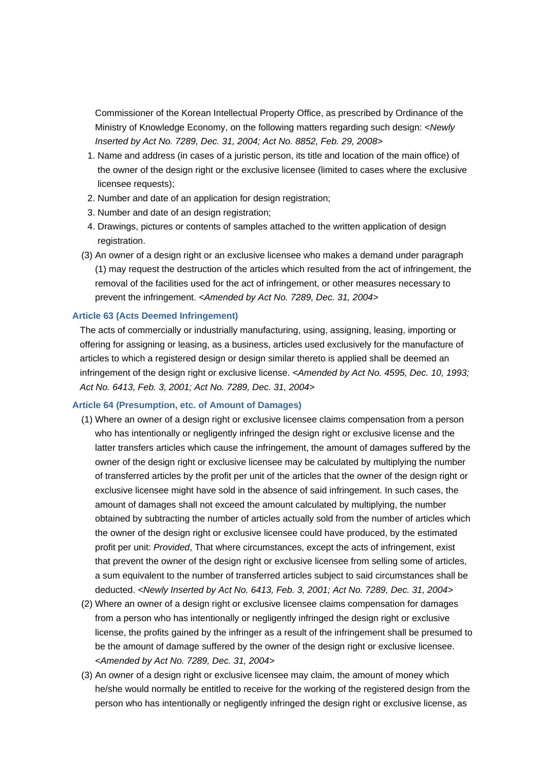Commissioner of the Korean Intellectual Property Office, as prescribed by Ordinance of the Ministry of Knowledge Economy, on the following matters regarding such design: *<Newly Inserted by Act No. 7289, Dec. 31, 2004; Act No. 8852, Feb. 29, 2008>*

- 1. Name and address (in cases of a juristic person, its title and location of the main office) of the owner of the design right or the exclusive licensee (limited to cases where the exclusive licensee requests);
- 2. Number and date of an application for design registration;
- 3. Number and date of an design registration;
- 4. Drawings, pictures or contents of samples attached to the written application of design registration.
- (3) An owner of a design right or an exclusive licensee who makes a demand under paragraph (1) may request the destruction of the articles which resulted from the act of infringement, the removal of the facilities used for the act of infringement, or other measures necessary to prevent the infringement. *<Amended by Act No. 7289, Dec. 31, 2004>*

#### **Article 63 (Acts Deemed Infringement)**

The acts of commercially or industrially manufacturing, using, assigning, leasing, importing or offering for assigning or leasing, as a business, articles used exclusively for the manufacture of articles to which a registered design or design similar thereto is applied shall be deemed an infringement of the design right or exclusive license. *<Amended by Act No. 4595, Dec. 10, 1993; Act No. 6413, Feb. 3, 2001; Act No. 7289, Dec. 31, 2004>*

#### **Article 64 (Presumption, etc. of Amount of Damages)**

- (1) Where an owner of a design right or exclusive licensee claims compensation from a person who has intentionally or negligently infringed the design right or exclusive license and the latter transfers articles which cause the infringement, the amount of damages suffered by the owner of the design right or exclusive licensee may be calculated by multiplying the number of transferred articles by the profit per unit of the articles that the owner of the design right or exclusive licensee might have sold in the absence of said infringement. In such cases, the amount of damages shall not exceed the amount calculated by multiplying, the number obtained by subtracting the number of articles actually sold from the number of articles which the owner of the design right or exclusive licensee could have produced, by the estimated profit per unit: *Provided*, That where circumstances, except the acts of infringement, exist that prevent the owner of the design right or exclusive licensee from selling some of articles, a sum equivalent to the number of transferred articles subject to said circumstances shall be deducted. *<Newly Inserted by Act No. 6413, Feb. 3, 2001; Act No. 7289, Dec. 31, 2004>*
- (2) Where an owner of a design right or exclusive licensee claims compensation for damages from a person who has intentionally or negligently infringed the design right or exclusive license, the profits gained by the infringer as a result of the infringement shall be presumed to be the amount of damage suffered by the owner of the design right or exclusive licensee. *<Amended by Act No. 7289, Dec. 31, 2004>*
- (3) An owner of a design right or exclusive licensee may claim, the amount of money which he/she would normally be entitled to receive for the working of the registered design from the person who has intentionally or negligently infringed the design right or exclusive license, as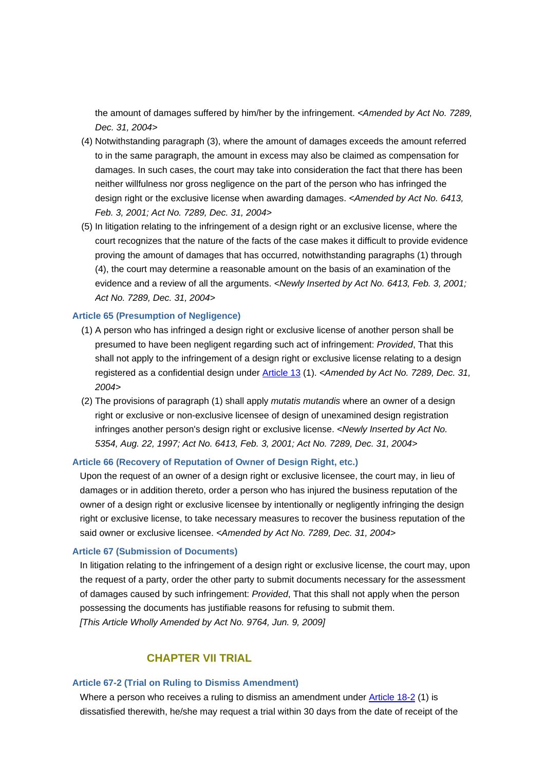the amount of damages suffered by him/her by the infringement. *<Amended by Act No. 7289, Dec. 31, 2004>*

- (4) Notwithstanding paragraph (3), where the amount of damages exceeds the amount referred to in the same paragraph, the amount in excess may also be claimed as compensation for damages. In such cases, the court may take into consideration the fact that there has been neither willfulness nor gross negligence on the part of the person who has infringed the design right or the exclusive license when awarding damages. *<Amended by Act No. 6413, Feb. 3, 2001; Act No. 7289, Dec. 31, 2004>*
- (5) In litigation relating to the infringement of a design right or an exclusive license, where the court recognizes that the nature of the facts of the case makes it difficult to provide evidence proving the amount of damages that has occurred, notwithstanding paragraphs (1) through (4), the court may determine a reasonable amount on the basis of an examination of the evidence and a review of all the arguments. *<Newly Inserted by Act No. 6413, Feb. 3, 2001; Act No. 7289, Dec. 31, 2004>*

#### **Article 65 (Presumption of Negligence)**

- (1) A person who has infringed a design right or exclusive license of another person shall be presumed to have been negligent regarding such act of infringement: *Provided*, That this shall not apply to the infringement of a design right or exclusive license relating to a design registered as a confidential design under Article 13 (1). *<Amended by Act No. 7289, Dec. 31, 2004>*
- (2) The provisions of paragraph (1) shall apply *mutatis mutandis* where an owner of a design right or exclusive or non-exclusive licensee of design of unexamined design registration infringes another person's design right or exclusive license. *<Newly Inserted by Act No. 5354, Aug. 22, 1997; Act No. 6413, Feb. 3, 2001; Act No. 7289, Dec. 31, 2004>*

## **Article 66 (Recovery of Reputation of Owner of Design Right, etc.)**

Upon the request of an owner of a design right or exclusive licensee, the court may, in lieu of damages or in addition thereto, order a person who has injured the business reputation of the owner of a design right or exclusive licensee by intentionally or negligently infringing the design right or exclusive license, to take necessary measures to recover the business reputation of the said owner or exclusive licensee. *<Amended by Act No. 7289, Dec. 31, 2004>*

#### **Article 67 (Submission of Documents)**

In litigation relating to the infringement of a design right or exclusive license, the court may, upon the request of a party, order the other party to submit documents necessary for the assessment of damages caused by such infringement: *Provided*, That this shall not apply when the person possessing the documents has justifiable reasons for refusing to submit them. *[This Article Wholly Amended by Act No. 9764, Jun. 9, 2009]*

# **CHAPTER VII TRIAL**

## **Article 67-2 (Trial on Ruling to Dismiss Amendment)**

Where a person who receives a ruling to dismiss an amendment under Article 18-2 (1) is dissatisfied therewith, he/she may request a trial within 30 days from the date of receipt of the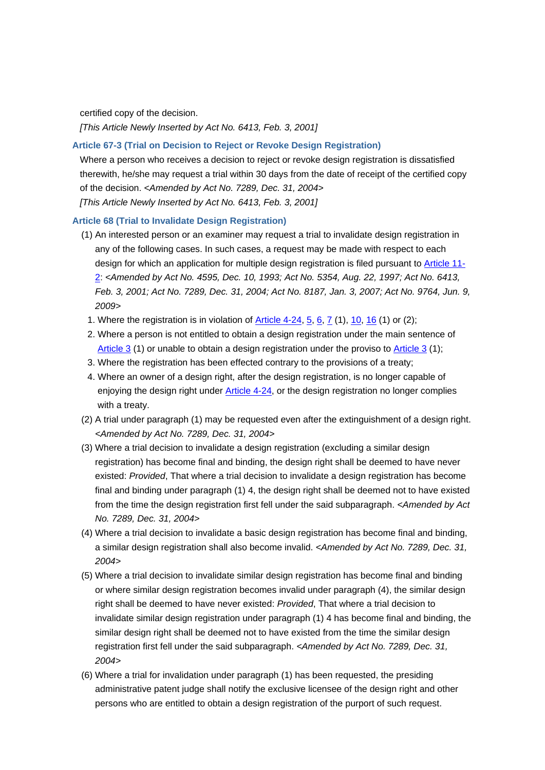certified copy of the decision.

*[This Article Newly Inserted by Act No. 6413, Feb. 3, 2001]*

## **Article 67-3 (Trial on Decision to Reject or Revoke Design Registration)**

Where a person who receives a decision to reject or revoke design registration is dissatisfied therewith, he/she may request a trial within 30 days from the date of receipt of the certified copy of the decision. *<Amended by Act No. 7289, Dec. 31, 2004> [This Article Newly Inserted by Act No. 6413, Feb. 3, 2001]*

## **Article 68 (Trial to Invalidate Design Registration)**

- (1) An interested person or an examiner may request a trial to invalidate design registration in any of the following cases. In such cases, a request may be made with respect to each design for which an application for multiple design registration is filed pursuant to Article 11- 2: *<Amended by Act No. 4595, Dec. 10, 1993; Act No. 5354, Aug. 22, 1997; Act No. 6413, Feb. 3, 2001; Act No. 7289, Dec. 31, 2004; Act No. 8187, Jan. 3, 2007; Act No. 9764, Jun. 9, 2009>*
	- 1. Where the registration is in violation of  $\frac{\text{Article 4-24, 5, 6, 7 (1), 10, 16 (1) or (2)}}{1}$
	- 2. Where a person is not entitled to obtain a design registration under the main sentence of Article 3 (1) or unable to obtain a design registration under the proviso to Article 3 (1);
	- 3. Where the registration has been effected contrary to the provisions of a treaty;
- 4. Where an owner of a design right, after the design registration, is no longer capable of enjoying the design right under Article 4-24, or the design registration no longer complies with a treaty.
- (2) A trial under paragraph (1) may be requested even after the extinguishment of a design right. *<Amended by Act No. 7289, Dec. 31, 2004>*
- (3) Where a trial decision to invalidate a design registration (excluding a similar design registration) has become final and binding, the design right shall be deemed to have never existed: *Provided*, That where a trial decision to invalidate a design registration has become final and binding under paragraph (1) 4, the design right shall be deemed not to have existed from the time the design registration first fell under the said subparagraph. *<Amended by Act No. 7289, Dec. 31, 2004>*
- (4) Where a trial decision to invalidate a basic design registration has become final and binding, a similar design registration shall also become invalid. *<Amended by Act No. 7289, Dec. 31, 2004>*
- (5) Where a trial decision to invalidate similar design registration has become final and binding or where similar design registration becomes invalid under paragraph (4), the similar design right shall be deemed to have never existed: *Provided*, That where a trial decision to invalidate similar design registration under paragraph (1) 4 has become final and binding, the similar design right shall be deemed not to have existed from the time the similar design registration first fell under the said subparagraph. *<Amended by Act No. 7289, Dec. 31, 2004>*
- (6) Where a trial for invalidation under paragraph (1) has been requested, the presiding administrative patent judge shall notify the exclusive licensee of the design right and other persons who are entitled to obtain a design registration of the purport of such request.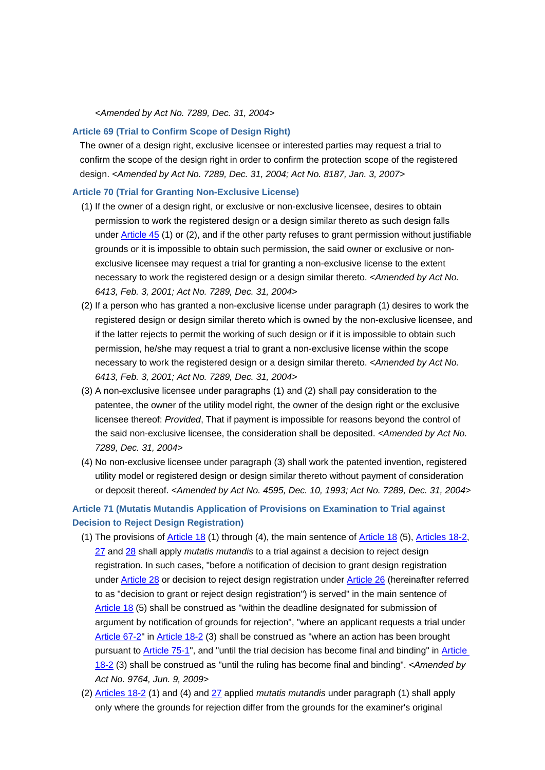*<Amended by Act No. 7289, Dec. 31, 2004>*

## **Article 69 (Trial to Confirm Scope of Design Right)**

The owner of a design right, exclusive licensee or interested parties may request a trial to confirm the scope of the design right in order to confirm the protection scope of the registered design. *<Amended by Act No. 7289, Dec. 31, 2004; Act No. 8187, Jan. 3, 2007>*

#### **Article 70 (Trial for Granting Non-Exclusive License)**

- (1) If the owner of a design right, or exclusive or non-exclusive licensee, desires to obtain permission to work the registered design or a design similar thereto as such design falls under Article 45 (1) or (2), and if the other party refuses to grant permission without justifiable grounds or it is impossible to obtain such permission, the said owner or exclusive or nonexclusive licensee may request a trial for granting a non-exclusive license to the extent necessary to work the registered design or a design similar thereto. *<Amended by Act No. 6413, Feb. 3, 2001; Act No. 7289, Dec. 31, 2004>*
- (2) If a person who has granted a non-exclusive license under paragraph (1) desires to work the registered design or design similar thereto which is owned by the non-exclusive licensee, and if the latter rejects to permit the working of such design or if it is impossible to obtain such permission, he/she may request a trial to grant a non-exclusive license within the scope necessary to work the registered design or a design similar thereto. *<Amended by Act No. 6413, Feb. 3, 2001; Act No. 7289, Dec. 31, 2004>*
- (3) A non-exclusive licensee under paragraphs (1) and (2) shall pay consideration to the patentee, the owner of the utility model right, the owner of the design right or the exclusive licensee thereof: *Provided*, That if payment is impossible for reasons beyond the control of the said non-exclusive licensee, the consideration shall be deposited. *<Amended by Act No. 7289, Dec. 31, 2004>*
- (4) No non-exclusive licensee under paragraph (3) shall work the patented invention, registered utility model or registered design or design similar thereto without payment of consideration or deposit thereof. *<Amended by Act No. 4595, Dec. 10, 1993; Act No. 7289, Dec. 31, 2004>*

# **Article 71 (Mutatis Mutandis Application of Provisions on Examination to Trial against Decision to Reject Design Registration)**

- (1) The provisions of Article 18 (1) through (4), the main sentence of Article 18 (5), Articles 18-2, 27 and 28 shall apply *mutatis mutandis* to a trial against a decision to reject design registration. In such cases, "before a notification of decision to grant design registration under Article 28 or decision to reject design registration under Article 26 (hereinafter referred to as "decision to grant or reject design registration") is served" in the main sentence of Article 18 (5) shall be construed as "within the deadline designated for submission of argument by notification of grounds for rejection", "where an applicant requests a trial under Article 67-2" in Article 18-2 (3) shall be construed as "where an action has been brought pursuant to **Article 75-1**", and "until the trial decision has become final and binding" in **Article** 18-2 (3) shall be construed as "until the ruling has become final and binding". *<Amended by Act No. 9764, Jun. 9, 2009>*
- (2) Articles 18-2 (1) and (4) and 27 applied *mutatis mutandis* under paragraph (1) shall apply only where the grounds for rejection differ from the grounds for the examiner's original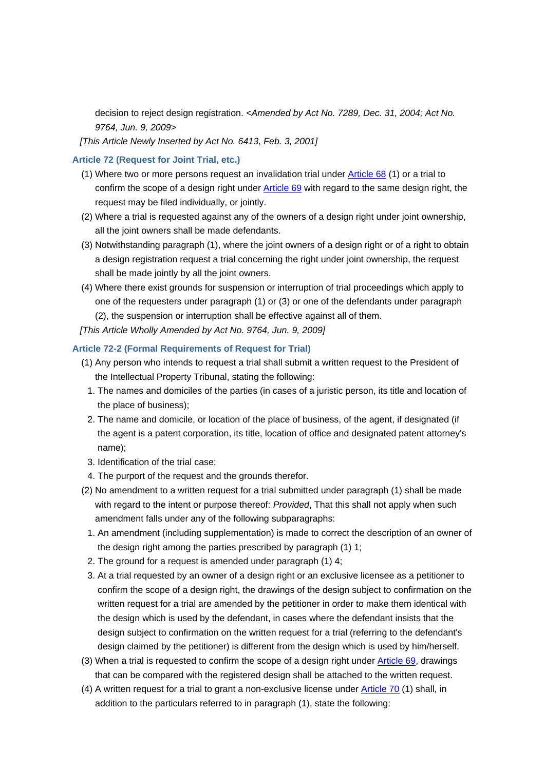decision to reject design registration. *<Amended by Act No. 7289, Dec. 31, 2004; Act No. 9764, Jun. 9, 2009>*

*[This Article Newly Inserted by Act No. 6413, Feb. 3, 2001]*

## **Article 72 (Request for Joint Trial, etc.)**

- (1) Where two or more persons request an invalidation trial under Article 68 (1) or a trial to confirm the scope of a design right under Article 69 with regard to the same design right, the request may be filed individually, or jointly.
- (2) Where a trial is requested against any of the owners of a design right under joint ownership, all the joint owners shall be made defendants.
- (3) Notwithstanding paragraph (1), where the joint owners of a design right or of a right to obtain a design registration request a trial concerning the right under joint ownership, the request shall be made jointly by all the joint owners.
- (4) Where there exist grounds for suspension or interruption of trial proceedings which apply to one of the requesters under paragraph (1) or (3) or one of the defendants under paragraph (2), the suspension or interruption shall be effective against all of them.
- *[This Article Wholly Amended by Act No. 9764, Jun. 9, 2009]*

## **Article 72-2 (Formal Requirements of Request for Trial)**

- (1) Any person who intends to request a trial shall submit a written request to the President of the Intellectual Property Tribunal, stating the following:
	- 1. The names and domiciles of the parties (in cases of a juristic person, its title and location of the place of business);
	- 2. The name and domicile, or location of the place of business, of the agent, if designated (if the agent is a patent corporation, its title, location of office and designated patent attorney's name);
	- 3. Identification of the trial case;
- 4. The purport of the request and the grounds therefor.
- (2) No amendment to a written request for a trial submitted under paragraph (1) shall be made with regard to the intent or purpose thereof: *Provided*, That this shall not apply when such amendment falls under any of the following subparagraphs:
- 1. An amendment (including supplementation) is made to correct the description of an owner of the design right among the parties prescribed by paragraph (1) 1;
- 2. The ground for a request is amended under paragraph (1) 4;
- 3. At a trial requested by an owner of a design right or an exclusive licensee as a petitioner to confirm the scope of a design right, the drawings of the design subject to confirmation on the written request for a trial are amended by the petitioner in order to make them identical with the design which is used by the defendant, in cases where the defendant insists that the design subject to confirmation on the written request for a trial (referring to the defendant's design claimed by the petitioner) is different from the design which is used by him/herself.
- (3) When a trial is requested to confirm the scope of a design right under Article 69, drawings that can be compared with the registered design shall be attached to the written request.
- (4) A written request for a trial to grant a non-exclusive license under Article 70 (1) shall, in addition to the particulars referred to in paragraph (1), state the following: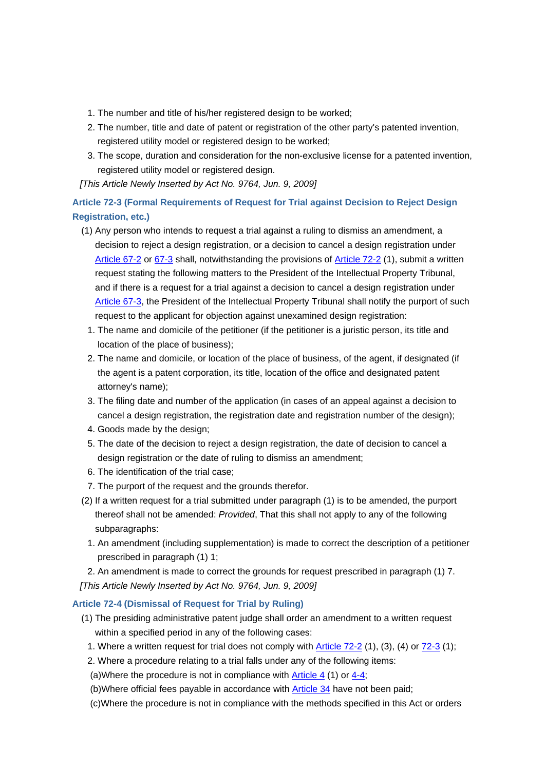- 1. The number and title of his/her registered design to be worked;
- 2. The number, title and date of patent or registration of the other party's patented invention, registered utility model or registered design to be worked;
- 3. The scope, duration and consideration for the non-exclusive license for a patented invention, registered utility model or registered design.

*[This Article Newly Inserted by Act No. 9764, Jun. 9, 2009]*

# **Article 72-3 (Formal Requirements of Request for Trial against Decision to Reject Design Registration, etc.)**

- (1) Any person who intends to request a trial against a ruling to dismiss an amendment, a decision to reject a design registration, or a decision to cancel a design registration under Article 67-2 or 67-3 shall, notwithstanding the provisions of Article 72-2 (1), submit a written request stating the following matters to the President of the Intellectual Property Tribunal, and if there is a request for a trial against a decision to cancel a design registration under Article 67-3, the President of the Intellectual Property Tribunal shall notify the purport of such request to the applicant for objection against unexamined design registration:
- 1. The name and domicile of the petitioner (if the petitioner is a juristic person, its title and location of the place of business);
- 2. The name and domicile, or location of the place of business, of the agent, if designated (if the agent is a patent corporation, its title, location of the office and designated patent attorney's name);
- 3. The filing date and number of the application (in cases of an appeal against a decision to cancel a design registration, the registration date and registration number of the design);
- 4. Goods made by the design;
- 5. The date of the decision to reject a design registration, the date of decision to cancel a design registration or the date of ruling to dismiss an amendment;
- 6. The identification of the trial case;
- 7. The purport of the request and the grounds therefor.
- (2) If a written request for a trial submitted under paragraph (1) is to be amended, the purport thereof shall not be amended: *Provided*, That this shall not apply to any of the following subparagraphs:
	- 1. An amendment (including supplementation) is made to correct the description of a petitioner prescribed in paragraph (1) 1;

 2. An amendment is made to correct the grounds for request prescribed in paragraph (1) 7. *[This Article Newly Inserted by Act No. 9764, Jun. 9, 2009]*

# **Article 72-4 (Dismissal of Request for Trial by Ruling)**

- (1) The presiding administrative patent judge shall order an amendment to a written request within a specified period in any of the following cases:
	- 1. Where a written request for trial does not comply with Article 72-2 (1), (3), (4) or 72-3 (1);
	- 2. Where a procedure relating to a trial falls under any of the following items:
	- (a)Where the procedure is not in compliance with Article 4 (1) or 4-4;
	- (b)Where official fees payable in accordance with Article 34 have not been paid;
	- (c)Where the procedure is not in compliance with the methods specified in this Act or orders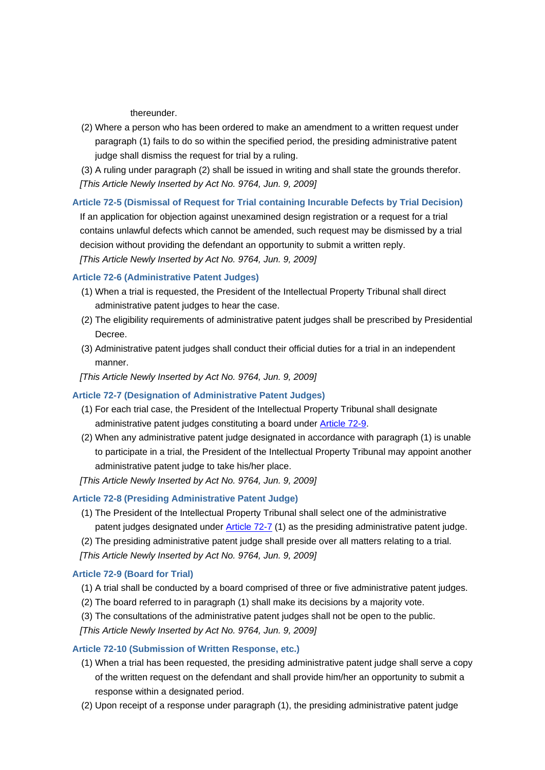thereunder.

- (2) Where a person who has been ordered to make an amendment to a written request under paragraph (1) fails to do so within the specified period, the presiding administrative patent judge shall dismiss the request for trial by a ruling.
- (3) A ruling under paragraph (2) shall be issued in writing and shall state the grounds therefor. *[This Article Newly Inserted by Act No. 9764, Jun. 9, 2009]*

# **Article 72-5 (Dismissal of Request for Trial containing Incurable Defects by Trial Decision)** If an application for objection against unexamined design registration or a request for a trial contains unlawful defects which cannot be amended, such request may be dismissed by a trial decision without providing the defendant an opportunity to submit a written reply. *[This Article Newly Inserted by Act No. 9764, Jun. 9, 2009]*

## **Article 72-6 (Administrative Patent Judges)**

- (1) When a trial is requested, the President of the Intellectual Property Tribunal shall direct administrative patent judges to hear the case.
- (2) The eligibility requirements of administrative patent judges shall be prescribed by Presidential Decree.
- (3) Administrative patent judges shall conduct their official duties for a trial in an independent manner.

## *[This Article Newly Inserted by Act No. 9764, Jun. 9, 2009]*

## **Article 72-7 (Designation of Administrative Patent Judges)**

- (1) For each trial case, the President of the Intellectual Property Tribunal shall designate administrative patent judges constituting a board under Article 72-9.
- (2) When any administrative patent judge designated in accordance with paragraph (1) is unable to participate in a trial, the President of the Intellectual Property Tribunal may appoint another administrative patent judge to take his/her place.
- *[This Article Newly Inserted by Act No. 9764, Jun. 9, 2009]*

## **Article 72-8 (Presiding Administrative Patent Judge)**

- (1) The President of the Intellectual Property Tribunal shall select one of the administrative patent judges designated under Article 72-7 (1) as the presiding administrative patent judge.
- (2) The presiding administrative patent judge shall preside over all matters relating to a trial.
- *[This Article Newly Inserted by Act No. 9764, Jun. 9, 2009]*

## **Article 72-9 (Board for Trial)**

- (1) A trial shall be conducted by a board comprised of three or five administrative patent judges.
- (2) The board referred to in paragraph (1) shall make its decisions by a majority vote.
- (3) The consultations of the administrative patent judges shall not be open to the public.

*[This Article Newly Inserted by Act No. 9764, Jun. 9, 2009]*

## **Article 72-10 (Submission of Written Response, etc.)**

- (1) When a trial has been requested, the presiding administrative patent judge shall serve a copy of the written request on the defendant and shall provide him/her an opportunity to submit a response within a designated period.
- (2) Upon receipt of a response under paragraph (1), the presiding administrative patent judge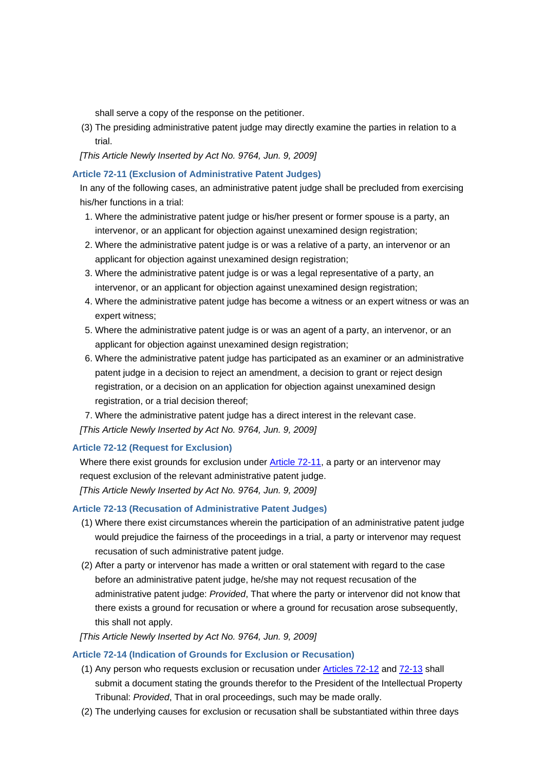shall serve a copy of the response on the petitioner.

(3) The presiding administrative patent judge may directly examine the parties in relation to a trial.

## *[This Article Newly Inserted by Act No. 9764, Jun. 9, 2009]*

## **Article 72-11 (Exclusion of Administrative Patent Judges)**

In any of the following cases, an administrative patent judge shall be precluded from exercising his/her functions in a trial:

- 1. Where the administrative patent judge or his/her present or former spouse is a party, an intervenor, or an applicant for objection against unexamined design registration;
- 2. Where the administrative patent judge is or was a relative of a party, an intervenor or an applicant for objection against unexamined design registration;
- 3. Where the administrative patent judge is or was a legal representative of a party, an intervenor, or an applicant for objection against unexamined design registration;
- 4. Where the administrative patent judge has become a witness or an expert witness or was an expert witness;
- 5. Where the administrative patent judge is or was an agent of a party, an intervenor, or an applicant for objection against unexamined design registration;
- 6. Where the administrative patent judge has participated as an examiner or an administrative patent judge in a decision to reject an amendment, a decision to grant or reject design registration, or a decision on an application for objection against unexamined design registration, or a trial decision thereof;

 7. Where the administrative patent judge has a direct interest in the relevant case. *[This Article Newly Inserted by Act No. 9764, Jun. 9, 2009]*

## **Article 72-12 (Request for Exclusion)**

Where there exist grounds for exclusion under Article 72-11, a party or an intervenor may request exclusion of the relevant administrative patent judge. *[This Article Newly Inserted by Act No. 9764, Jun. 9, 2009]*

## **Article 72-13 (Recusation of Administrative Patent Judges)**

- (1) Where there exist circumstances wherein the participation of an administrative patent judge would prejudice the fairness of the proceedings in a trial, a party or intervenor may request recusation of such administrative patent judge.
- (2) After a party or intervenor has made a written or oral statement with regard to the case before an administrative patent judge, he/she may not request recusation of the administrative patent judge: *Provided*, That where the party or intervenor did not know that there exists a ground for recusation or where a ground for recusation arose subsequently, this shall not apply.

*[This Article Newly Inserted by Act No. 9764, Jun. 9, 2009]*

## **Article 72-14 (Indication of Grounds for Exclusion or Recusation)**

- (1) Any person who requests exclusion or recusation under Articles 72-12 and 72-13 shall submit a document stating the grounds therefor to the President of the Intellectual Property Tribunal: *Provided*, That in oral proceedings, such may be made orally.
- (2) The underlying causes for exclusion or recusation shall be substantiated within three days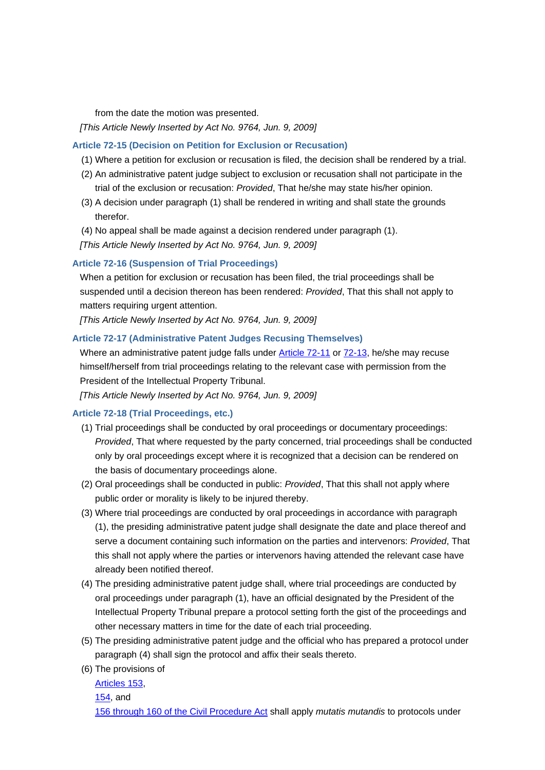from the date the motion was presented.

*[This Article Newly Inserted by Act No. 9764, Jun. 9, 2009]*

## **Article 72-15 (Decision on Petition for Exclusion or Recusation)**

- (1) Where a petition for exclusion or recusation is filed, the decision shall be rendered by a trial.
- (2) An administrative patent judge subject to exclusion or recusation shall not participate in the trial of the exclusion or recusation: *Provided*, That he/she may state his/her opinion.
- (3) A decision under paragraph (1) shall be rendered in writing and shall state the grounds therefor.
- (4) No appeal shall be made against a decision rendered under paragraph (1).

*[This Article Newly Inserted by Act No. 9764, Jun. 9, 2009]*

#### **Article 72-16 (Suspension of Trial Proceedings)**

When a petition for exclusion or recusation has been filed, the trial proceedings shall be suspended until a decision thereon has been rendered: *Provided*, That this shall not apply to matters requiring urgent attention.

*[This Article Newly Inserted by Act No. 9764, Jun. 9, 2009]*

## **Article 72-17 (Administrative Patent Judges Recusing Themselves)**

Where an administrative patent judge falls under Article 72-11 or 72-13, he/she may recuse himself/herself from trial proceedings relating to the relevant case with permission from the President of the Intellectual Property Tribunal.

*[This Article Newly Inserted by Act No. 9764, Jun. 9, 2009]*

## **Article 72-18 (Trial Proceedings, etc.)**

- (1) Trial proceedings shall be conducted by oral proceedings or documentary proceedings: *Provided*, That where requested by the party concerned, trial proceedings shall be conducted only by oral proceedings except where it is recognized that a decision can be rendered on the basis of documentary proceedings alone.
- (2) Oral proceedings shall be conducted in public: *Provided*, That this shall not apply where public order or morality is likely to be injured thereby.
- (3) Where trial proceedings are conducted by oral proceedings in accordance with paragraph (1), the presiding administrative patent judge shall designate the date and place thereof and serve a document containing such information on the parties and intervenors: *Provided*, That this shall not apply where the parties or intervenors having attended the relevant case have already been notified thereof.
- (4) The presiding administrative patent judge shall, where trial proceedings are conducted by oral proceedings under paragraph (1), have an official designated by the President of the Intellectual Property Tribunal prepare a protocol setting forth the gist of the proceedings and other necessary matters in time for the date of each trial proceeding.
- (5) The presiding administrative patent judge and the official who has prepared a protocol under paragraph (4) shall sign the protocol and affix their seals thereto.
- (6) The provisions of

Articles 153,

```
154, and
```
156 through 160 of the Civil Procedure Act shall apply *mutatis mutandis* to protocols under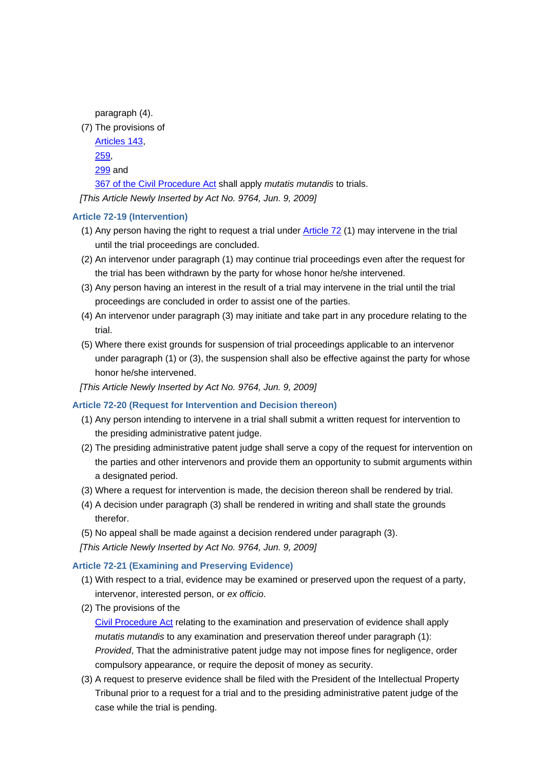paragraph (4).

(7) The provisions of

Articles 143, 259,

299 and

367 of the Civil Procedure Act shall apply *mutatis mutandis* to trials.

*[This Article Newly Inserted by Act No. 9764, Jun. 9, 2009]*

## **Article 72-19 (Intervention)**

- (1) Any person having the right to request a trial under Article 72 (1) may intervene in the trial until the trial proceedings are concluded.
- (2) An intervenor under paragraph (1) may continue trial proceedings even after the request for the trial has been withdrawn by the party for whose honor he/she intervened.
- (3) Any person having an interest in the result of a trial may intervene in the trial until the trial proceedings are concluded in order to assist one of the parties.
- (4) An intervenor under paragraph (3) may initiate and take part in any procedure relating to the trial.
- (5) Where there exist grounds for suspension of trial proceedings applicable to an intervenor under paragraph (1) or (3), the suspension shall also be effective against the party for whose honor he/she intervened.
- *[This Article Newly Inserted by Act No. 9764, Jun. 9, 2009]*

## **Article 72-20 (Request for Intervention and Decision thereon)**

- (1) Any person intending to intervene in a trial shall submit a written request for intervention to the presiding administrative patent judge.
- (2) The presiding administrative patent judge shall serve a copy of the request for intervention on the parties and other intervenors and provide them an opportunity to submit arguments within a designated period.
- (3) Where a request for intervention is made, the decision thereon shall be rendered by trial.
- (4) A decision under paragraph (3) shall be rendered in writing and shall state the grounds therefor.
- (5) No appeal shall be made against a decision rendered under paragraph (3).

*[This Article Newly Inserted by Act No. 9764, Jun. 9, 2009]*

## **Article 72-21 (Examining and Preserving Evidence)**

- (1) With respect to a trial, evidence may be examined or preserved upon the request of a party, intervenor, interested person, or *ex officio*.
- (2) The provisions of the

Civil Procedure Act relating to the examination and preservation of evidence shall apply *mutatis mutandis* to any examination and preservation thereof under paragraph (1): *Provided*, That the administrative patent judge may not impose fines for negligence, order compulsory appearance, or require the deposit of money as security.

(3) A request to preserve evidence shall be filed with the President of the Intellectual Property Tribunal prior to a request for a trial and to the presiding administrative patent judge of the case while the trial is pending.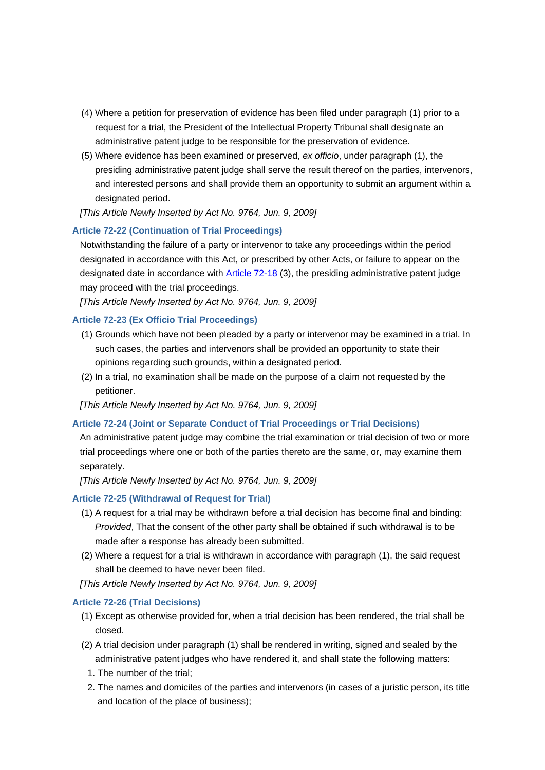- (4) Where a petition for preservation of evidence has been filed under paragraph (1) prior to a request for a trial, the President of the Intellectual Property Tribunal shall designate an administrative patent judge to be responsible for the preservation of evidence.
- (5) Where evidence has been examined or preserved, *ex officio*, under paragraph (1), the presiding administrative patent judge shall serve the result thereof on the parties, intervenors, and interested persons and shall provide them an opportunity to submit an argument within a designated period.
- *[This Article Newly Inserted by Act No. 9764, Jun. 9, 2009]*

## **Article 72-22 (Continuation of Trial Proceedings)**

Notwithstanding the failure of a party or intervenor to take any proceedings within the period designated in accordance with this Act, or prescribed by other Acts, or failure to appear on the designated date in accordance with Article 72-18 (3), the presiding administrative patent judge may proceed with the trial proceedings.

*[This Article Newly Inserted by Act No. 9764, Jun. 9, 2009]*

## **Article 72-23 (Ex Officio Trial Proceedings)**

- (1) Grounds which have not been pleaded by a party or intervenor may be examined in a trial. In such cases, the parties and intervenors shall be provided an opportunity to state their opinions regarding such grounds, within a designated period.
- (2) In a trial, no examination shall be made on the purpose of a claim not requested by the petitioner.

*[This Article Newly Inserted by Act No. 9764, Jun. 9, 2009]*

## **Article 72-24 (Joint or Separate Conduct of Trial Proceedings or Trial Decisions)**

An administrative patent judge may combine the trial examination or trial decision of two or more trial proceedings where one or both of the parties thereto are the same, or, may examine them separately.

*[This Article Newly Inserted by Act No. 9764, Jun. 9, 2009]*

#### **Article 72-25 (Withdrawal of Request for Trial)**

- (1) A request for a trial may be withdrawn before a trial decision has become final and binding: *Provided*, That the consent of the other party shall be obtained if such withdrawal is to be made after a response has already been submitted.
- (2) Where a request for a trial is withdrawn in accordance with paragraph (1), the said request shall be deemed to have never been filed.

*[This Article Newly Inserted by Act No. 9764, Jun. 9, 2009]*

## **Article 72-26 (Trial Decisions)**

- (1) Except as otherwise provided for, when a trial decision has been rendered, the trial shall be closed.
- (2) A trial decision under paragraph (1) shall be rendered in writing, signed and sealed by the administrative patent judges who have rendered it, and shall state the following matters:
	- 1. The number of the trial;
- 2. The names and domiciles of the parties and intervenors (in cases of a juristic person, its title and location of the place of business);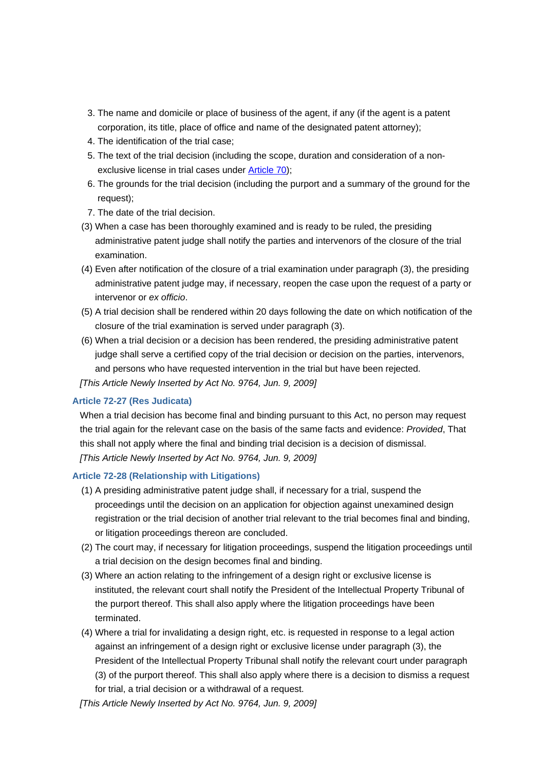- 3. The name and domicile or place of business of the agent, if any (if the agent is a patent corporation, its title, place of office and name of the designated patent attorney);
- 4. The identification of the trial case;
- 5. The text of the trial decision (including the scope, duration and consideration of a nonexclusive license in trial cases under Article 70);
- 6. The grounds for the trial decision (including the purport and a summary of the ground for the request);
- 7. The date of the trial decision.
- (3) When a case has been thoroughly examined and is ready to be ruled, the presiding administrative patent judge shall notify the parties and intervenors of the closure of the trial examination.
- (4) Even after notification of the closure of a trial examination under paragraph (3), the presiding administrative patent judge may, if necessary, reopen the case upon the request of a party or intervenor or *ex officio*.
- (5) A trial decision shall be rendered within 20 days following the date on which notification of the closure of the trial examination is served under paragraph (3).
- (6) When a trial decision or a decision has been rendered, the presiding administrative patent judge shall serve a certified copy of the trial decision or decision on the parties, intervenors, and persons who have requested intervention in the trial but have been rejected.

*[This Article Newly Inserted by Act No. 9764, Jun. 9, 2009]*

## **Article 72-27 (Res Judicata)**

When a trial decision has become final and binding pursuant to this Act, no person may request the trial again for the relevant case on the basis of the same facts and evidence: *Provided*, That this shall not apply where the final and binding trial decision is a decision of dismissal. *[This Article Newly Inserted by Act No. 9764, Jun. 9, 2009]*

## **Article 72-28 (Relationship with Litigations)**

- (1) A presiding administrative patent judge shall, if necessary for a trial, suspend the proceedings until the decision on an application for objection against unexamined design registration or the trial decision of another trial relevant to the trial becomes final and binding, or litigation proceedings thereon are concluded.
- (2) The court may, if necessary for litigation proceedings, suspend the litigation proceedings until a trial decision on the design becomes final and binding.
- (3) Where an action relating to the infringement of a design right or exclusive license is instituted, the relevant court shall notify the President of the Intellectual Property Tribunal of the purport thereof. This shall also apply where the litigation proceedings have been terminated.
- (4) Where a trial for invalidating a design right, etc. is requested in response to a legal action against an infringement of a design right or exclusive license under paragraph (3), the President of the Intellectual Property Tribunal shall notify the relevant court under paragraph (3) of the purport thereof. This shall also apply where there is a decision to dismiss a request for trial, a trial decision or a withdrawal of a request.

*[This Article Newly Inserted by Act No. 9764, Jun. 9, 2009]*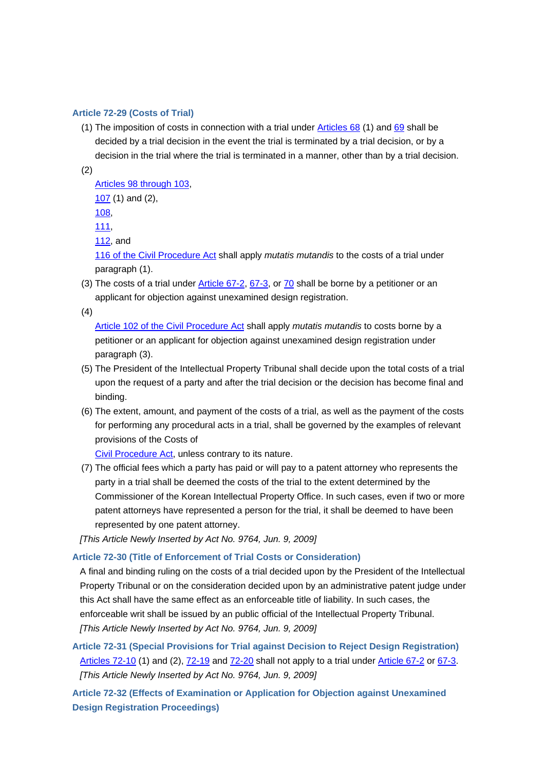## **Article 72-29 (Costs of Trial)**

(1) The imposition of costs in connection with a trial under Articles 68 (1) and 69 shall be decided by a trial decision in the event the trial is terminated by a trial decision, or by a decision in the trial where the trial is terminated in a manner, other than by a trial decision.

(2)

Articles 98 through 103,

107 (1) and (2),

108,

111,

112, and

116 of the Civil Procedure Act shall apply *mutatis mutandis* to the costs of a trial under paragraph (1).

(3) The costs of a trial under Article  $67-2$ ,  $67-3$ , or  $70$  shall be borne by a petitioner or an applicant for objection against unexamined design registration.

(4)

Article 102 of the Civil Procedure Act shall apply *mutatis mutandis* to costs borne by a petitioner or an applicant for objection against unexamined design registration under paragraph (3).

- (5) The President of the Intellectual Property Tribunal shall decide upon the total costs of a trial upon the request of a party and after the trial decision or the decision has become final and binding.
- (6) The extent, amount, and payment of the costs of a trial, as well as the payment of the costs for performing any procedural acts in a trial, shall be governed by the examples of relevant provisions of the Costs of

Civil Procedure Act, unless contrary to its nature.

(7) The official fees which a party has paid or will pay to a patent attorney who represents the party in a trial shall be deemed the costs of the trial to the extent determined by the Commissioner of the Korean Intellectual Property Office. In such cases, even if two or more patent attorneys have represented a person for the trial, it shall be deemed to have been represented by one patent attorney.

*[This Article Newly Inserted by Act No. 9764, Jun. 9, 2009]*

## **Article 72-30 (Title of Enforcement of Trial Costs or Consideration)**

A final and binding ruling on the costs of a trial decided upon by the President of the Intellectual Property Tribunal or on the consideration decided upon by an administrative patent judge under this Act shall have the same effect as an enforceable title of liability. In such cases, the enforceable writ shall be issued by an public official of the Intellectual Property Tribunal. *[This Article Newly Inserted by Act No. 9764, Jun. 9, 2009]*

**Article 72-31 (Special Provisions for Trial against Decision to Reject Design Registration)** Articles 72-10 (1) and (2), 72-19 and 72-20 shall not apply to a trial under Article 67-2 or 67-3. *[This Article Newly Inserted by Act No. 9764, Jun. 9, 2009]*

**Article 72-32 (Effects of Examination or Application for Objection against Unexamined Design Registration Proceedings)**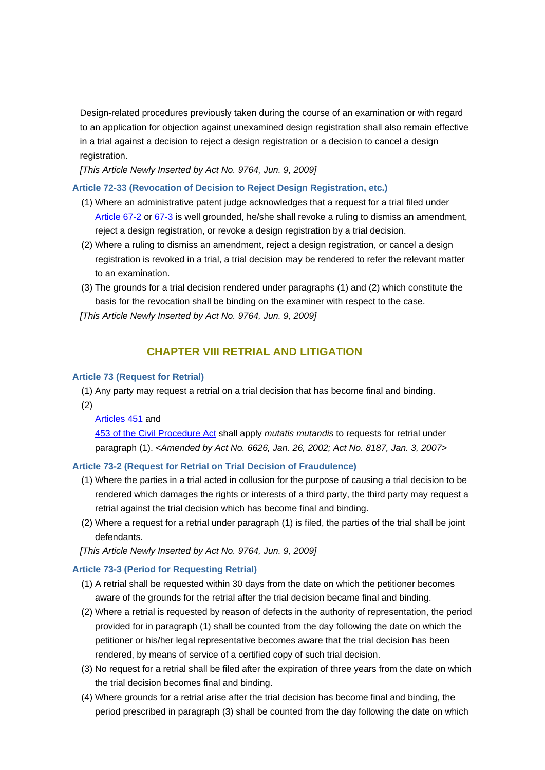Design-related procedures previously taken during the course of an examination or with regard to an application for objection against unexamined design registration shall also remain effective in a trial against a decision to reject a design registration or a decision to cancel a design registration.

*[This Article Newly Inserted by Act No. 9764, Jun. 9, 2009]*

## **Article 72-33 (Revocation of Decision to Reject Design Registration, etc.)**

- (1) Where an administrative patent judge acknowledges that a request for a trial filed under Article 67-2 or 67-3 is well grounded, he/she shall revoke a ruling to dismiss an amendment, reject a design registration, or revoke a design registration by a trial decision.
- (2) Where a ruling to dismiss an amendment, reject a design registration, or cancel a design registration is revoked in a trial, a trial decision may be rendered to refer the relevant matter to an examination.
- (3) The grounds for a trial decision rendered under paragraphs (1) and (2) which constitute the basis for the revocation shall be binding on the examiner with respect to the case.

*[This Article Newly Inserted by Act No. 9764, Jun. 9, 2009]*

# **CHAPTER VIII RETRIAL AND LITIGATION**

## **Article 73 (Request for Retrial)**

 (1) Any party may request a retrial on a trial decision that has become final and binding. (2)

## Articles 451 and

453 of the Civil Procedure Act shall apply *mutatis mutandis* to requests for retrial under paragraph (1). *<Amended by Act No. 6626, Jan. 26, 2002; Act No. 8187, Jan. 3, 2007>*

## **Article 73-2 (Request for Retrial on Trial Decision of Fraudulence)**

- (1) Where the parties in a trial acted in collusion for the purpose of causing a trial decision to be rendered which damages the rights or interests of a third party, the third party may request a retrial against the trial decision which has become final and binding.
- (2) Where a request for a retrial under paragraph (1) is filed, the parties of the trial shall be joint defendants.

*[This Article Newly Inserted by Act No. 9764, Jun. 9, 2009]*

## **Article 73-3 (Period for Requesting Retrial)**

- (1) A retrial shall be requested within 30 days from the date on which the petitioner becomes aware of the grounds for the retrial after the trial decision became final and binding.
- (2) Where a retrial is requested by reason of defects in the authority of representation, the period provided for in paragraph (1) shall be counted from the day following the date on which the petitioner or his/her legal representative becomes aware that the trial decision has been rendered, by means of service of a certified copy of such trial decision.
- (3) No request for a retrial shall be filed after the expiration of three years from the date on which the trial decision becomes final and binding.
- (4) Where grounds for a retrial arise after the trial decision has become final and binding, the period prescribed in paragraph (3) shall be counted from the day following the date on which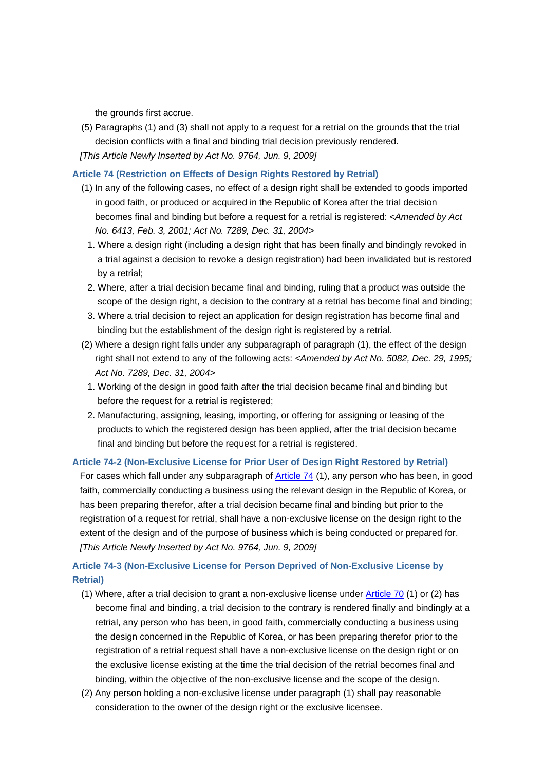the grounds first accrue.

(5) Paragraphs (1) and (3) shall not apply to a request for a retrial on the grounds that the trial decision conflicts with a final and binding trial decision previously rendered.

*[This Article Newly Inserted by Act No. 9764, Jun. 9, 2009]*

## **Article 74 (Restriction on Effects of Design Rights Restored by Retrial)**

- (1) In any of the following cases, no effect of a design right shall be extended to goods imported in good faith, or produced or acquired in the Republic of Korea after the trial decision becomes final and binding but before a request for a retrial is registered: *<Amended by Act No. 6413, Feb. 3, 2001; Act No. 7289, Dec. 31, 2004>*
	- 1. Where a design right (including a design right that has been finally and bindingly revoked in a trial against a decision to revoke a design registration) had been invalidated but is restored by a retrial;
	- 2. Where, after a trial decision became final and binding, ruling that a product was outside the scope of the design right, a decision to the contrary at a retrial has become final and binding;
- 3. Where a trial decision to reject an application for design registration has become final and binding but the establishment of the design right is registered by a retrial.
- (2) Where a design right falls under any subparagraph of paragraph (1), the effect of the design right shall not extend to any of the following acts: *<Amended by Act No. 5082, Dec. 29, 1995; Act No. 7289, Dec. 31, 2004>*
	- 1. Working of the design in good faith after the trial decision became final and binding but before the request for a retrial is registered;
	- 2. Manufacturing, assigning, leasing, importing, or offering for assigning or leasing of the products to which the registered design has been applied, after the trial decision became final and binding but before the request for a retrial is registered.

## **Article 74-2 (Non-Exclusive License for Prior User of Design Right Restored by Retrial)**

For cases which fall under any subparagraph of **Article 74** (1), any person who has been, in good faith, commercially conducting a business using the relevant design in the Republic of Korea, or has been preparing therefor, after a trial decision became final and binding but prior to the registration of a request for retrial, shall have a non-exclusive license on the design right to the extent of the design and of the purpose of business which is being conducted or prepared for. *[This Article Newly Inserted by Act No. 9764, Jun. 9, 2009]*

# **Article 74-3 (Non-Exclusive License for Person Deprived of Non-Exclusive License by Retrial)**

- (1) Where, after a trial decision to grant a non-exclusive license under Article 70 (1) or (2) has become final and binding, a trial decision to the contrary is rendered finally and bindingly at a retrial, any person who has been, in good faith, commercially conducting a business using the design concerned in the Republic of Korea, or has been preparing therefor prior to the registration of a retrial request shall have a non-exclusive license on the design right or on the exclusive license existing at the time the trial decision of the retrial becomes final and binding, within the objective of the non-exclusive license and the scope of the design.
- (2) Any person holding a non-exclusive license under paragraph (1) shall pay reasonable consideration to the owner of the design right or the exclusive licensee.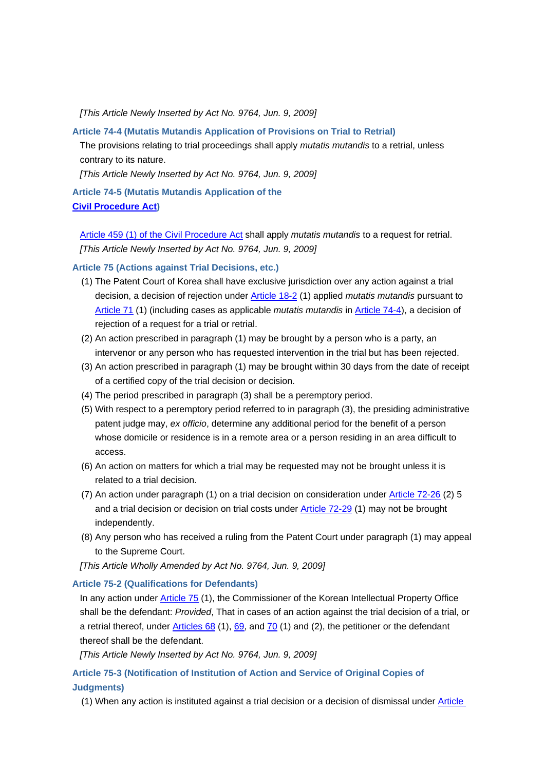*[This Article Newly Inserted by Act No. 9764, Jun. 9, 2009]*

## **Article 74-4 (Mutatis Mutandis Application of Provisions on Trial to Retrial)**

The provisions relating to trial proceedings shall apply *mutatis mutandis* to a retrial, unless contrary to its nature.

*[This Article Newly Inserted by Act No. 9764, Jun. 9, 2009]*

**Article 74-5 (Mutatis Mutandis Application of the Civil Procedure Act)**

 Article 459 (1) of the Civil Procedure Act shall apply *mutatis mutandis* to a request for retrial. *[This Article Newly Inserted by Act No. 9764, Jun. 9, 2009]*

## **Article 75 (Actions against Trial Decisions, etc.)**

- (1) The Patent Court of Korea shall have exclusive jurisdiction over any action against a trial decision, a decision of rejection under Article 18-2 (1) applied *mutatis mutandis* pursuant to Article 71 (1) (including cases as applicable *mutatis mutandis* in Article 74-4), a decision of rejection of a request for a trial or retrial.
- (2) An action prescribed in paragraph (1) may be brought by a person who is a party, an intervenor or any person who has requested intervention in the trial but has been rejected.
- (3) An action prescribed in paragraph (1) may be brought within 30 days from the date of receipt of a certified copy of the trial decision or decision.
- (4) The period prescribed in paragraph (3) shall be a peremptory period.
- (5) With respect to a peremptory period referred to in paragraph (3), the presiding administrative patent judge may, *ex officio*, determine any additional period for the benefit of a person whose domicile or residence is in a remote area or a person residing in an area difficult to access.
- (6) An action on matters for which a trial may be requested may not be brought unless it is related to a trial decision.
- (7) An action under paragraph (1) on a trial decision on consideration under Article 72-26 (2) 5 and a trial decision or decision on trial costs under Article 72-29 (1) may not be brought independently.
- (8) Any person who has received a ruling from the Patent Court under paragraph (1) may appeal to the Supreme Court.

*[This Article Wholly Amended by Act No. 9764, Jun. 9, 2009]*

## **Article 75-2 (Qualifications for Defendants)**

In any action under Article 75 (1), the Commissioner of the Korean Intellectual Property Office shall be the defendant: *Provided*, That in cases of an action against the trial decision of a trial, or a retrial thereof, under Articles 68 (1), 69, and 70 (1) and (2), the petitioner or the defendant thereof shall be the defendant.

*[This Article Newly Inserted by Act No. 9764, Jun. 9, 2009]*

**Article 75-3 (Notification of Institution of Action and Service of Original Copies of Judgments)**

(1) When any action is instituted against a trial decision or a decision of dismissal under Article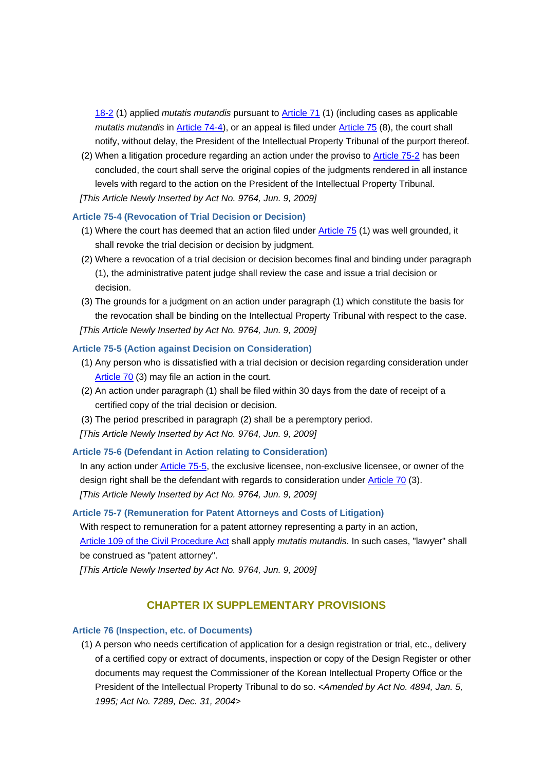18-2 (1) applied *mutatis mutandis* pursuant to Article 71 (1) (including cases as applicable *mutatis mutandis* in Article 74-4), or an appeal is filed under Article 75 (8), the court shall notify, without delay, the President of the Intellectual Property Tribunal of the purport thereof.

(2) When a litigation procedure regarding an action under the proviso to Article 75-2 has been concluded, the court shall serve the original copies of the judgments rendered in all instance levels with regard to the action on the President of the Intellectual Property Tribunal. *[This Article Newly Inserted by Act No. 9764, Jun. 9, 2009]*

## **Article 75-4 (Revocation of Trial Decision or Decision)**

- (1) Where the court has deemed that an action filed under Article 75 (1) was well grounded, it shall revoke the trial decision or decision by judgment.
- (2) Where a revocation of a trial decision or decision becomes final and binding under paragraph (1), the administrative patent judge shall review the case and issue a trial decision or decision.
- (3) The grounds for a judgment on an action under paragraph (1) which constitute the basis for the revocation shall be binding on the Intellectual Property Tribunal with respect to the case. *[This Article Newly Inserted by Act No. 9764, Jun. 9, 2009]*

## **Article 75-5 (Action against Decision on Consideration)**

- (1) Any person who is dissatisfied with a trial decision or decision regarding consideration under Article 70 (3) may file an action in the court.
- (2) An action under paragraph (1) shall be filed within 30 days from the date of receipt of a certified copy of the trial decision or decision.
- (3) The period prescribed in paragraph (2) shall be a peremptory period.
- *[This Article Newly Inserted by Act No. 9764, Jun. 9, 2009]*

## **Article 75-6 (Defendant in Action relating to Consideration)**

In any action under Article 75-5, the exclusive licensee, non-exclusive licensee, or owner of the design right shall be the defendant with regards to consideration under Article 70 (3). *[This Article Newly Inserted by Act No. 9764, Jun. 9, 2009]*

## **Article 75-7 (Remuneration for Patent Attorneys and Costs of Litigation)**

With respect to remuneration for a patent attorney representing a party in an action, Article 109 of the Civil Procedure Act shall apply *mutatis mutandis*. In such cases, "lawyer" shall be construed as "patent attorney".

*[This Article Newly Inserted by Act No. 9764, Jun. 9, 2009]*

# **CHAPTER IX SUPPLEMENTARY PROVISIONS**

#### **Article 76 (Inspection, etc. of Documents)**

(1) A person who needs certification of application for a design registration or trial, etc., delivery of a certified copy or extract of documents, inspection or copy of the Design Register or other documents may request the Commissioner of the Korean Intellectual Property Office or the President of the Intellectual Property Tribunal to do so. *<Amended by Act No. 4894, Jan. 5, 1995; Act No. 7289, Dec. 31, 2004>*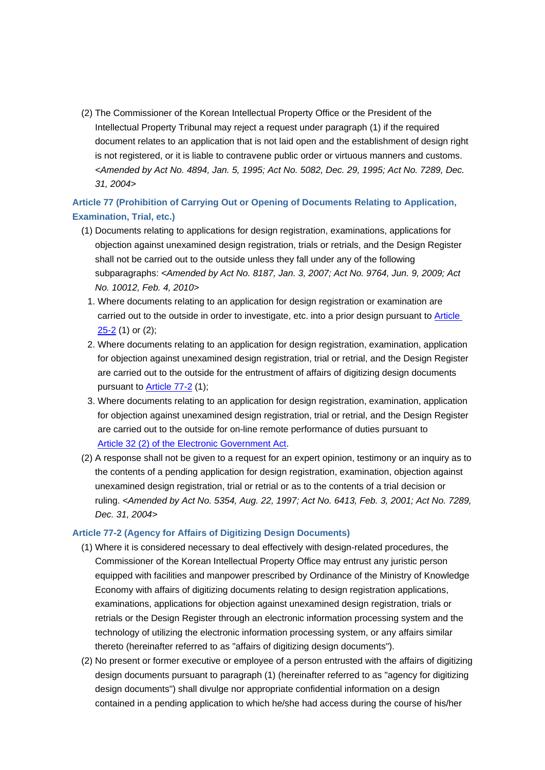(2) The Commissioner of the Korean Intellectual Property Office or the President of the Intellectual Property Tribunal may reject a request under paragraph (1) if the required document relates to an application that is not laid open and the establishment of design right is not registered, or it is liable to contravene public order or virtuous manners and customs. *<Amended by Act No. 4894, Jan. 5, 1995; Act No. 5082, Dec. 29, 1995; Act No. 7289, Dec. 31, 2004>*

**Article 77 (Prohibition of Carrying Out or Opening of Documents Relating to Application, Examination, Trial, etc.)**

- (1) Documents relating to applications for design registration, examinations, applications for objection against unexamined design registration, trials or retrials, and the Design Register shall not be carried out to the outside unless they fall under any of the following subparagraphs: *<Amended by Act No. 8187, Jan. 3, 2007; Act No. 9764, Jun. 9, 2009; Act No. 10012, Feb. 4, 2010>*
	- 1. Where documents relating to an application for design registration or examination are carried out to the outside in order to investigate, etc. into a prior design pursuant to Article  $25-2$  (1) or (2);
- 2. Where documents relating to an application for design registration, examination, application for objection against unexamined design registration, trial or retrial, and the Design Register are carried out to the outside for the entrustment of affairs of digitizing design documents pursuant to Article 77-2 (1);
- 3. Where documents relating to an application for design registration, examination, application for objection against unexamined design registration, trial or retrial, and the Design Register are carried out to the outside for on-line remote performance of duties pursuant to Article 32 (2) of the Electronic Government Act.
- (2) A response shall not be given to a request for an expert opinion, testimony or an inquiry as to the contents of a pending application for design registration, examination, objection against unexamined design registration, trial or retrial or as to the contents of a trial decision or ruling. *<Amended by Act No. 5354, Aug. 22, 1997; Act No. 6413, Feb. 3, 2001; Act No. 7289, Dec. 31, 2004>*

## **Article 77-2 (Agency for Affairs of Digitizing Design Documents)**

- (1) Where it is considered necessary to deal effectively with design-related procedures, the Commissioner of the Korean Intellectual Property Office may entrust any juristic person equipped with facilities and manpower prescribed by Ordinance of the Ministry of Knowledge Economy with affairs of digitizing documents relating to design registration applications, examinations, applications for objection against unexamined design registration, trials or retrials or the Design Register through an electronic information processing system and the technology of utilizing the electronic information processing system, or any affairs similar thereto (hereinafter referred to as "affairs of digitizing design documents").
- (2) No present or former executive or employee of a person entrusted with the affairs of digitizing design documents pursuant to paragraph (1) (hereinafter referred to as "agency for digitizing design documents") shall divulge nor appropriate confidential information on a design contained in a pending application to which he/she had access during the course of his/her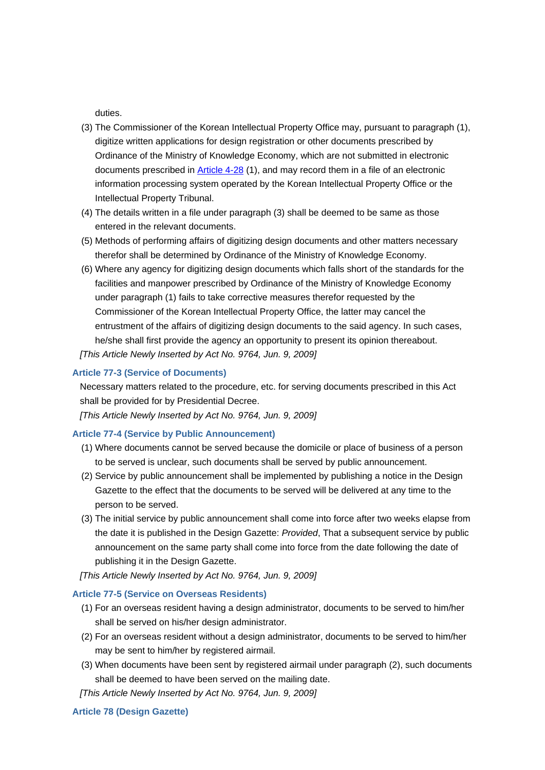duties.

- (3) The Commissioner of the Korean Intellectual Property Office may, pursuant to paragraph (1), digitize written applications for design registration or other documents prescribed by Ordinance of the Ministry of Knowledge Economy, which are not submitted in electronic documents prescribed in Article 4-28 (1), and may record them in a file of an electronic information processing system operated by the Korean Intellectual Property Office or the Intellectual Property Tribunal.
- (4) The details written in a file under paragraph (3) shall be deemed to be same as those entered in the relevant documents.
- (5) Methods of performing affairs of digitizing design documents and other matters necessary therefor shall be determined by Ordinance of the Ministry of Knowledge Economy.
- (6) Where any agency for digitizing design documents which falls short of the standards for the facilities and manpower prescribed by Ordinance of the Ministry of Knowledge Economy under paragraph (1) fails to take corrective measures therefor requested by the Commissioner of the Korean Intellectual Property Office, the latter may cancel the entrustment of the affairs of digitizing design documents to the said agency. In such cases, he/she shall first provide the agency an opportunity to present its opinion thereabout.

*[This Article Newly Inserted by Act No. 9764, Jun. 9, 2009]*

## **Article 77-3 (Service of Documents)**

Necessary matters related to the procedure, etc. for serving documents prescribed in this Act shall be provided for by Presidential Decree.

*[This Article Newly Inserted by Act No. 9764, Jun. 9, 2009]*

#### **Article 77-4 (Service by Public Announcement)**

- (1) Where documents cannot be served because the domicile or place of business of a person to be served is unclear, such documents shall be served by public announcement.
- (2) Service by public announcement shall be implemented by publishing a notice in the Design Gazette to the effect that the documents to be served will be delivered at any time to the person to be served.
- (3) The initial service by public announcement shall come into force after two weeks elapse from the date it is published in the Design Gazette: *Provided*, That a subsequent service by public announcement on the same party shall come into force from the date following the date of publishing it in the Design Gazette.

*[This Article Newly Inserted by Act No. 9764, Jun. 9, 2009]*

#### **Article 77-5 (Service on Overseas Residents)**

- (1) For an overseas resident having a design administrator, documents to be served to him/her shall be served on his/her design administrator.
- (2) For an overseas resident without a design administrator, documents to be served to him/her may be sent to him/her by registered airmail.
- (3) When documents have been sent by registered airmail under paragraph (2), such documents shall be deemed to have been served on the mailing date.

*[This Article Newly Inserted by Act No. 9764, Jun. 9, 2009]*

#### **Article 78 (Design Gazette)**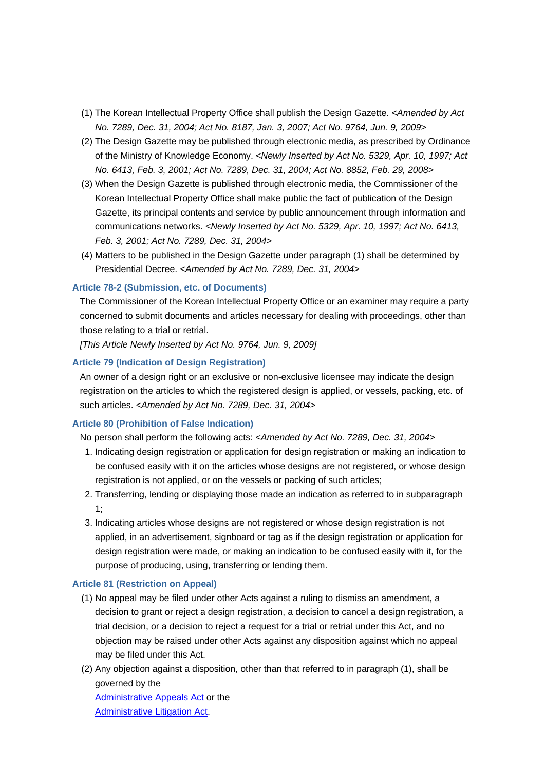- (1) The Korean Intellectual Property Office shall publish the Design Gazette. *<Amended by Act No. 7289, Dec. 31, 2004; Act No. 8187, Jan. 3, 2007; Act No. 9764, Jun. 9, 2009>*
- (2) The Design Gazette may be published through electronic media, as prescribed by Ordinance of the Ministry of Knowledge Economy. *<Newly Inserted by Act No. 5329, Apr. 10, 1997; Act No. 6413, Feb. 3, 2001; Act No. 7289, Dec. 31, 2004; Act No. 8852, Feb. 29, 2008>*
- (3) When the Design Gazette is published through electronic media, the Commissioner of the Korean Intellectual Property Office shall make public the fact of publication of the Design Gazette, its principal contents and service by public announcement through information and communications networks. *<Newly Inserted by Act No. 5329, Apr. 10, 1997; Act No. 6413, Feb. 3, 2001; Act No. 7289, Dec. 31, 2004>*
- (4) Matters to be published in the Design Gazette under paragraph (1) shall be determined by Presidential Decree. *<Amended by Act No. 7289, Dec. 31, 2004>*

## **Article 78-2 (Submission, etc. of Documents)**

The Commissioner of the Korean Intellectual Property Office or an examiner may require a party concerned to submit documents and articles necessary for dealing with proceedings, other than those relating to a trial or retrial.

*[This Article Newly Inserted by Act No. 9764, Jun. 9, 2009]*

#### **Article 79 (Indication of Design Registration)**

An owner of a design right or an exclusive or non-exclusive licensee may indicate the design registration on the articles to which the registered design is applied, or vessels, packing, etc. of such articles. *<Amended by Act No. 7289, Dec. 31, 2004>*

#### **Article 80 (Prohibition of False Indication)**

No person shall perform the following acts: *<Amended by Act No. 7289, Dec. 31, 2004>*

- 1. Indicating design registration or application for design registration or making an indication to be confused easily with it on the articles whose designs are not registered, or whose design registration is not applied, or on the vessels or packing of such articles;
- 2. Transferring, lending or displaying those made an indication as referred to in subparagraph 1;
- 3. Indicating articles whose designs are not registered or whose design registration is not applied, in an advertisement, signboard or tag as if the design registration or application for design registration were made, or making an indication to be confused easily with it, for the purpose of producing, using, transferring or lending them.

#### **Article 81 (Restriction on Appeal)**

- (1) No appeal may be filed under other Acts against a ruling to dismiss an amendment, a decision to grant or reject a design registration, a decision to cancel a design registration, a trial decision, or a decision to reject a request for a trial or retrial under this Act, and no objection may be raised under other Acts against any disposition against which no appeal may be filed under this Act.
- (2) Any objection against a disposition, other than that referred to in paragraph (1), shall be governed by the

Administrative Appeals Act or the Administrative Litigation Act.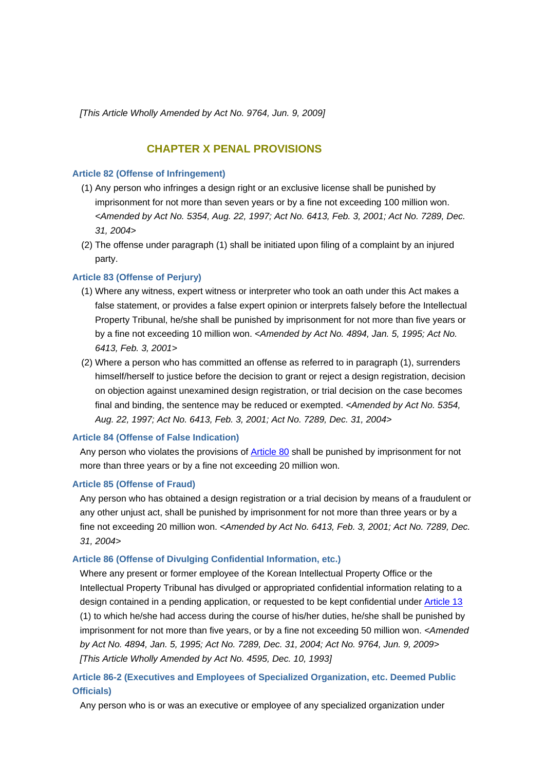*[This Article Wholly Amended by Act No. 9764, Jun. 9, 2009]*

# **CHAPTER X PENAL PROVISIONS**

## **Article 82 (Offense of Infringement)**

- (1) Any person who infringes a design right or an exclusive license shall be punished by imprisonment for not more than seven years or by a fine not exceeding 100 million won. *<Amended by Act No. 5354, Aug. 22, 1997; Act No. 6413, Feb. 3, 2001; Act No. 7289, Dec. 31, 2004>*
- (2) The offense under paragraph (1) shall be initiated upon filing of a complaint by an injured party.

## **Article 83 (Offense of Perjury)**

- (1) Where any witness, expert witness or interpreter who took an oath under this Act makes a false statement, or provides a false expert opinion or interprets falsely before the Intellectual Property Tribunal, he/she shall be punished by imprisonment for not more than five years or by a fine not exceeding 10 million won. *<Amended by Act No. 4894, Jan. 5, 1995; Act No. 6413, Feb. 3, 2001>*
- (2) Where a person who has committed an offense as referred to in paragraph (1), surrenders himself/herself to justice before the decision to grant or reject a design registration, decision on objection against unexamined design registration, or trial decision on the case becomes final and binding, the sentence may be reduced or exempted. *<Amended by Act No. 5354, Aug. 22, 1997; Act No. 6413, Feb. 3, 2001; Act No. 7289, Dec. 31, 2004>*

#### **Article 84 (Offense of False Indication)**

Any person who violates the provisions of Article 80 shall be punished by imprisonment for not more than three years or by a fine not exceeding 20 million won.

## **Article 85 (Offense of Fraud)**

Any person who has obtained a design registration or a trial decision by means of a fraudulent or any other unjust act, shall be punished by imprisonment for not more than three years or by a fine not exceeding 20 million won. *<Amended by Act No. 6413, Feb. 3, 2001; Act No. 7289, Dec. 31, 2004>*

#### **Article 86 (Offense of Divulging Confidential Information, etc.)**

Where any present or former employee of the Korean Intellectual Property Office or the Intellectual Property Tribunal has divulged or appropriated confidential information relating to a design contained in a pending application, or requested to be kept confidential under Article 13 (1) to which he/she had access during the course of his/her duties, he/she shall be punished by imprisonment for not more than five years, or by a fine not exceeding 50 million won. *<Amended by Act No. 4894, Jan. 5, 1995; Act No. 7289, Dec. 31, 2004; Act No. 9764, Jun. 9, 2009> [This Article Wholly Amended by Act No. 4595, Dec. 10, 1993]*

# **Article 86-2 (Executives and Employees of Specialized Organization, etc. Deemed Public Officials)**

Any person who is or was an executive or employee of any specialized organization under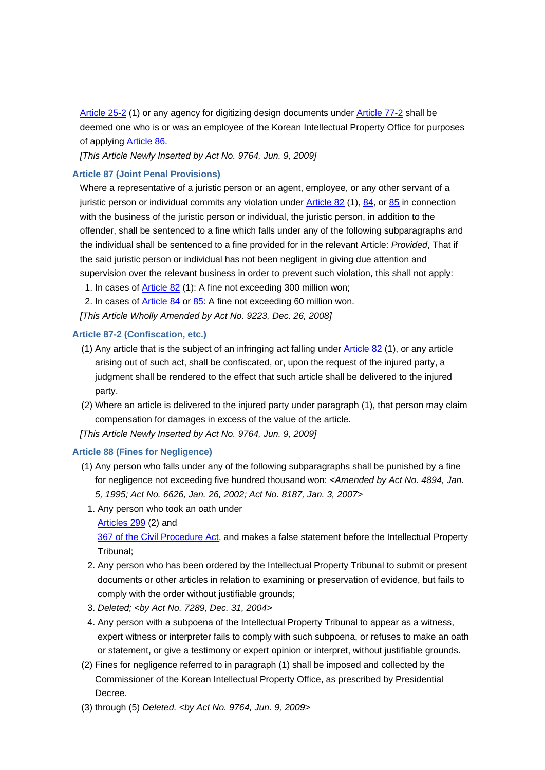Article 25-2 (1) or any agency for digitizing design documents under Article 77-2 shall be deemed one who is or was an employee of the Korean Intellectual Property Office for purposes of applying Article 86.

*[This Article Newly Inserted by Act No. 9764, Jun. 9, 2009]*

## **Article 87 (Joint Penal Provisions)**

Where a representative of a juristic person or an agent, employee, or any other servant of a juristic person or individual commits any violation under Article 82 (1), 84, or 85 in connection with the business of the juristic person or individual, the juristic person, in addition to the offender, shall be sentenced to a fine which falls under any of the following subparagraphs and the individual shall be sentenced to a fine provided for in the relevant Article: *Provided*, That if the said juristic person or individual has not been negligent in giving due attention and supervision over the relevant business in order to prevent such violation, this shall not apply:

1. In cases of Article 82 (1): A fine not exceeding 300 million won;

2. In cases of **Article 84 or 85**: A fine not exceeding 60 million won.

*[This Article Wholly Amended by Act No. 9223, Dec. 26, 2008]*

## **Article 87-2 (Confiscation, etc.)**

- (1) Any article that is the subject of an infringing act falling under Article 82 (1), or any article arising out of such act, shall be confiscated, or, upon the request of the injured party, a judgment shall be rendered to the effect that such article shall be delivered to the injured party.
- (2) Where an article is delivered to the injured party under paragraph (1), that person may claim compensation for damages in excess of the value of the article.

*[This Article Newly Inserted by Act No. 9764, Jun. 9, 2009]*

## **Article 88 (Fines for Negligence)**

- (1) Any person who falls under any of the following subparagraphs shall be punished by a fine for negligence not exceeding five hundred thousand won: *<Amended by Act No. 4894, Jan. 5, 1995; Act No. 6626, Jan. 26, 2002; Act No. 8187, Jan. 3, 2007>*
	- 1. Any person who took an oath under

Articles 299 (2) and

367 of the Civil Procedure Act, and makes a false statement before the Intellectual Property Tribunal;

- 2. Any person who has been ordered by the Intellectual Property Tribunal to submit or present documents or other articles in relation to examining or preservation of evidence, but fails to comply with the order without justifiable grounds;
- 3. *Deleted; <by Act No. 7289, Dec. 31, 2004>*
- 4. Any person with a subpoena of the Intellectual Property Tribunal to appear as a witness, expert witness or interpreter fails to comply with such subpoena, or refuses to make an oath or statement, or give a testimony or expert opinion or interpret, without justifiable grounds.
- (2) Fines for negligence referred to in paragraph (1) shall be imposed and collected by the Commissioner of the Korean Intellectual Property Office, as prescribed by Presidential Decree.
- (3) through (5) *Deleted. <by Act No. 9764, Jun. 9, 2009>*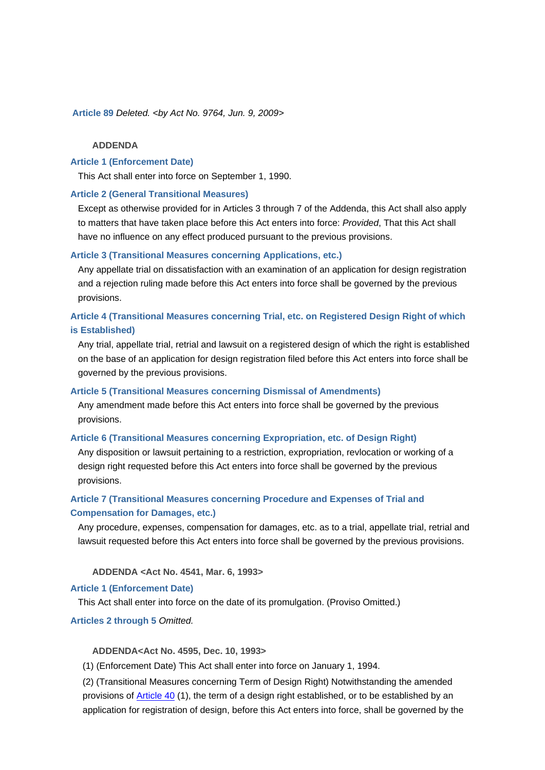**Article 89** *Deleted. <by Act No. 9764, Jun. 9, 2009>*

## **ADDENDA**

## **Article 1 (Enforcement Date)**

This Act shall enter into force on September 1, 1990.

#### **Article 2 (General Transitional Measures)**

Except as otherwise provided for in Articles 3 through 7 of the Addenda, this Act shall also apply to matters that have taken place before this Act enters into force: *Provided*, That this Act shall have no influence on any effect produced pursuant to the previous provisions.

## **Article 3 (Transitional Measures concerning Applications, etc.)**

Any appellate trial on dissatisfaction with an examination of an application for design registration and a rejection ruling made before this Act enters into force shall be governed by the previous provisions.

# **Article 4 (Transitional Measures concerning Trial, etc. on Registered Design Right of which is Established)**

Any trial, appellate trial, retrial and lawsuit on a registered design of which the right is established on the base of an application for design registration filed before this Act enters into force shall be governed by the previous provisions.

#### **Article 5 (Transitional Measures concerning Dismissal of Amendments)**

Any amendment made before this Act enters into force shall be governed by the previous provisions.

## **Article 6 (Transitional Measures concerning Expropriation, etc. of Design Right)**

Any disposition or lawsuit pertaining to a restriction, expropriation, revlocation or working of a design right requested before this Act enters into force shall be governed by the previous provisions.

# **Article 7 (Transitional Measures concerning Procedure and Expenses of Trial and Compensation for Damages, etc.)**

Any procedure, expenses, compensation for damages, etc. as to a trial, appellate trial, retrial and lawsuit requested before this Act enters into force shall be governed by the previous provisions.

 **ADDENDA <Act No. 4541, Mar. 6, 1993>**

## **Article 1 (Enforcement Date)**

This Act shall enter into force on the date of its promulgation. (Proviso Omitted.)

#### **Articles 2 through 5** *Omitted.*

#### **ADDENDA<Act No. 4595, Dec. 10, 1993>**

(1) (Enforcement Date) This Act shall enter into force on January 1, 1994.

(2) (Transitional Measures concerning Term of Design Right) Notwithstanding the amended provisions of Article 40 (1), the term of a design right established, or to be established by an application for registration of design, before this Act enters into force, shall be governed by the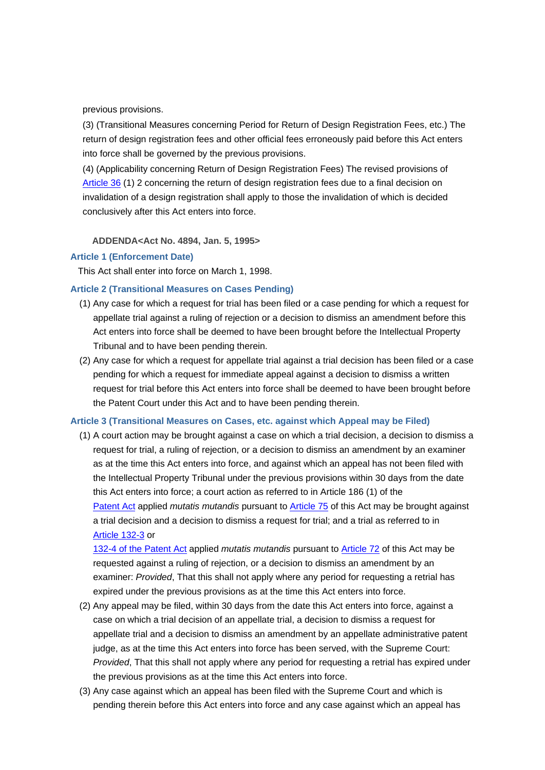previous provisions.

(3) (Transitional Measures concerning Period for Return of Design Registration Fees, etc.) The return of design registration fees and other official fees erroneously paid before this Act enters into force shall be governed by the previous provisions.

(4) (Applicability concerning Return of Design Registration Fees) The revised provisions of Article 36 (1) 2 concerning the return of design registration fees due to a final decision on invalidation of a design registration shall apply to those the invalidation of which is decided conclusively after this Act enters into force.

 **ADDENDA<Act No. 4894, Jan. 5, 1995>**

#### **Article 1 (Enforcement Date)**

This Act shall enter into force on March 1, 1998.

#### **Article 2 (Transitional Measures on Cases Pending)**

- (1) Any case for which a request for trial has been filed or a case pending for which a request for appellate trial against a ruling of rejection or a decision to dismiss an amendment before this Act enters into force shall be deemed to have been brought before the Intellectual Property Tribunal and to have been pending therein.
- (2) Any case for which a request for appellate trial against a trial decision has been filed or a case pending for which a request for immediate appeal against a decision to dismiss a written request for trial before this Act enters into force shall be deemed to have been brought before the Patent Court under this Act and to have been pending therein.

#### **Article 3 (Transitional Measures on Cases, etc. against which Appeal may be Filed)**

(1) A court action may be brought against a case on which a trial decision, a decision to dismiss a request for trial, a ruling of rejection, or a decision to dismiss an amendment by an examiner as at the time this Act enters into force, and against which an appeal has not been filed with the Intellectual Property Tribunal under the previous provisions within 30 days from the date this Act enters into force; a court action as referred to in Article 186 (1) of the Patent Act applied *mutatis mutandis* pursuant to Article 75 of this Act may be brought against a trial decision and a decision to dismiss a request for trial; and a trial as referred to in Article 132-3 or

132-4 of the Patent Act applied *mutatis mutandis* pursuant to Article 72 of this Act may be requested against a ruling of rejection, or a decision to dismiss an amendment by an examiner: *Provided*, That this shall not apply where any period for requesting a retrial has expired under the previous provisions as at the time this Act enters into force.

- (2) Any appeal may be filed, within 30 days from the date this Act enters into force, against a case on which a trial decision of an appellate trial, a decision to dismiss a request for appellate trial and a decision to dismiss an amendment by an appellate administrative patent judge, as at the time this Act enters into force has been served, with the Supreme Court: *Provided*, That this shall not apply where any period for requesting a retrial has expired under the previous provisions as at the time this Act enters into force.
- (3) Any case against which an appeal has been filed with the Supreme Court and which is pending therein before this Act enters into force and any case against which an appeal has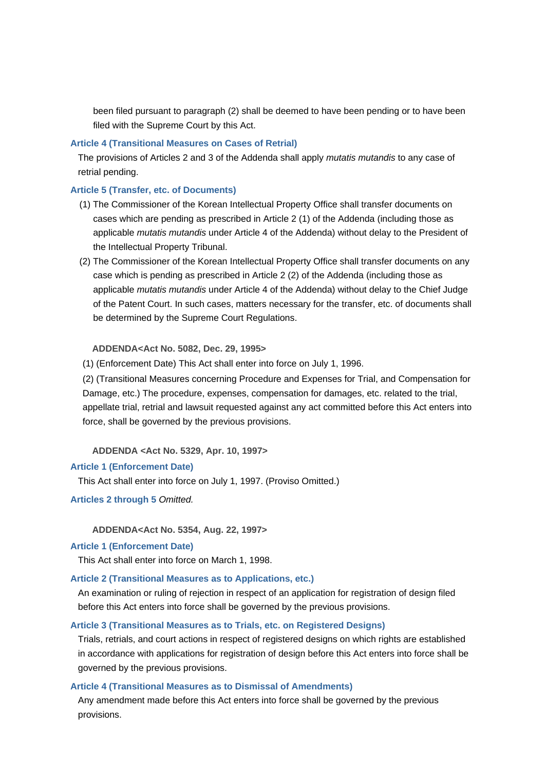been filed pursuant to paragraph (2) shall be deemed to have been pending or to have been filed with the Supreme Court by this Act.

#### **Article 4 (Transitional Measures on Cases of Retrial)**

The provisions of Articles 2 and 3 of the Addenda shall apply *mutatis mutandis* to any case of retrial pending.

## **Article 5 (Transfer, etc. of Documents)**

- (1) The Commissioner of the Korean Intellectual Property Office shall transfer documents on cases which are pending as prescribed in Article 2 (1) of the Addenda (including those as applicable *mutatis mutandis* under Article 4 of the Addenda) without delay to the President of the Intellectual Property Tribunal.
- (2) The Commissioner of the Korean Intellectual Property Office shall transfer documents on any case which is pending as prescribed in Article 2 (2) of the Addenda (including those as applicable *mutatis mutandis* under Article 4 of the Addenda) without delay to the Chief Judge of the Patent Court. In such cases, matters necessary for the transfer, etc. of documents shall be determined by the Supreme Court Regulations.

#### **ADDENDA<Act No. 5082, Dec. 29, 1995>**

(1) (Enforcement Date) This Act shall enter into force on July 1, 1996.

(2) (Transitional Measures concerning Procedure and Expenses for Trial, and Compensation for Damage, etc.) The procedure, expenses, compensation for damages, etc. related to the trial, appellate trial, retrial and lawsuit requested against any act committed before this Act enters into force, shall be governed by the previous provisions.

 **ADDENDA <Act No. 5329, Apr. 10, 1997>**

#### **Article 1 (Enforcement Date)**

This Act shall enter into force on July 1, 1997. (Proviso Omitted.)

**Articles 2 through 5** *Omitted.*

 **ADDENDA<Act No. 5354, Aug. 22, 1997>**

## **Article 1 (Enforcement Date)**

This Act shall enter into force on March 1, 1998.

## **Article 2 (Transitional Measures as to Applications, etc.)**

An examination or ruling of rejection in respect of an application for registration of design filed before this Act enters into force shall be governed by the previous provisions.

## **Article 3 (Transitional Measures as to Trials, etc. on Registered Designs)**

Trials, retrials, and court actions in respect of registered designs on which rights are established in accordance with applications for registration of design before this Act enters into force shall be governed by the previous provisions.

#### **Article 4 (Transitional Measures as to Dismissal of Amendments)**

Any amendment made before this Act enters into force shall be governed by the previous provisions.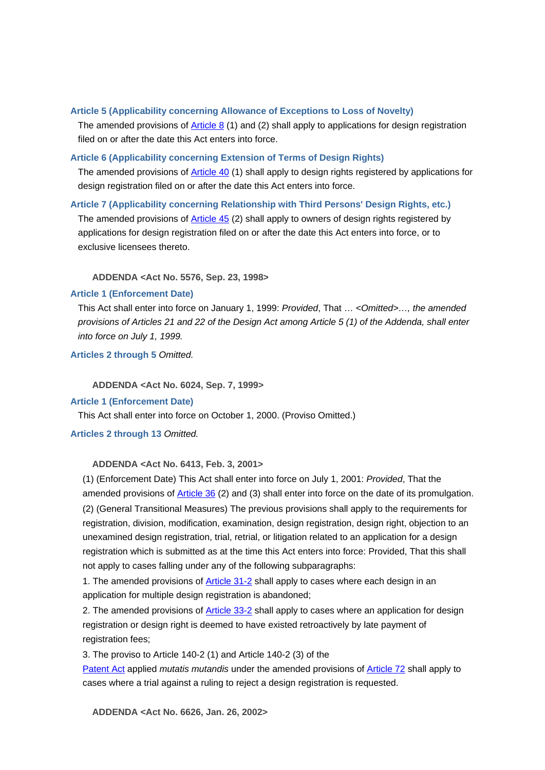## **Article 5 (Applicability concerning Allowance of Exceptions to Loss of Novelty)**

The amended provisions of Article 8 (1) and (2) shall apply to applications for design registration filed on or after the date this Act enters into force.

## **Article 6 (Applicability concerning Extension of Terms of Design Rights)**

The amended provisions of Article 40 (1) shall apply to design rights registered by applications for design registration filed on or after the date this Act enters into force.

## **Article 7 (Applicability concerning Relationship with Third Persons' Design Rights, etc.)**

The amended provisions of **Article 45** (2) shall apply to owners of design rights registered by applications for design registration filed on or after the date this Act enters into force, or to exclusive licensees thereto.

 **ADDENDA <Act No. 5576, Sep. 23, 1998>**

## **Article 1 (Enforcement Date)**

This Act shall enter into force on January 1, 1999: *Provided*, That … *<Omitted>…, the amended provisions of Articles 21 and 22 of the Design Act among Article 5 (1) of the Addenda, shall enter into force on July 1, 1999.* 

**Articles 2 through 5** *Omitted.*

 **ADDENDA <Act No. 6024, Sep. 7, 1999>**

#### **Article 1 (Enforcement Date)**

This Act shall enter into force on October 1, 2000. (Proviso Omitted.)

## **Articles 2 through 13** *Omitted.*

## **ADDENDA <Act No. 6413, Feb. 3, 2001>**

 (1) (Enforcement Date) This Act shall enter into force on July 1, 2001: *Provided*, That the amended provisions of Article 36 (2) and (3) shall enter into force on the date of its promulgation. (2) (General Transitional Measures) The previous provisions shall apply to the requirements for registration, division, modification, examination, design registration, design right, objection to an unexamined design registration, trial, retrial, or litigation related to an application for a design registration which is submitted as at the time this Act enters into force: Provided, That this shall not apply to cases falling under any of the following subparagraphs:

 1. The amended provisions of Article 31-2 shall apply to cases where each design in an application for multiple design registration is abandoned;

2. The amended provisions of Article 33-2 shall apply to cases where an application for design registration or design right is deemed to have existed retroactively by late payment of registration fees;

3. The proviso to Article 140-2 (1) and Article 140-2 (3) of the

Patent Act applied *mutatis mutandis* under the amended provisions of Article 72 shall apply to cases where a trial against a ruling to reject a design registration is requested.

 **ADDENDA <Act No. 6626, Jan. 26, 2002>**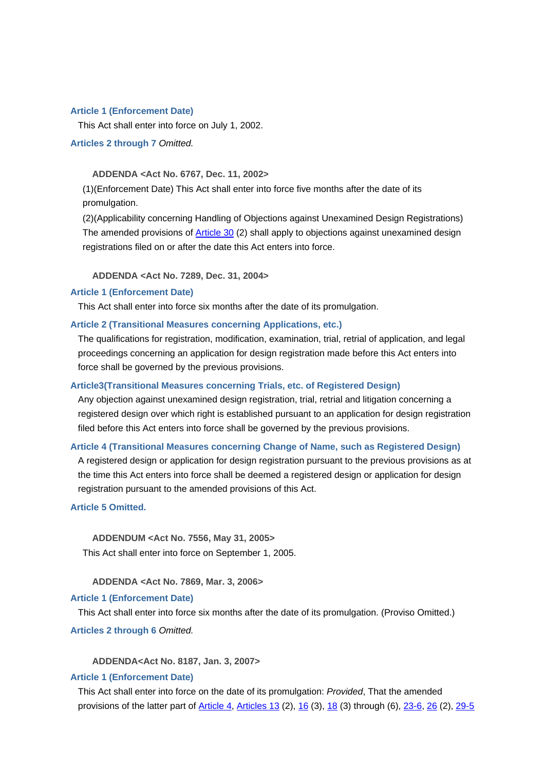#### **Article 1 (Enforcement Date)**

This Act shall enter into force on July 1, 2002.

**Articles 2 through 7** *Omitted.*

#### **ADDENDA <Act No. 6767, Dec. 11, 2002>**

 (1)(Enforcement Date) This Act shall enter into force five months after the date of its promulgation.

(2)(Applicability concerning Handling of Objections against Unexamined Design Registrations) The amended provisions of Article 30 (2) shall apply to objections against unexamined design registrations filed on or after the date this Act enters into force.

 **ADDENDA <Act No. 7289, Dec. 31, 2004>**

#### **Article 1 (Enforcement Date)**

This Act shall enter into force six months after the date of its promulgation.

## **Article 2 (Transitional Measures concerning Applications, etc.)**

The qualifications for registration, modification, examination, trial, retrial of application, and legal proceedings concerning an application for design registration made before this Act enters into force shall be governed by the previous provisions.

#### **Article3(Transitional Measures concerning Trials, etc. of Registered Design)**

Any objection against unexamined design registration, trial, retrial and litigation concerning a registered design over which right is established pursuant to an application for design registration filed before this Act enters into force shall be governed by the previous provisions.

#### **Article 4 (Transitional Measures concerning Change of Name, such as Registered Design)**

A registered design or application for design registration pursuant to the previous provisions as at the time this Act enters into force shall be deemed a registered design or application for design registration pursuant to the amended provisions of this Act.

**Article 5 Omitted.**

 **ADDENDUM <Act No. 7556, May 31, 2005>** This Act shall enter into force on September 1, 2005.

 **ADDENDA <Act No. 7869, Mar. 3, 2006>**

#### **Article 1 (Enforcement Date)**

This Act shall enter into force six months after the date of its promulgation. (Proviso Omitted.)

**Articles 2 through 6** *Omitted.*

 **ADDENDA<Act No. 8187, Jan. 3, 2007>**

#### **Article 1 (Enforcement Date)**

This Act shall enter into force on the date of its promulgation: *Provided*, That the amended provisions of the latter part of Article 4, Articles 13 (2), 16 (3), 18 (3) through (6), 23-6, 26 (2), 29-5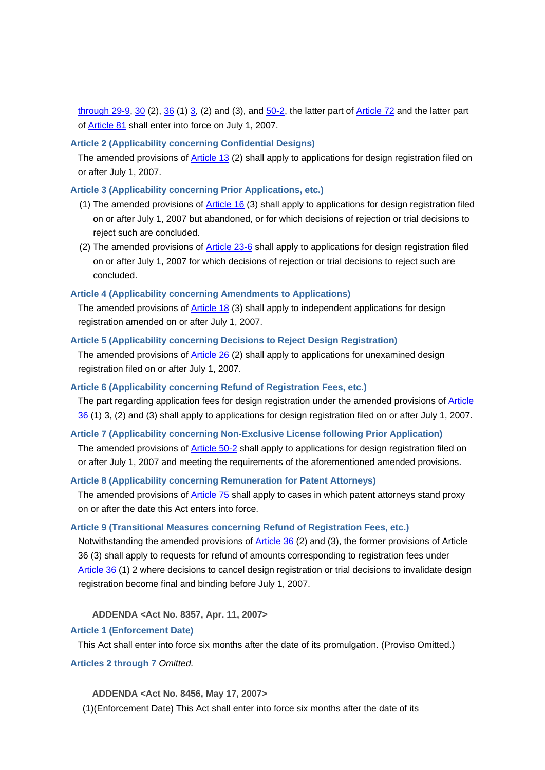through 29-9, 30 (2),  $36$  (1)  $3$ , (2) and (3), and  $50-2$ , the latter part of Article 72 and the latter part of Article 81 shall enter into force on July 1, 2007.

## **Article 2 (Applicability concerning Confidential Designs)**

The amended provisions of Article 13 (2) shall apply to applications for design registration filed on or after July 1, 2007.

## **Article 3 (Applicability concerning Prior Applications, etc.)**

- (1) The amended provisions of Article 16 (3) shall apply to applications for design registration filed on or after July 1, 2007 but abandoned, or for which decisions of rejection or trial decisions to reject such are concluded.
- (2) The amended provisions of **Article 23-6** shall apply to applications for design registration filed on or after July 1, 2007 for which decisions of rejection or trial decisions to reject such are concluded.

## **Article 4 (Applicability concerning Amendments to Applications)**

The amended provisions of Article 18 (3) shall apply to independent applications for design registration amended on or after July 1, 2007.

#### **Article 5 (Applicability concerning Decisions to Reject Design Registration)**

The amended provisions of Article 26 (2) shall apply to applications for unexamined design registration filed on or after July 1, 2007.

#### **Article 6 (Applicability concerning Refund of Registration Fees, etc.)**

The part regarding application fees for design registration under the amended provisions of Article 36 (1) 3, (2) and (3) shall apply to applications for design registration filed on or after July 1, 2007.

#### **Article 7 (Applicability concerning Non-Exclusive License following Prior Application)**

The amended provisions of Article 50-2 shall apply to applications for design registration filed on or after July 1, 2007 and meeting the requirements of the aforementioned amended provisions.

## **Article 8 (Applicability concerning Remuneration for Patent Attorneys)**

The amended provisions of Article 75 shall apply to cases in which patent attorneys stand proxy on or after the date this Act enters into force.

## **Article 9 (Transitional Measures concerning Refund of Registration Fees, etc.)**

Notwithstanding the amended provisions of Article 36 (2) and (3), the former provisions of Article 36 (3) shall apply to requests for refund of amounts corresponding to registration fees under Article 36 (1) 2 where decisions to cancel design registration or trial decisions to invalidate design registration become final and binding before July 1, 2007.

## **ADDENDA <Act No. 8357, Apr. 11, 2007>**

#### **Article 1 (Enforcement Date)**

This Act shall enter into force six months after the date of its promulgation. (Proviso Omitted.)

#### **Articles 2 through 7** *Omitted.*

 **ADDENDA <Act No. 8456, May 17, 2007>**

(1)(Enforcement Date) This Act shall enter into force six months after the date of its